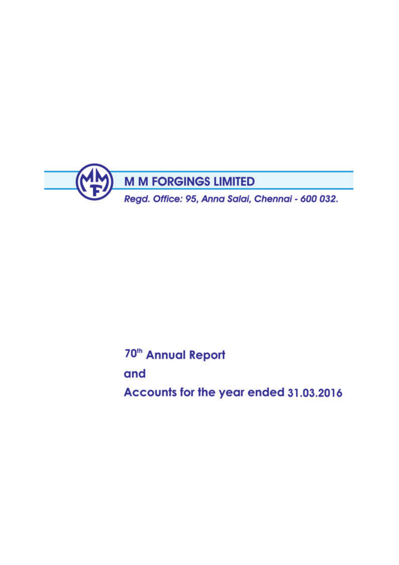

70<sup>th</sup> Annual Report

and

Accounts for the year ended 31.03.2016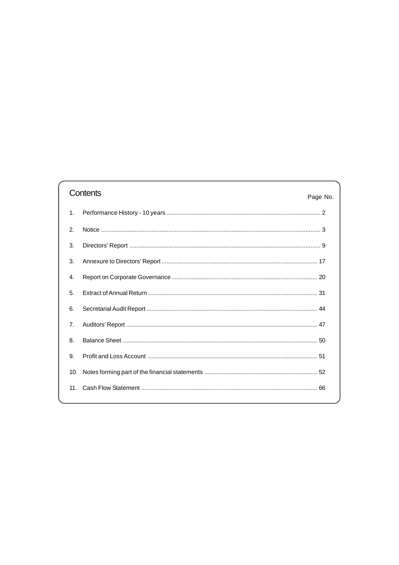# Contents

|                | CONTENTIS<br>Page No. |  |
|----------------|-----------------------|--|
| $\mathbf{1}$ . |                       |  |
| 2.             |                       |  |
| 3.             |                       |  |
| 3.             |                       |  |
| 4.             |                       |  |
| 5.             |                       |  |
| 6.             |                       |  |
| 7.             |                       |  |
| 8.             |                       |  |
| 9.             |                       |  |
| 10.            |                       |  |
|                |                       |  |
|                |                       |  |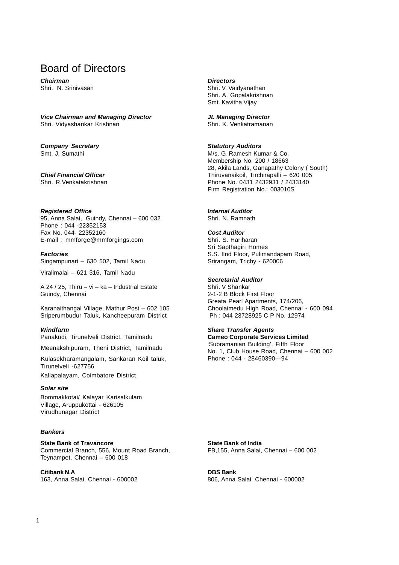# Board of Directors

**Chairman Directors**<br> **Directors**<br> **Directors**<br> **Directors** 

**Vice Chairman and Managing Director Jt. Managing Director** Shri. Vidyashankar Krishnan Shri. K. Venkatramanan

**Company Secretary and Statutory Auditors**<br>
Statutory Auditors<br>
Statutory Auditors<br>
M/s. G. Ramesh Kur

**Registered Office Internal Auditor** 95, Anna Salai, Guindy, Chennai – 600 032 Shri. N. Ramnath Phone : 044 -22352153 Fax No. 044- 22352160<br>
E-mail: mmforge@mmforgings.com Shri, S. Hariharan E-mail: mmforge@mmforgings.com

Singampunari – 630 502, Tamil Nadu Srirangam, Trichy - 620006

Viralimalai – 621 316, Tamil Nadu

A 24 / 25, Thiru – vi – ka – Industrial Estate Guindy, Chennai 2-1-2 B Block First Floor

Karanaithangal Village, Mathur Post – 602 105 Choolaimedu High Road, Chennai - 600 094<br>Sriperumbudur Taluk. Kancheepuram District Francisch L. 23728925 C. P. No. 12974 Sriperumbudur Taluk, Kancheepuram District

Panakudi, Tirunelveli District, Tamilnadu **Cameo Corporate Services Limited**

Meenakshipuram, Theni District, Tamilnadu

Tirunelveli -627756 Kulasekharamangalam, Sankaran Koil taluk,

Kallapalayam, Coimbatore District

#### **Solar site**

Bommakkotai/ Kalayar Karisalkulam Village, Aruppukottai - 626105 Virudhunagar District

#### **Bankers**

**State Bank of Travancore State Bank of India** Commercial Branch, 556, Mount Road Branch, FB,155, Anna Salai, Chennai – 600 002 Teynampet, Chennai – 600 018

**Citibank N.A DBS Bank** 163, Anna Salai, Chennai - 600002 806, Anna Salai, Chennai - 600002

Shri. V. Vaidyanathan Shri. A. Gopalakrishnan Smt. Kavitha Vijay

M/s. G. Ramesh Kumar & Co. Membership No. 200 / 18663 28, Akila Lands, Ganapathy Colony ( South) **Chief Financial Officer** Thiruvanaikoil, Tirchirapalli – 620 005 Shri. R.Venkatakrishnan Phone No. 0431 2432931 / 2433140 Firm Registration No.: 003010S

Sri Sapthagiri Homes **Factories** S.S. IInd Floor, Pulimandapam Road,

# **Secretarial Auditor**<br>Shri. V Shankar

Greata Pearl Apartments, 174/206,

## **Windfarm Share Transfer Agents**

'Subramanian Building', Fifth Floor No. 1, Club House Road, Chennai – 600 002 Phone : 044 - 28460390—94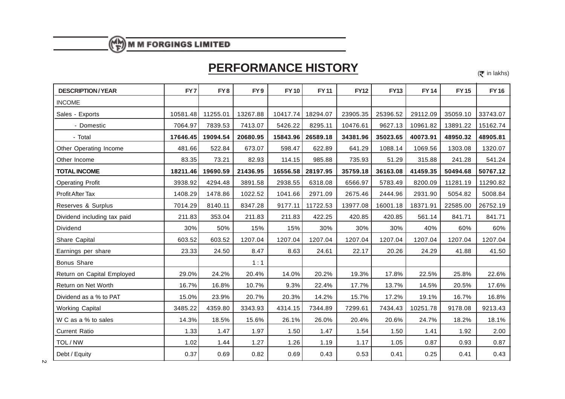# **PERFORMANCE HISTORY**

 $(\bar{\bar{\mathbf{\tau}}}$  in lakhs)

| <b>DESCRIPTION/YEAR</b>     | FY7      | FY <sub>8</sub> | FY <sub>9</sub> | <b>FY10</b> | <b>FY11</b> | <b>FY12</b> | <b>FY13</b> | <b>FY14</b> | <b>FY15</b> | <b>FY16</b> |
|-----------------------------|----------|-----------------|-----------------|-------------|-------------|-------------|-------------|-------------|-------------|-------------|
| <b>INCOME</b>               |          |                 |                 |             |             |             |             |             |             |             |
| Sales - Exports             | 10581.48 | 11255.01        | 13267.88        | 10417.74    | 18294.07    | 23905.35    | 25396.52    | 29112.09    | 35059.10    | 33743.07    |
| - Domestic                  | 7064.97  | 7839.53         | 7413.07         | 5426.22     | 8295.11     | 10476.61    | 9627.13     | 10961.82    | 13891.22    | 15162.74    |
| - Total                     | 17646.45 | 19094.54        | 20680.95        | 15843.96    | 26589.18    | 34381.96    | 35023.65    | 40073.91    | 48950.32    | 48905.81    |
| Other Operating Income      | 481.66   | 522.84          | 673.07          | 598.47      | 622.89      | 641.29      | 1088.14     | 1069.56     | 1303.08     | 1320.07     |
| Other Income                | 83.35    | 73.21           | 82.93           | 114.15      | 985.88      | 735.93      | 51.29       | 315.88      | 241.28      | 541.24      |
| <b>TOTAL INCOME</b>         | 18211.46 | 19690.59        | 21436.95        | 16556.58    | 28197.95    | 35759.18    | 36163.08    | 41459.35    | 50494.68    | 50767.12    |
| <b>Operating Profit</b>     | 3938.92  | 4294.48         | 3891.58         | 2938.55     | 6318.08     | 6566.97     | 5783.49     | 8200.09     | 11281.19    | 11290.82    |
| Profit After Tax            | 1408.29  | 1478.86         | 1022.52         | 1041.66     | 2971.09     | 2675.46     | 2444.96     | 2931.90     | 5054.82     | 5008.84     |
| Reserves & Surplus          | 7014.29  | 8140.11         | 8347.28         | 9177.11     | 11722.53    | 13977.08    | 16001.18    | 18371.91    | 22585.00    | 26752.19    |
| Dividend including tax paid | 211.83   | 353.04          | 211.83          | 211.83      | 422.25      | 420.85      | 420.85      | 561.14      | 841.71      | 841.71      |
| Dividend                    | 30%      | 50%             | 15%             | 15%         | 30%         | 30%         | 30%         | 40%         | 60%         | 60%         |
| Share Capital               | 603.52   | 603.52          | 1207.04         | 1207.04     | 1207.04     | 1207.04     | 1207.04     | 1207.04     | 1207.04     | 1207.04     |
| Earnings per share          | 23.33    | 24.50           | 8.47            | 8.63        | 24.61       | 22.17       | 20.26       | 24.29       | 41.88       | 41.50       |
| Bonus Share                 |          |                 | 1:1             |             |             |             |             |             |             |             |
| Return on Capital Employed  | 29.0%    | 24.2%           | 20.4%           | 14.0%       | 20.2%       | 19.3%       | 17.8%       | 22.5%       | 25.8%       | 22.6%       |
| Return on Net Worth         | 16.7%    | 16.8%           | 10.7%           | 9.3%        | 22.4%       | 17.7%       | 13.7%       | 14.5%       | 20.5%       | 17.6%       |
| Dividend as a % to PAT      | 15.0%    | 23.9%           | 20.7%           | 20.3%       | 14.2%       | 15.7%       | 17.2%       | 19.1%       | 16.7%       | 16.8%       |
| <b>Working Capital</b>      | 3485.22  | 4359.80         | 3343.93         | 4314.15     | 7344.89     | 7299.61     | 7434.43     | 10251.78    | 9178.08     | 9213.43     |
| W C as a % to sales         | 14.3%    | 18.5%           | 15.6%           | 26.1%       | 26.0%       | 20.4%       | 20.6%       | 24.7%       | 18.2%       | 18.1%       |
| <b>Current Ratio</b>        | 1.33     | 1.47            | 1.97            | 1.50        | 1.47        | 1.54        | 1.50        | 1.41        | 1.92        | 2.00        |
| TOL / NW                    | 1.02     | 1.44            | 1.27            | 1.26        | 1.19        | 1.17        | 1.05        | 0.87        | 0.93        | 0.87        |
| Debt / Equity               | 0.37     | 0.69            | 0.82            | 0.69        | 0.43        | 0.53        | 0.41        | 0.25        | 0.41        | 0.43        |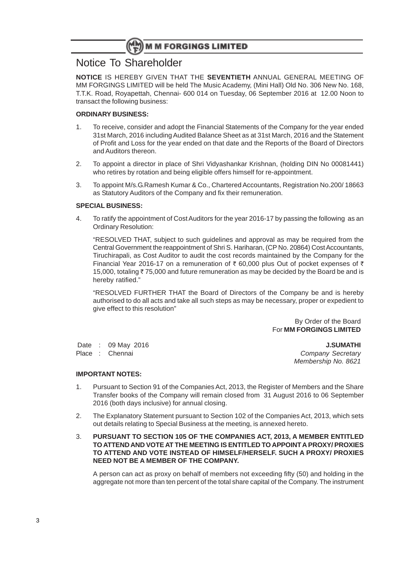# Notice To Shareholder

**NOTICE** IS HEREBY GIVEN THAT THE **SEVENTIETH** ANNUAL GENERAL MEETING OF MM FORGINGS LIMITED will be held The Music Academy, (Mini Hall) Old No. 306 New No. 168, T.T.K. Road, Royapettah, Chennai- 600 014 on Tuesday, 06 September 2016 at 12.00 Noon to transact the following business:

## **ORDINARY BUSINESS:**

- 1. To receive, consider and adopt the Financial Statements of the Company for the year ended 31st March, 2016 including Audited Balance Sheet as at 31st March, 2016 and the Statement of Profit and Loss for the year ended on that date and the Reports of the Board of Directors and Auditors thereon.
- 2. To appoint a director in place of Shri Vidyashankar Krishnan, (holding DIN No 00081441) who retires by rotation and being eligible offers himself for re-appointment.
- 3. To appoint M/s.G.Ramesh Kumar & Co., Chartered Accountants, Registration No.200/ 18663 as Statutory Auditors of the Company and fix their remuneration.

### **SPECIAL BUSINESS:**

4. To ratify the appointment of Cost Auditors for the year 2016-17 by passing the following as an Ordinary Resolution:

"RESOLVED THAT, subject to such guidelines and approval as may be required from the Central Government the reappointment of Shri S. Hariharan, (CP No. 20864) Cost Accountants, Tiruchirapali, as Cost Auditor to audit the cost records maintained by the Company for the Financial Year 2016-17 on a remuneration of  $\bar{\tau}$  60,000 plus Out of pocket expenses of  $\bar{\tau}$ 15,000, totaling  $\bar{z}$  75,000 and future remuneration as may be decided by the Board be and is hereby ratified."

"RESOLVED FURTHER THAT the Board of Directors of the Company be and is hereby authorised to do all acts and take all such steps as may be necessary, proper or expedient to give effect to this resolution"

> By Order of the Board For **MM FORGINGS LIMITED**

 Date : 09 May 2016 **J.SUMATHI** Place : Chennai Company Secretary Company Secretary

Membership No. 8621

### **IMPORTANT NOTES:**

- 1. Pursuant to Section 91 of the Companies Act, 2013, the Register of Members and the Share Transfer books of the Company will remain closed from 31 August 2016 to 06 September 2016 (both days inclusive) for annual closing.
- 2. The Explanatory Statement pursuant to Section 102 of the Companies Act, 2013, which sets out details relating to Special Business at the meeting, is annexed hereto.
- 3. **PURSUANT TO SECTION 105 OF THE COMPANIES ACT, 2013, A MEMBER ENTITLED TO ATTEND AND VOTE AT THE MEETING IS ENTITLED TO APPOINT A PROXY/ PROXIES TO ATTEND AND VOTE INSTEAD OF HIMSELF/HERSELF. SUCH A PROXY/ PROXIES NEED NOT BE A MEMBER OF THE COMPANY.**

A person can act as proxy on behalf of members not exceeding fifty (50) and holding in the aggregate not more than ten percent of the total share capital of the Company. The instrument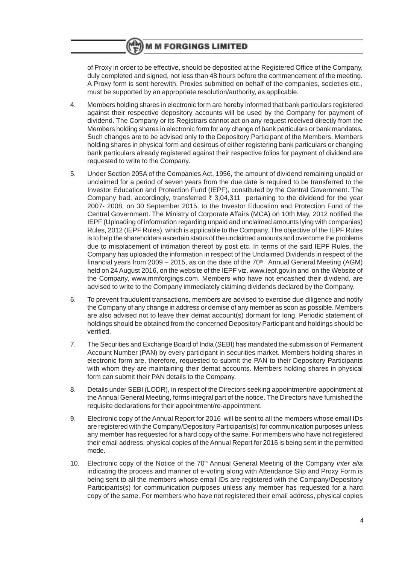of Proxy in order to be effective, should be deposited at the Registered Office of the Company, duly completed and signed, not less than 48 hours before the commencement of the meeting. A Proxy form is sent herewith. Proxies submitted on behalf of the companies, societies etc., must be supported by an appropriate resolution/authority, as applicable.

- 4. Members holding shares in electronic form are hereby informed that bank particulars registered against their respective depository accounts will be used by the Company for payment of dividend. The Company or its Registrars cannot act on any request received directly from the Members holding shares in electronic form for any change of bank particulars or bank mandates. Such changes are to be advised only to the Depository Participant of the Members. Members holding shares in physical form and desirous of either registering bank particulars or changing bank particulars already registered against their respective folios for payment of dividend are requested to write to the Company.
- 5. Under Section 205A of the Companies Act, 1956, the amount of dividend remaining unpaid or unclaimed for a period of seven years from the due date is required to be transferred to the Investor Education and Protection Fund (IEPF), constituted by the Central Government. The Company had, accordingly, transferred  $\bar{\tau}$  3,04,311 pertaining to the dividend for the year 2007- 2008, on 30 September 2015, to the Investor Education and Protection Fund of the Central Government. The Ministry of Corporate Affairs (MCA) on 10th May, 2012 notified the IEPF (Uploading of information regarding unpaid and unclaimed amounts lying with companies) Rules, 2012 (IEPF Rules), which is applicable to the Company. The objective of the IEPF Rules is to help the shareholders ascertain status of the unclaimed amounts and overcome the problems due to misplacement of intimation thereof by post etc. In terms of the said IEPF Rules, the Company has uploaded the information in respect of the Unclaimed Dividends in respect of the financial years from 2009 – 2015, as on the date of the 70<sup>th</sup> Annual General Meeting (AGM) held on 24 August 2016, on the website of the IEPF viz. www.iepf.gov.in and on the Website of the Company, www.mmforgings.com. Members who have not encashed their dividend, are advised to write to the Company immediately claiming dividends declared by the Company.
- 6. To prevent fraudulent transactions, members are advised to exercise due diligence and notify the Company of any change in address or demise of any member as soon as possible. Members are also advised not to leave their demat account(s) dormant for long. Periodic statement of holdings should be obtained from the concerned Depository Participant and holdings should be verified.
- 7. The Securities and Exchange Board of India (SEBI) has mandated the submission of Permanent Account Number (PAN) by every participant in securities market. Members holding shares in electronic form are, therefore, requested to submit the PAN to their Depository Participants with whom they are maintaining their demat accounts. Members holding shares in physical form can submit their PAN details to the Company.
- 8. Details under SEBI (LODR), in respect of the Directors seeking appointment/re-appointment at the Annual General Meeting, forms integral part of the notice. The Directors have furnished the requisite declarations for their appointment/re-appointment.
- 9. Electronic copy of the Annual Report for 2016 will be sent to all the members whose email IDs are registered with the Company/Depository Participants(s) for communication purposes unless any member has requested for a hard copy of the same. For members who have not registered their email address, physical copies of the Annual Report for 2016 is being sent in the permitted mode.
- 10. Electronic copy of the Notice of the 70<sup>th</sup> Annual General Meeting of the Company inter alia indicating the process and manner of e-voting along with Attendance Slip and Proxy Form is being sent to all the members whose email IDs are registered with the Company/Depository Participants(s) for communication purposes unless any member has requested for a hard copy of the same. For members who have not registered their email address, physical copies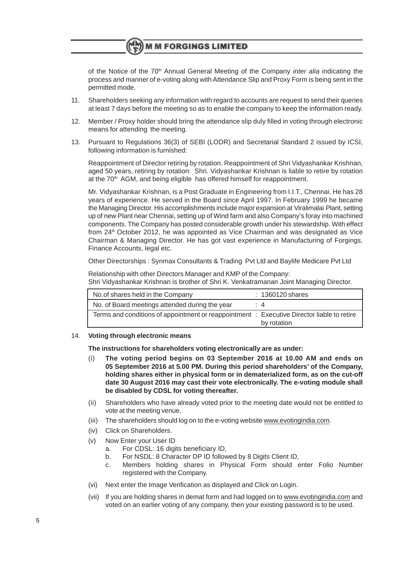of the Notice of the 70<sup>th</sup> Annual General Meeting of the Company *inter alia* indicating the process and manner of e-voting along with Attendance Slip and Proxy Form is being sent in the permitted mode.

- 11. Shareholders seeking any information with regard to accounts are request to send their queries at least 7 days before the meeting so as to enable the company to keep the information ready.
- 12. Member / Proxy holder should bring the attendance slip duly filled in voting through electronic means for attending the meeting.
- 13. Pursuant to Regulations 36(3) of SEBI (LODR) and Secretarial Standard 2 issued by ICSI, following information is furnished:

Reappointment of Director retiring by rotation. Reappointment of Shri Vidyashankar Krishnan, aged 50 years, retiring by rotation: Shri. Vidyashankar Krishnan is liable to retire by rotation at the 70<sup>th</sup> AGM, and being eligible has offered himself for reappointment.

Mr. Vidyashankar Krishnan, is a Post Graduate in Engineering from I.I.T., Chennai. He has 28 years of experience. He served in the Board since April 1997. In February 1999 he became the Managing Director. His accomplishments include major expansion at Viralimalai Plant, setting up of new Plant near Chennai, setting up of Wind farm and also Company's foray into machined components. The Company has posted considerable growth under his stewardship. With effect from 24th October 2012, he was appointed as Vice Chairman and was designated as Vice Chairman & Managing Director. He has got vast experience in Manufacturing of Forgings, Finance Accounts, legal etc.

Other Directorships : Synmax Consultants & Trading Pvt Ltd and Baylife Medicare Pvt Ltd

Relationship with other Directors Manager and KMP of the Company: Shri Vidyashankar Krishnan is brother of Shri K. Venkatramanan Joint Managing Director.

| No. of shares held in the Company                                                          | $: 1360120$ shares |
|--------------------------------------------------------------------------------------------|--------------------|
| No. of Board meetings attended during the year                                             | $\div$ 4           |
| Terms and conditions of appointment or reappointment : Executive Director liable to retire |                    |
|                                                                                            | by rotation        |

#### 14. **Voting through electronic means**

**The instructions for shareholders voting electronically are as under:**

- (i) **The voting period begins on 03 September 2016 at 10.00 AM and ends on 05 September 2016 at 5.00 PM. During this period shareholders' of the Company, holding shares either in physical form or in dematerialized form, as on the cut-off date 30 August 2016 may cast their vote electronically. The e-voting module shall be disabled by CDSL for voting thereafter.**
- (ii) Shareholders who have already voted prior to the meeting date would not be entitled to vote at the meeting venue.
- (iii) The shareholders should log on to the e-voting website www.evotingindia.com.
- (iv) Click on Shareholders.
- (v) Now Enter your User ID
	- a. For CDSL: 16 digits beneficiary ID,
	- b. For NSDL: 8 Character DP ID followed by 8 Digits Client ID,
	- c. Members holding shares in Physical Form should enter Folio Number registered with the Company.
- (vi) Next enter the Image Verification as displayed and Click on Login.
- (vii) If you are holding shares in demat form and had logged on to www.evotingindia.com and voted on an earlier voting of any company, then your existing password is to be used.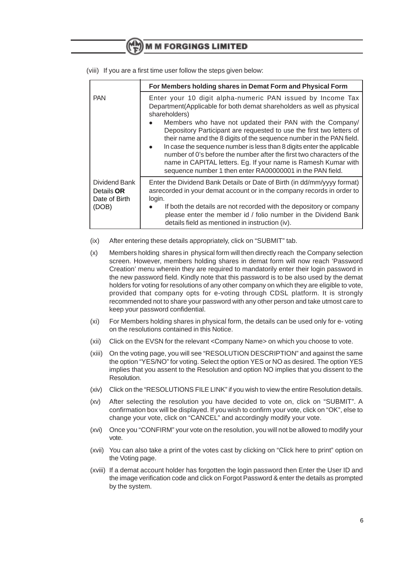|                                              | For Members holding shares in Demat Form and Physical Form                                                                                                                                                                                                                                                                                                                                                                                                                                                                                                                                                                                         |
|----------------------------------------------|----------------------------------------------------------------------------------------------------------------------------------------------------------------------------------------------------------------------------------------------------------------------------------------------------------------------------------------------------------------------------------------------------------------------------------------------------------------------------------------------------------------------------------------------------------------------------------------------------------------------------------------------------|
| <b>PAN</b>                                   | Enter your 10 digit alpha-numeric PAN issued by Income Tax<br>Department(Applicable for both demat shareholders as well as physical<br>shareholders)<br>Members who have not updated their PAN with the Company/<br>Depository Participant are requested to use the first two letters of<br>their name and the 8 digits of the sequence number in the PAN field.<br>In case the sequence number is less than 8 digits enter the applicable<br>number of 0's before the number after the first two characters of the<br>name in CAPITAL letters. Eg. If your name is Ramesh Kumar with<br>sequence number 1 then enter RA00000001 in the PAN field. |
| Dividend Bank<br>Details OR<br>Date of Birth | Enter the Dividend Bank Details or Date of Birth (in dd/mm/yyyy format)<br>asrecorded in your demat account or in the company records in order to<br>login.                                                                                                                                                                                                                                                                                                                                                                                                                                                                                        |
| (DOB)                                        | If both the details are not recorded with the depository or company<br>$\bullet$<br>please enter the member id / folio number in the Dividend Bank<br>details field as mentioned in instruction (iv).                                                                                                                                                                                                                                                                                                                                                                                                                                              |

(viii) If you are a first time user follow the steps given below:

- (ix) After entering these details appropriately, click on "SUBMIT" tab.
- (x) Members holding shares in physical form will then directly reach the Company selection screen. However, members holding shares in demat form will now reach 'Password Creation' menu wherein they are required to mandatorily enter their login password in the new password field. Kindly note that this password is to be also used by the demat holders for voting for resolutions of any other company on which they are eligible to vote, provided that company opts for e-voting through CDSL platform. It is strongly recommended not to share your password with any other person and take utmost care to keep your password confidential.
- (xi) For Members holding shares in physical form, the details can be used only for e- voting on the resolutions contained in this Notice.
- (xii) Click on the EVSN for the relevant <Company Name> on which you choose to vote.
- (xiii) On the voting page, you will see "RESOLUTION DESCRIPTION" and against the same the option "YES/NO" for voting. Select the option YES or NO as desired. The option YES implies that you assent to the Resolution and option NO implies that you dissent to the Resolution.
- (xiv) Click on the "RESOLUTIONS FILE LINK" if you wish to view the entire Resolution details.
- (xv) After selecting the resolution you have decided to vote on, click on "SUBMIT". A confirmation box will be displayed. If you wish to confirm your vote, click on "OK", else to change your vote, click on "CANCEL" and accordingly modify your vote.
- (xvi) Once you "CONFIRM" your vote on the resolution, you will not be allowed to modify your vote.
- (xvii) You can also take a print of the votes cast by clicking on "Click here to print" option on the Voting page.
- (xviii) If a demat account holder has forgotten the login password then Enter the User ID and the image verification code and click on Forgot Password & enter the details as prompted by the system.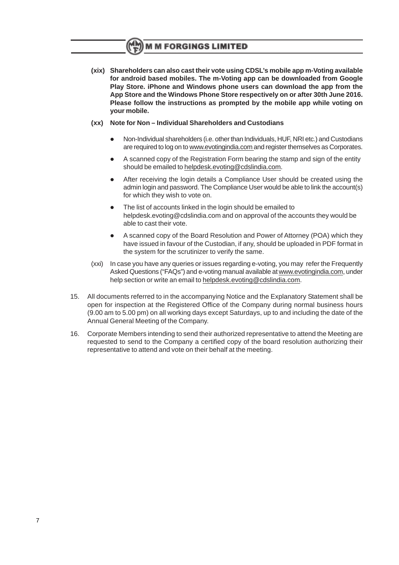**(xix) Shareholders can also cast their vote using CDSL's mobile app m-Voting available for android based mobiles. The m-Voting app can be downloaded from Google Play Store. iPhone and Windows phone users can download the app from the App Store and the Windows Phone Store respectively on or after 30th June 2016. Please follow the instructions as prompted by the mobile app while voting on your mobile.**

### **(xx) Note for Non – Individual Shareholders and Custodians**

- l Non-Individual shareholders (i.e. other than Individuals, HUF, NRI etc.) and Custodians are required to log on to www.evotingindia.com and register themselves as Corporates.
- l A scanned copy of the Registration Form bearing the stamp and sign of the entity should be emailed to helpdesk.evoting@cdslindia.com.
- After receiving the login details a Compliance User should be created using the admin login and password. The Compliance User would be able to link the account(s) for which they wish to vote on.
- The list of accounts linked in the login should be emailed to helpdesk.evoting@cdslindia.com and on approval of the accounts they would be able to cast their vote.
- A scanned copy of the Board Resolution and Power of Attorney (POA) which they have issued in favour of the Custodian, if any, should be uploaded in PDF format in the system for the scrutinizer to verify the same.
- (xxi) In case you have any queries or issues regarding e-voting, you may refer the Frequently Asked Questions ("FAQs") and e-voting manual available at www.evotingindia.com, under help section or write an email to helpdesk.evoting@cdslindia.com.
- 15. All documents referred to in the accompanying Notice and the Explanatory Statement shall be open for inspection at the Registered Office of the Company during normal business hours (9.00 am to 5.00 pm) on all working days except Saturdays, up to and including the date of the Annual General Meeting of the Company.
- 16. Corporate Members intending to send their authorized representative to attend the Meeting are requested to send to the Company a certified copy of the board resolution authorizing their representative to attend and vote on their behalf at the meeting.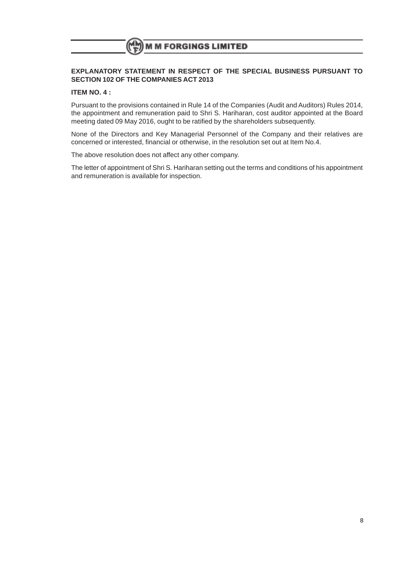### **EXPLANATORY STATEMENT IN RESPECT OF THE SPECIAL BUSINESS PURSUANT TO SECTION 102 OF THE COMPANIES ACT 2013**

### **ITEM NO. 4 :**

Pursuant to the provisions contained in Rule 14 of the Companies (Audit and Auditors) Rules 2014, the appointment and remuneration paid to Shri S. Hariharan, cost auditor appointed at the Board meeting dated 09 May 2016, ought to be ratified by the shareholders subsequently.

None of the Directors and Key Managerial Personnel of the Company and their relatives are concerned or interested, financial or otherwise, in the resolution set out at Item No.4.

The above resolution does not affect any other company.

The letter of appointment of Shri S. Hariharan setting out the terms and conditions of his appointment and remuneration is available for inspection.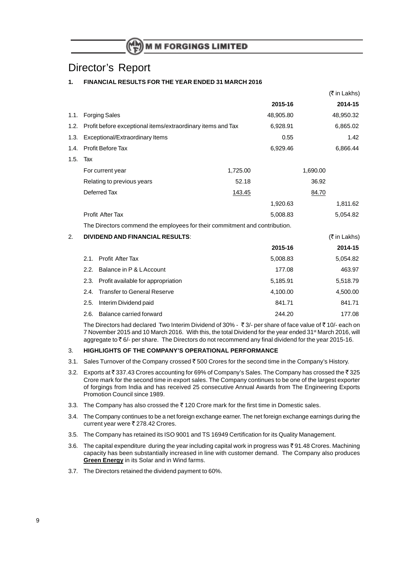# Director's Report

## **1. FINANCIAL RESULTS FOR THE YEAR ENDED 31 MARCH 2016**

|      |      |                                                                            |               |           | (K III Lakiis) |
|------|------|----------------------------------------------------------------------------|---------------|-----------|----------------|
|      |      |                                                                            |               | 2015-16   | 2014-15        |
| 1.1. |      | <b>Forging Sales</b>                                                       |               | 48,905.80 | 48,950.32      |
| 1.2. |      | Profit before exceptional items/extraordinary items and Tax                |               | 6,928.91  | 6,865.02       |
| 1.3. |      | Exceptional/Extraordinary Items                                            |               | 0.55      | 1.42           |
| 1.4. |      | Profit Before Tax                                                          |               | 6,929.46  | 6,866.44       |
| 1.5. | Tax  |                                                                            |               |           |                |
|      |      | For current year                                                           | 1,725.00      |           | 1,690.00       |
|      |      | Relating to previous years                                                 | 52.18         |           | 36.92          |
|      |      | Deferred Tax                                                               | <u>143.45</u> |           | 84.70          |
|      |      |                                                                            |               | 1,920.63  | 1,811.62       |
|      |      | <b>Profit After Tax</b>                                                    |               | 5,008.83  | 5,054.82       |
|      |      | The Directors commend the employees for their commitment and contribution. |               |           |                |
| 2.   |      | <b>DIVIDEND AND FINANCIAL RESULTS:</b>                                     |               |           | (₹ in Lakhs)   |
|      |      |                                                                            |               | 2015-16   | 2014-15        |
|      | 2.1. | Profit After Tax                                                           |               | 5,008.83  | 5,054.82       |
|      | 2.2. | Balance in P & L Account                                                   |               | 177.08    | 463.97         |
|      | 2.3. | Profit available for appropriation                                         |               | 5,185.91  | 5,518.79       |
|      | 2.4. | <b>Transfer to General Reserve</b>                                         |               | 4,100.00  | 4,500.00       |
|      | 2.5. | Interim Dividend paid                                                      |               | 841.71    | 841.71         |
|      | 2.6. | Balance carried forward                                                    |               | 244.20    | 177.08         |

 $\sqrt{2}$  in Lakhshev

The Directors had declared Two Interim Dividend of 30% -  $\bar{\tau}$  3/- per share of face value of  $\bar{\tau}$  10/- each on 7 November 2015 and 10 March 2016. With this, the total Dividend for the year ended 31<sup>st</sup> March 2016, will aggregate to  $\bar{\tau}$  6/- per share. The Directors do not recommend any final dividend for the year 2015-16.

#### 3. **HIGHLIGHTS OF THE COMPANY'S OPERATIONAL PERFORMANCE**

- 3.1. Sales Turnover of the Company crossed  $\bar{z}$  500 Crores for the second time in the Company's History.
- 3.2. Exports at ₹ 337.43 Crores accounting for 69% of Company's Sales. The Company has crossed the ₹ 325 Crore mark for the second time in export sales. The Company continues to be one of the largest exporter of forgings from India and has received 25 consecutive Annual Awards from The Engineering Exports Promotion Council since 1989.
- 3.3. The Company has also crossed the  $\bar{\tau}$  120 Crore mark for the first time in Domestic sales.
- 3.4. The Company continues to be a net foreign exchange earner. The net foreign exchange earnings during the current year were ₹ 278.42 Crores.
- 3.5. The Company has retained its ISO 9001 and TS 16949 Certification for its Quality Management.
- 3.6. The capital expenditure during the year including capital work in progress was  $\overline{5}$  91.48 Crores. Machining capacity has been substantially increased in line with customer demand. The Company also produces **Green Energy** in its Solar and in Wind farms.
- 3.7. The Directors retained the dividend payment to 60%.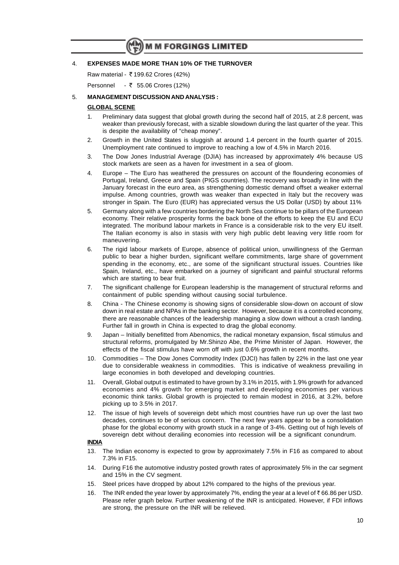#### 4. **EXPENSES MADE MORE THAN 10% OF THE TURNOVER**

Raw material - ₹199.62 Crores (42%)

Personnel - ₹ 55.06 Crores (12%)

#### 5. **MANAGEMENT DISCUSSION AND ANALYSIS :**

#### **GLOBAL SCENE**

- 1. Preliminary data suggest that global growth during the second half of 2015, at 2.8 percent, was weaker than previously forecast, with a sizable slowdown during the last quarter of the year. This is despite the availability of "cheap money".
- 2. Growth in the United States is sluggish at around 1.4 percent in the fourth quarter of 2015. Unemployment rate continued to improve to reaching a low of 4.5% in March 2016.
- 3. The Dow Jones Industrial Average (DJIA) has increased by approximately 4% because US stock markets are seen as a haven for investment in a sea of gloom.
- 4. Europe The Euro has weathered the pressures on account of the floundering economies of Portugal, Ireland, Greece and Spain (PIGS countries). The recovery was broadly in line with the January forecast in the euro area, as strengthening domestic demand offset a weaker external impulse. Among countries, growth was weaker than expected in Italy but the recovery was stronger in Spain. The Euro (EUR) has appreciated versus the US Dollar (USD) by about 11%
- 5. Germany along with a few countries bordering the North Sea continue to be pillars of the European economy. Their relative prosperity forms the back bone of the efforts to keep the EU and ECU integrated. The moribund labour markets in France is a considerable risk to the very EU itself. The Italian economy is also in stasis with very high public debt leaving very little room for maneuvering.
- 6. The rigid labour markets of Europe, absence of political union, unwillingness of the German public to bear a higher burden, significant welfare commitments, large share of government spending in the economy, etc., are some of the significant structural issues. Countries like Spain, Ireland, etc., have embarked on a journey of significant and painful structural reforms which are starting to bear fruit.
- 7. The significant challenge for European leadership is the management of structural reforms and containment of public spending without causing social turbulence.
- 8. China The Chinese economy is showing signs of considerable slow-down on account of slow down in real estate and NPAs in the banking sector. However, because it is a controlled economy, there are reasonable chances of the leadership managing a slow down without a crash landing. Further fall in growth in China is expected to drag the global economy.
- 9. Japan Initially benefitted from Abenomics, the radical monetary expansion, fiscal stimulus and structural reforms, promulgated by Mr.Shinzo Abe, the Prime Minister of Japan. However, the effects of the fiscal stimulus have worn off with just 0.6% growth in recent months.
- 10. Commodities The Dow Jones Commodity Index (DJCI) has fallen by 22% in the last one year due to considerable weakness in commodities. This is indicative of weakness prevailing in large economies in both developed and developing countries.
- 11. Overall, Global output is estimated to have grown by 3.1% in 2015, with 1.9% growth for advanced economies and 4% growth for emerging market and developing economies per various economic think tanks. Global growth is projected to remain modest in 2016, at 3.2%, before picking up to 3.5% in 2017.
- 12. The issue of high levels of sovereign debt which most countries have run up over the last two decades, continues to be of serious concern. The next few years appear to be a consolidation phase for the global economy with growth stuck in a range of 3-4%. Getting out of high levels of sovereign debt without derailing economies into recession will be a significant conundrum.

#### **INDIA**

- 13. The Indian economy is expected to grow by approximately 7.5% in F16 as compared to about 7.3% in F15.
- 14. During F16 the automotive industry posted growth rates of approximately 5% in the car segment and 15% in the CV segment.
- 15. Steel prices have dropped by about 12% compared to the highs of the previous year.
- 16. The INR ended the year lower by approximately 7%, ending the year at a level of  $\bar{\tau}$  66.86 per USD. Please refer graph below. Further weakening of the INR is anticipated. However, if FDI inflows are strong, the pressure on the INR will be relieved.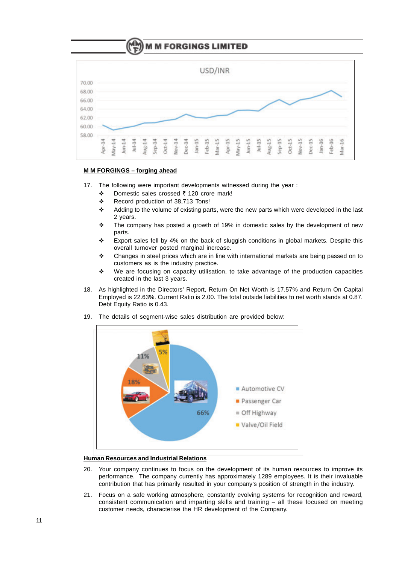

#### **M M FORGINGS – forging ahead**

- 17. The following were important developments witnessed during the year :
	- ◆ Domestic sales crossed ₹ 120 crore mark!
	- \* Record production of 38,713 Tons!
	- Adding to the volume of existing parts, were the new parts which were developed in the last 2 years.
	- $\div$  The company has posted a growth of 19% in domestic sales by the development of new parts.
	- $\div$  Export sales fell by 4% on the back of sluggish conditions in global markets. Despite this overall turnover posted marginal increase.
	- $\cdot \cdot$  Changes in steel prices which are in line with international markets are being passed on to customers as is the industry practice.
	- $\cdot \cdot$  We are focusing on capacity utilisation, to take advantage of the production capacities created in the last 3 years.
- 18. As highlighted in the Directors' Report, Return On Net Worth is 17.57% and Return On Capital Employed is 22.63%. Current Ratio is 2.00. The total outside liabilities to net worth stands at 0.87. Debt Equity Ratio is 0.43.
- 19. The details of segment-wise sales distribution are provided below:



### **Human Resources and Industrial Relations**

- 20. Your company continues to focus on the development of its human resources to improve its performance. The company currently has approximately 1289 employees. It is their invaluable contribution that has primarily resulted in your company's position of strength in the industry.
- 21. Focus on a safe working atmosphere, constantly evolving systems for recognition and reward, consistent communication and imparting skills and training – all these focused on meeting customer needs, characterise the HR development of the Company.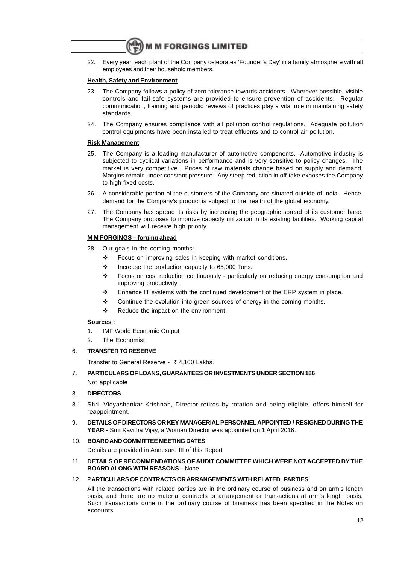22. Every year, each plant of the Company celebrates 'Founder's Day' in a family atmosphere with all employees and their household members.

#### **Health, Safety and Environment**

- 23. The Company follows a policy of zero tolerance towards accidents. Wherever possible, visible controls and fail-safe systems are provided to ensure prevention of accidents. Regular communication, training and periodic reviews of practices play a vital role in maintaining safety standards.
- 24. The Company ensures compliance with all pollution control regulations. Adequate pollution control equipments have been installed to treat effluents and to control air pollution.

#### **Risk Management**

- 25. The Company is a leading manufacturer of automotive components. Automotive industry is subjected to cyclical variations in performance and is very sensitive to policy changes. The market is very competitive. Prices of raw materials change based on supply and demand. Margins remain under constant pressure. Any steep reduction in off-take exposes the Company to high fixed costs.
- 26. A considerable portion of the customers of the Company are situated outside of India. Hence, demand for the Company's product is subject to the health of the global economy.
- 27. The Company has spread its risks by increasing the geographic spread of its customer base. The Company proposes to improve capacity utilization in its existing facilities. Working capital management will receive high priority.

#### **M M FORGINGS – forging ahead**

- 28. Our goals in the coming months:
	- $\div$  Focus on improving sales in keeping with market conditions.
	- $\cdot$  Increase the production capacity to 65,000 Tons.
	- v Focus on cost reduction continuously particularly on reducing energy consumption and improving productivity.
	- $\div$  Enhance IT systems with the continued development of the ERP system in place.
	- \* Continue the evolution into green sources of energy in the coming months.
	- $\div$  Reduce the impact on the environment.

#### **Sources :**

- 1. IMF World Economic Output
- 2. The Economist

#### 6. **TRANSFER TO RESERVE**

Transfer to General Reserve -  $\bar{\tau}$  4,100 Lakhs.

## 7. **PARTICULARS OF LOANS, GUARANTEES OR INVESTMENTS UNDER SECTION 186**

Not applicable

#### 8. **DIRECTORS**

- 8.1 Shri. Vidyashankar Krishnan, Director retires by rotation and being eligible, offers himself for reappointment.
- 9. **DETAILS OF DIRECTORS OR KEY MANAGERIAL PERSONNELAPPOINTED / RESIGNED DURING THE YEAR -** Smt Kavitha Vijay, a Woman Director was appointed on 1 April 2016.

#### 10. **BOARD AND COMMITTEE MEETING DATES**

Details are provided in Annexure III of this Report

11. **DETAILS OF RECOMMENDATIONS OF AUDIT COMMITTEE WHICH WERE NOT ACCEPTED BY THE BOARD ALONG WITH REASONS –** None

#### 12. P**ARTICULARS OF CONTRACTS OR ARRANGEMENTS WITH RELATED PARTIES**

All the transactions with related parties are in the ordinary course of business and on arm's length basis; and there are no material contracts or arrangement or transactions at arm's length basis. Such transactions done in the ordinary course of business has been specified in the Notes on accounts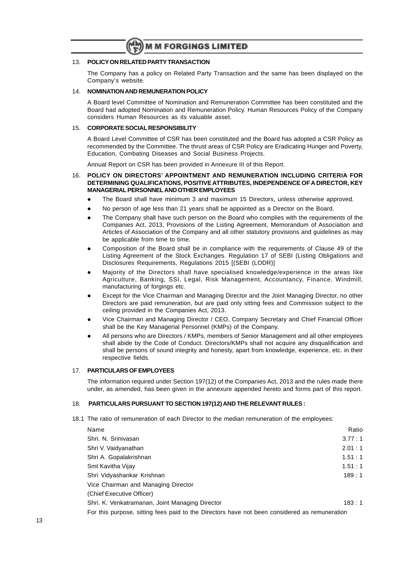#### 13. **POLICY ON RELATED PARTY TRANSACTION**

The Company has a policy on Related Party Transaction and the same has been displayed on the Company's website.

#### 14. **NOMINATION AND REMUNERATION POLICY**

A Board level Committee of Nomination and Remuneration Committee has been constituted and the Board had adopted Nomination and Remuneration Policy. Human Resources Policy of the Company considers Human Resources as its valuable asset.

#### 15. **CORPORATE SOCIAL RESPONSIBILITY**

A Board Level Committee of CSR has been constituted and the Board has adopted a CSR Policy as recommended by the Committee. The thrust areas of CSR Policy are Eradicating Hunger and Poverty, Education, Combating Diseases and Social Business Projects.

Annual Report on CSR has been provided in Annexure III of this Report.

#### 16. **POLICY ON DIRECTORS' APPOINTMENT AND REMUNERATION INCLUDING CRITERIA FOR DETERMINING QUALIFICATIONS, POSITIVE ATTRIBUTES, INDEPENDENCE OF A DIRECTOR, KEY MANAGERIAL PERSONNEL AND OTHER EMPLOYEES**

- The Board shall have minimum 3 and maximum 15 Directors, unless otherwise approved.
- No person of age less than 21 years shall be appointed as a Director on the Board.
- The Company shall have such person on the Board who complies with the requirements of the Companies Act, 2013, Provisions of the Listing Agreement, Memorandum of Association and Articles of Association of the Company and all other statutory provisions and guidelines as may be applicable from time to time.
- l Composition of the Board shall be in compliance with the requirements of Clause 49 of the Listing Agreement of the Stock Exchanges. Regulation 17 of SEBI (Listing Obligations and Disclosures Requirements, Regulations 2015 [(SEBI (LODR)]
- l Majority of the Directors shall have specialised knowledge/experience in the areas like Agriculture, Banking, SSI, Legal, Risk Management, Accountancy, Finance, Windmill, manufacturing of forgings etc.
- Except for the Vice Chairman and Managing Director and the Joint Managing Director, no other Directors are paid remuneration, but are paid only sitting fees and Commission subject to the ceiling provided in the Companies Act, 2013.
- l Vice Chairman and Managing Director / CEO, Company Secretary and Chief Financial Officer shall be the Key Managerial Personnel (KMPs) of the Company.
- All persons who are Directors / KMPs, members of Senior Management and all other employees shall abide by the Code of Conduct. Directors/KMPs shall not acquire any disqualification and shall be persons of sound integrity and honesty, apart from knowledge, experience, etc. in their respective fields.

#### 17. **PARTICULARS OF EMPLOYEES**

The information required under Section 197(12) of the Companies Act, 2013 and the rules made there under, as amended, has been given in the annexure appended hereto and forms part of this report.

#### 18. **PARTICULARS PURSUANT TO SECTION 197(12) AND THE RELEVANT RULES :**

18.1 The ratio of remuneration of each Director to the median remuneration of the employees:

| Name                                                                                          | Ratio  |  |  |  |  |
|-----------------------------------------------------------------------------------------------|--------|--|--|--|--|
| Shri, N. Srinivasan                                                                           | 3.77:1 |  |  |  |  |
| Shri V. Vaidyanathan                                                                          | 2.01:1 |  |  |  |  |
| Shri A. Gopalakrishnan                                                                        | 1.51:1 |  |  |  |  |
| Smt Kavitha Vijay                                                                             | 1.51:1 |  |  |  |  |
| Shri Vidyashankar Krishnan                                                                    | 189:1  |  |  |  |  |
| Vice Chairman and Managing Director                                                           |        |  |  |  |  |
| (Chief Executive Officer)                                                                     |        |  |  |  |  |
| Shri. K. Venkatramanan, Joint Managing Director                                               | 183:1  |  |  |  |  |
| For this purpose, sitting fees paid to the Directors have not been considered as remuneration |        |  |  |  |  |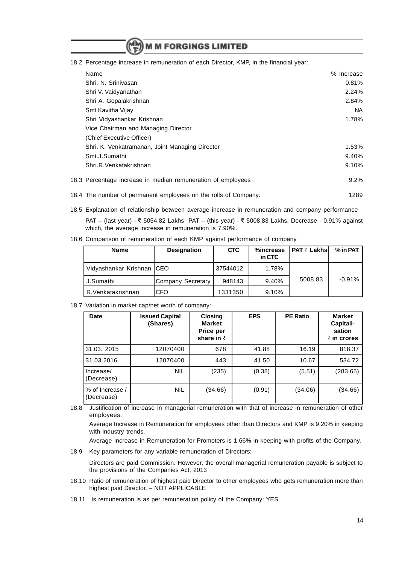18.2 Percentage increase in remuneration of each Director, KMP, in the financial year:

| Name                                                           | % Increase |
|----------------------------------------------------------------|------------|
| Shri. N. Srinivasan                                            | 0.81%      |
| Shri V. Vaidyanathan                                           | 2.24%      |
| Shri A. Gopalakrishnan                                         | 2.84%      |
| Smt Kavitha Vijay                                              | NA.        |
| Shri Vidyashankar Krishnan                                     | 1.78%      |
| Vice Chairman and Managing Director                            |            |
| (Chief Executive Officer)                                      |            |
| Shri. K. Venkatramanan, Joint Managing Director                | 1.53%      |
| Smt.J.Sumathi                                                  | 9.40%      |
| Shri.R.Venkatakrishnan                                         | 9.10%      |
| 18.3 Percentage increase in median remuneration of employees : | $9.2\%$    |

- 18.4 The number of permanent employees on the rolls of Company: 1289
- 18.5 Explanation of relationship between average increase in remuneration and company performance

PAT – (last year) -  $\bar{\tau}$  5054.82 Lakhs PAT – (this year) -  $\bar{\tau}$  5008.83 Lakhs, Decrease - 0.91% against which, the average increase in remuneration is 7.90%.

18.6 Comparison of remuneration of each KMP against performance of company

| <b>Name</b>                | <b>Designation</b> | <b>CTC</b> | %increase<br>in CTC | PAT ₹ Lakhs | % in PAT |
|----------------------------|--------------------|------------|---------------------|-------------|----------|
| Vidyashankar Krishnan ICEO |                    | 37544012   | 1.78%               |             |          |
| J.Sumathi                  | Company Secretary  | 948143     | 9.40%               | 5008.83     | $-0.91%$ |
| R.Venkatakrishnan          | <b>CFO</b>         | 1331350    | 9.10%               |             |          |

18.7 Variation in market cap/net worth of company:

| <b>Date</b>                   | <b>Issued Capital</b><br>(Shares) | <b>Closing</b><br><b>Market</b><br>Price per<br>share in $\bar{z}$ | <b>EPS</b> | <b>PE Ratio</b> | <b>Market</b><br>Capitali-<br>sation<br>$\bar{\tau}$ in crores |
|-------------------------------|-----------------------------------|--------------------------------------------------------------------|------------|-----------------|----------------------------------------------------------------|
| 31.03. 2015                   | 12070400                          | 678                                                                | 41.88      | 16.19           | 818.37                                                         |
| 31.03.2016                    | 12070400                          | 443                                                                | 41.50      | 10.67           | 534.72                                                         |
| Increase/<br>(Decrease)       | <b>NIL</b>                        | (235)                                                              | (0.38)     | (5.51)          | (283.65)                                                       |
| % of Increase /<br>(Decrease) | <b>NIL</b>                        | (34.66)                                                            | (0.91)     | (34.06)         | (34.66)                                                        |

18.8 Justification of increase in managerial remuneration with that of increase in remuneration of other employees.

Average Increase in Remuneration for employees other than Directors and KMP is 9.20% in keeping with industry trends.

Average Increase in Remuneration for Promoters is 1.66% in keeping with profits of the Company.

18.9 Key parameters for any variable remuneration of Directors:

Directors are paid Commission. However, the overall managerial remuneration payable is subject to the provisions of the Companies Act, 2013

- 18.10 Ratio of remuneration of highest paid Director to other employees who gets remuneration more than highest paid Director. – NOT APPLICABLE
- 18.11 Is remuneration is as per remuneration policy of the Company: YES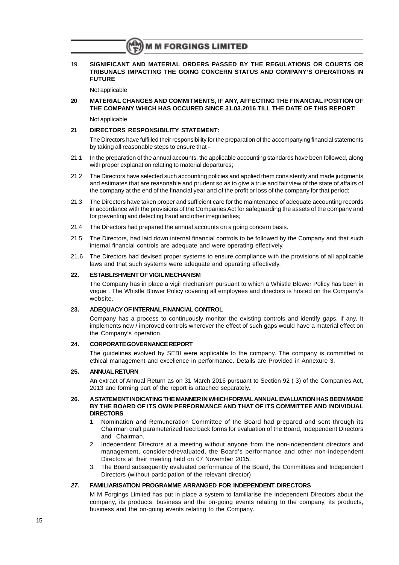19. **SIGNIFICANT AND MATERIAL ORDERS PASSED BY THE REGULATIONS OR COURTS OR TRIBUNALS IMPACTING THE GOING CONCERN STATUS AND COMPANY'S OPERATIONS IN FUTURE**

Not applicable

**20 MATERIAL CHANGES AND COMMITMENTS, IF ANY, AFFECTING THE FINANCIAL POSITION OF THE COMPANY WHICH HAS OCCURED SINCE 31.03.2016 TILL THE DATE OF THIS REPORT:** Not applicable

#### **21 DIRECTORS RESPONSIBILITY STATEMENT:**

The Directors have fulfilled their responsibility for the preparation of the accompanying financial statements by taking all reasonable steps to ensure that -

- 21.1 In the preparation of the annual accounts, the applicable accounting standards have been followed, along with proper explanation relating to material departures;
- 21.2 The Directors have selected such accounting policies and applied them consistently and made judgments and estimates that are reasonable and prudent so as to give a true and fair view of the state of affairs of the company at the end of the financial year and of the profit or loss of the company for that period;
- 21.3 The Directors have taken proper and sufficient care for the maintenance of adequate accounting records in accordance with the provisions of the Companies Act for safeguarding the assets of the company and for preventing and detecting fraud and other irregularities;
- 21.4 The Directors had prepared the annual accounts on a going concern basis.
- 21.5 The Directors, had laid down internal financial controls to be followed by the Company and that such internal financial controls are adequate and were operating effectively.
- 21.6 The Directors had devised proper systems to ensure compliance with the provisions of all applicable laws and that such systems were adequate and operating effectively.

#### **22. ESTABLISHMENT OF VIGIL MECHANISM**

The Company has in place a vigil mechanism pursuant to which a Whistle Blower Policy has been in vogue . The Whistle Blower Policy covering all employees and directors is hosted on the Company's website.

#### **23. ADEQUACY OF INTERNAL FINANCIAL CONTROL**

Company has a process to continuously monitor the existing controls and identify gaps, if any. It implements new / improved controls wherever the effect of such gaps would have a material effect on the Company's operation.

#### **24. CORPORATE GOVERNANCE REPORT**

The guidelines evolved by SEBI were applicable to the company. The company is committed to ethical management and excellence in performance. Details are Provided in Annexure 3.

#### **25. ANNUAL RETURN**

An extract of Annual Return as on 31 March 2016 pursuant to Section 92 ( 3) of the Companies Act, 2013 and forming part of the report is attached separately**.**

#### **26. A STATEMENT INDICATING THE MANNER IN WHICH FORMALANNUAL EVALUATION HAS BEEN MADE BY THE BOARD OF ITS OWN PERFORMANCE AND THAT OF ITS COMMITTEE AND INDIVIDUAL DIRECTORS**

- 1. Nomination and Remuneration Committee of the Board had prepared and sent through its Chairman draft parameterized feed back forms for evaluation of the Board, Independent Directors and Chairman.
- 2. Independent Directors at a meeting without anyone from the non-independent directors and management, considered/evaluated, the Board's performance and other non-independent Directors at their meeting held on 07 November 2015.
- 3. The Board subsequently evaluated performance of the Board, the Committees and Independent Directors (without participation of the relevant director)

#### **27. FAMILIARISATION PROGRAMME ARRANGED FOR INDEPENDENT DIRECTORS**

M M Forgings Limited has put in place a system to familiarise the Independent Directors about the company, its products, business and the on-going events relating to the company, its products, business and the on-going events relating to the Company.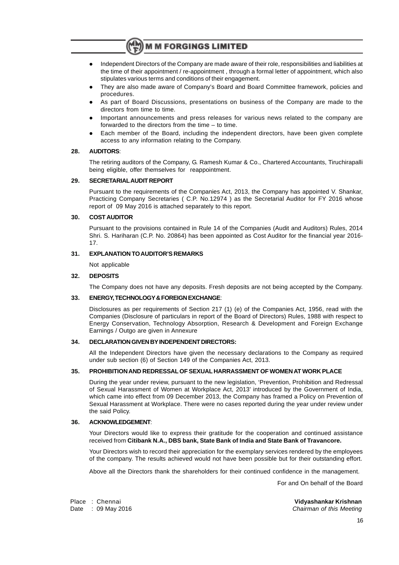- l Independent Directors of the Company are made aware of their role, responsibilities and liabilities at the time of their appointment / re-appointment , through a formal letter of appointment, which also stipulates various terms and conditions of their engagement.
- l They are also made aware of Company's Board and Board Committee framework, policies and procedures.
- As part of Board Discussions, presentations on business of the Company are made to the directors from time to time.
- Important announcements and press releases for various news related to the company are forwarded to the directors from the time – to time.
- Each member of the Board, including the independent directors, have been given complete access to any information relating to the Company.

#### **28. AUDITORS**:

The retiring auditors of the Company, G. Ramesh Kumar & Co., Chartered Accountants, Tiruchirapalli being eligible, offer themselves for reappointment.

#### **29. SECRETARIALAUDIT REPORT**

Pursuant to the requirements of the Companies Act, 2013, the Company has appointed V. Shankar, Practicing Company Secretaries ( C.P. No.12974 ) as the Secretarial Auditor for FY 2016 whose report of 09 May 2016 is attached separately to this report.

#### **30. COST AUDITOR**

Pursuant to the provisions contained in Rule 14 of the Companies (Audit and Auditors) Rules, 2014 Shri. S. Hariharan (C.P. No. 20864) has been appointed as Cost Auditor for the financial year 2016- 17.

#### **31. EXPLANATION TO AUDITOR'S REMARKS**

Not applicable

#### **32. DEPOSITS**

The Company does not have any deposits. Fresh deposits are not being accepted by the Company.

#### **33. ENERGY, TECHNOLOGY & FOREIGN EXCHANGE**:

Disclosures as per requirements of Section 217 (1) (e) of the Companies Act, 1956, read with the Companies (Disclosure of particulars in report of the Board of Directors) Rules, 1988 with respect to Energy Conservation, Technology Absorption, Research & Development and Foreign Exchange Earnings / Outgo are given in Annexure

#### **34. DECLARATION GIVEN BY INDEPENDENT DIRECTORS:**

All the Independent Directors have given the necessary declarations to the Company as required under sub section (6) of Section 149 of the Companies Act, 2013.

#### **35. PROHIBITION AND REDRESSAL OF SEXUAL HARRASSMENT OF WOMEN AT WORK PLACE**

During the year under review, pursuant to the new legislation, 'Prevention, Prohibition and Redressal of Sexual Harassment of Women at Workplace Act, 2013' introduced by the Government of India, which came into effect from 09 December 2013, the Company has framed a Policy on Prevention of Sexual Harassment at Workplace. There were no cases reported during the year under review under the said Policy.

#### **36. ACKNOWLEDGEMENT**:

Your Directors would like to express their gratitude for the cooperation and continued assistance received from **Citibank N.A., DBS bank, State Bank of India and State Bank of Travancore.**

Your Directors wish to record their appreciation for the exemplary services rendered by the employees of the company. The results achieved would not have been possible but for their outstanding effort.

Above all the Directors thank the shareholders for their continued confidence in the management.

For and On behalf of the Board

Place : Chennai **Vidyashankar Krishnan** Date : 09 May 2016 Chairman of this Meeting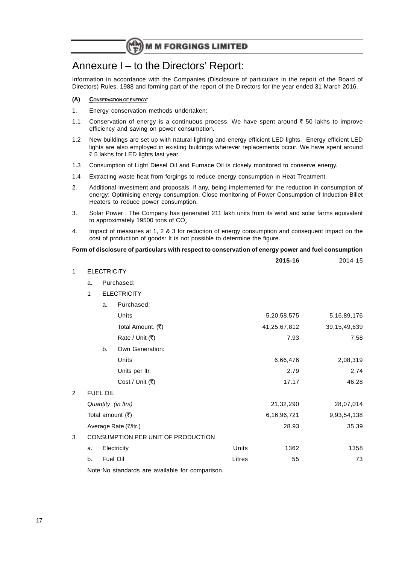# Annexure I – to the Directors' Report:

Information in accordance with the Companies (Disclosure of particulars in the report of the Board of Directors) Rules, 1988 and forming part of the report of the Directors for the year ended 31 March 2016.

#### **(A) CONSERVATION OF ENERGY**:

- 1. Energy conservation methods undertaken:
- 1.1 Conservation of energy is a continuous process. We have spent around  $\bar{\tau}$  50 lakhs to improve efficiency and saving on power consumption.
- 1.2 New buildings are set up with natural lighting and energy efficient LED lights. Energy efficient LED lights are also employed in existing buildings wherever replacements occur. We have spent around ₹ 5 lakhs for LED lights last year.
- 1.3 Consumption of Light Diesel Oil and Furnace Oil is closely monitored to conserve energy.
- 1.4 Extracting waste heat from forgings to reduce energy consumption in Heat Treatment.
- 2. Additional investment and proposals, if any, being implemented for the reduction in consumption of energy: Optimising energy consumption. Close monitoring of Power Consumption of Induction Billet Heaters to reduce power consumption.
- 3. Solar Power : The Company has generated 211 lakh units from its wind and solar farms equivalent to approximately 19500 tons of CO<sub>2</sub>.
- 4. Impact of measures at 1, 2 & 3 for reduction of energy consumption and consequent impact on the cost of production of goods: It is not possible to determine the figure.

#### **Form of disclosure of particulars with respect to conservation of energy power and fuel consumption**

|                |    |                    |                                                      |        | 2015-16      | 2014-15         |
|----------------|----|--------------------|------------------------------------------------------|--------|--------------|-----------------|
| $\mathbf{1}$   |    | <b>ELECTRICITY</b> |                                                      |        |              |                 |
|                | a. |                    | Purchased:                                           |        |              |                 |
|                | 1  |                    | <b>ELECTRICITY</b>                                   |        |              |                 |
|                |    | a.                 | Purchased:                                           |        |              |                 |
|                |    |                    | Units                                                |        | 5,20,58,575  | 5, 16, 89, 176  |
|                |    |                    | Total Amount. (₹)                                    |        | 41,25,67,812 | 39, 15, 49, 639 |
|                |    |                    | Rate / Unit (₹)                                      |        | 7.93         | 7.58            |
|                |    | b.                 | Own Generation:                                      |        |              |                 |
|                |    |                    | Units                                                |        | 6,66,476     | 2,08,319        |
|                |    |                    | Units per Itr.                                       |        | 2.79         | 2.74            |
|                |    |                    | Cost / Unit (₹)                                      |        | 17.17        | 46.28           |
| $\overline{2}$ |    | <b>FUEL OIL</b>    |                                                      |        |              |                 |
|                |    |                    | Quantity (in Itrs)                                   |        | 21,32,290    | 28,07,014       |
|                |    |                    | Total amount $(\overline{\tau})$                     |        | 6,16,96,721  | 9,93,54,138     |
|                |    |                    | Average Rate (₹/ltr.)                                |        | 28.93        | 35.39           |
| 3              |    |                    | CONSUMPTION PER UNIT OF PRODUCTION                   |        |              |                 |
|                | a. |                    | Electricity                                          | Units  | 1362         | 1358            |
|                | b. |                    | Fuel Oil                                             | Litres | 55           | 73              |
|                |    |                    | NisterNie etanglaughe aus arraileble fau aanomaniaau |        |              |                 |

Note:No standards are available for comparison.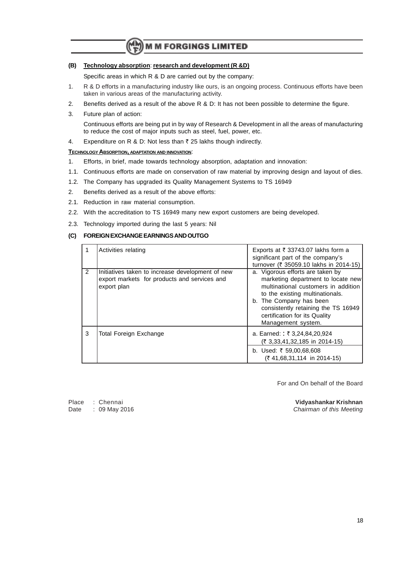#### **(B) Technology absorption**: **research and development (R &D)**

Specific areas in which R & D are carried out by the company:

- 1. R & D efforts in a manufacturing industry like ours, is an ongoing process. Continuous efforts have been taken in various areas of the manufacturing activity.
- 2. Benefits derived as a result of the above R & D: It has not been possible to determine the figure.
- 3. Future plan of action: Continuous efforts are being put in by way of Research & Development in all the areas of manufacturing to reduce the cost of major inputs such as steel, fuel, power, etc.
- 4. Expenditure on R & D: Not less than  $\bar{z}$  25 lakhs though indirectly.

#### **TECHNOLOGYABSORPTION, ADAPTATION AND INNOVATION**:

- 1. Efforts, in brief, made towards technology absorption, adaptation and innovation:
- 1.1. Continuous efforts are made on conservation of raw material by improving design and layout of dies.
- 1.2. The Company has upgraded its Quality Management Systems to TS 16949
- 2. Benefits derived as a result of the above efforts:
- 2.1. Reduction in raw material consumption.
- 2.2. With the accreditation to TS 16949 many new export customers are being developed.
- 2.3. Technology imported during the last 5 years: Nil

#### **(C) FOREIGN EXCHANGE EARNINGS AND OUTGO**

|   | Activities relating                                                                                             | Exports at $\bar{\tau}$ 33743.07 lakhs form a<br>significant part of the company's<br>turnover (₹ 35059.10 lakhs in 2014-15)                                                                                                                                              |
|---|-----------------------------------------------------------------------------------------------------------------|---------------------------------------------------------------------------------------------------------------------------------------------------------------------------------------------------------------------------------------------------------------------------|
| 2 | Initiatives taken to increase development of new<br>export markets for products and services and<br>export plan | a. Vigorous efforts are taken by<br>marketing department to locate new<br>multinational customers in addition<br>to the existing multinationals.<br>b. The Company has been<br>consistently retaining the TS 16949<br>certification for its Quality<br>Management system. |
| 3 | Total Foreign Exchange                                                                                          | a. Earned: : ₹ 3,24,84,20,924<br>(₹ 3,33,41,32,185 in 2014-15)                                                                                                                                                                                                            |
|   |                                                                                                                 | b. Used: ₹ 59,00,68,608<br>$(741,68,31,114$ in 2014-15)                                                                                                                                                                                                                   |

For and On behalf of the Board

Place : Chennai **Vidyashankar Krishnan** Date : 09 May 2016 **Chairman of this Meeting**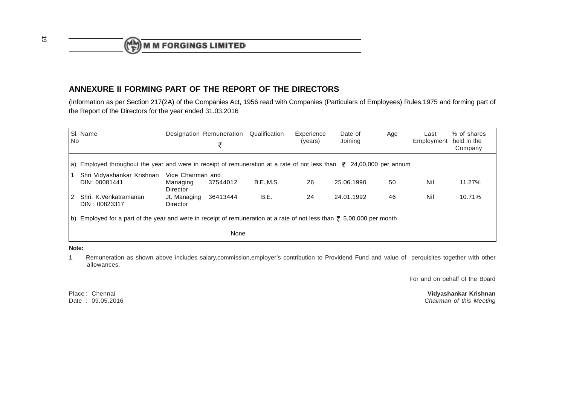$\binom{M}{F}$  M M FORGINGS LIMITED

## **ANNEXURE II FORMING PART OF THE REPORT OF THE DIRECTORS**

 (Information as per Section 217(2A) of the Companies Act, 1956 read with Companies (Particulars of Employees) Rules,1975 and forming part ofthe Report of the Directors for the year ended 31.03.2016

| <b>No</b> | SI. Name                                                                                                                            |                                           | Designation Remuneration<br>₹ | Qualification    | Experience<br>(years) | Date of<br>Joining | Age | Last<br>Employment | % of shares<br>held in the<br>Company |
|-----------|-------------------------------------------------------------------------------------------------------------------------------------|-------------------------------------------|-------------------------------|------------------|-----------------------|--------------------|-----|--------------------|---------------------------------------|
|           | a) Employed throughout the year and were in receipt of remuneration at a rate of not less than $\bar{\tau}$ 24,00,000 per annum     |                                           |                               |                  |                       |                    |     |                    |                                       |
|           | Shri Vidyashankar Krishnan<br>DIN: 00081441                                                                                         | Vice Chairman and<br>Managing<br>Director | 37544012                      | <b>B.E.,M.S.</b> | 26                    | 25.06.1990         | 50  | Nil                | 11.27%                                |
| 2         | Shri. K.Venkatramanan<br>DIN: 00823317                                                                                              | Jt. Managing<br>Director                  | 36413444                      | B.E.             | 24                    | 24.01.1992         | 46  | Nil                | 10.71%                                |
|           | b) Employed for a part of the year and were in receipt of remuneration at a rate of not less than $\overline{z}$ 5,00,000 per month |                                           |                               |                  |                       |                    |     |                    |                                       |
|           | None                                                                                                                                |                                           |                               |                  |                       |                    |     |                    |                                       |

- **Note:**
- 1. Remuneration as shown above includes salary,commission,employer's contribution to Providend Fund and value of perquisites together with otherallowances.

For and on behalf of the Board

Place: Chennai Date: 09.05.2016

**Vidyashankar Krishnan** e : 09.05.2016 Chairman of this Meeting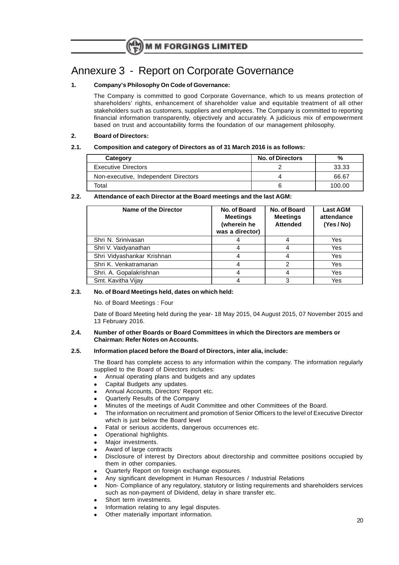# Annexure 3 - Report on Corporate Governance

#### **1. Company's Philosophy On Code of Governance:**

The Company is committed to good Corporate Governance, which to us means protection of shareholders' rights, enhancement of shareholder value and equitable treatment of all other stakeholders such as customers, suppliers and employees. The Company is committed to reporting financial information transparently, objectively and accurately. A judicious mix of empowerment based on trust and accountability forms the foundation of our management philosophy.

#### **2. Board of Directors:**

#### **2.1. Composition and category of Directors as of 31 March 2016 is as follows:**

| Category                             | <b>No. of Directors</b> | %      |
|--------------------------------------|-------------------------|--------|
| <b>Executive Directors</b>           |                         | 33.33  |
| Non-executive, Independent Directors | Δ                       | 66.67  |
| Total                                | b                       | 100.00 |

#### **2.2. Attendance of each Director at the Board meetings and the last AGM:**

| Name of the Director       | No. of Board<br><b>Meetings</b><br>(wherein he<br>was a director) | No. of Board<br><b>Meetings</b><br><b>Attended</b> | <b>Last AGM</b><br>attendance<br>(Yes/No) |
|----------------------------|-------------------------------------------------------------------|----------------------------------------------------|-------------------------------------------|
| Shri N. Sriniyasan         |                                                                   | 4                                                  | Yes                                       |
| Shri V. Vaidyanathan       |                                                                   | 4                                                  | Yes                                       |
| Shri Vidyashankar Krishnan |                                                                   | 4                                                  | Yes                                       |
| Shri K. Venkatramanan      |                                                                   | 2                                                  | Yes                                       |
| Shri. A. Gopalakrishnan    |                                                                   | 4                                                  | Yes                                       |
| Smt. Kavitha Vijay         |                                                                   | 3                                                  | Yes                                       |

#### **2.3. No. of Board Meetings held, dates on which held:**

No. of Board Meetings : Four

Date of Board Meeting held during the year- 18 May 2015, 04 August 2015, 07 November 2015 and 13 February 2016.

#### **2.4. Number of other Boards or Board Committees in which the Directors are members or Chairman: Refer Notes on Accounts.**

#### **2.5. Information placed before the Board of Directors, inter alia, include:**

The Board has complete access to any information within the company. The information regularly supplied to the Board of Directors includes:

- <sup>l</sup> Annual operating plans and budgets and any updates
- Capital Budgets any updates.
- Annual Accounts, Directors' Report etc.
- Quarterly Results of the Company
- Minutes of the meetings of Audit Committee and other Committees of the Board.
- The information on recruitment and promotion of Senior Officers to the level of Executive Director which is just below the Board level
- Fatal or serious accidents, dangerous occurrences etc.
- Operational highlights.
- Major investments.
- Award of large contracts
- Disclosure of interest by Directors about directorship and committee positions occupied by them in other companies.
- Quarterly Report on foreign exchange exposures.
- Any significant development in Human Resources / Industrial Relations
- <sup>l</sup> Non- Compliance of any regulatory, statutory or listing requirements and shareholders services such as non-payment of Dividend, delay in share transfer etc.
- Short term investments.
- Information relating to any legal disputes.
- Other materially important information.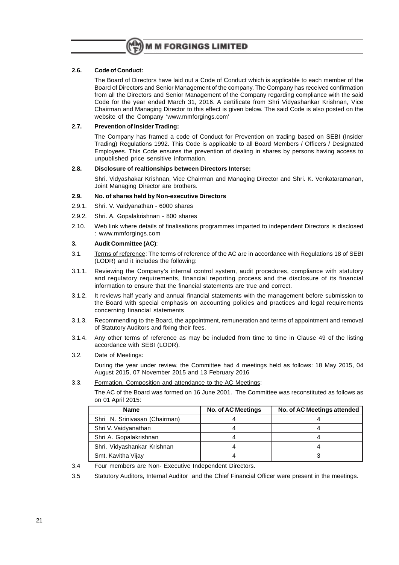

#### **2.6. Code of Conduct:**

The Board of Directors have laid out a Code of Conduct which is applicable to each member of the Board of Directors and Senior Management of the company. The Company has received confirmation from all the Directors and Senior Management of the Company regarding compliance with the said Code for the year ended March 31, 2016. A certificate from Shri Vidyashankar Krishnan, Vice Chairman and Managing Director to this effect is given below. The said Code is also posted on the website of the Company 'www.mmforgings.com'

#### **2.7. Prevention of Insider Trading:**

The Company has framed a code of Conduct for Prevention on trading based on SEBI (Insider Trading) Regulations 1992. This Code is applicable to all Board Members / Officers / Designated Employees. This Code ensures the prevention of dealing in shares by persons having access to unpublished price sensitive information.

#### **2.8. Disclosure of realtionships between Directors Interse:**

Shri. Vidyashakar Krishnan, Vice Chairman and Managing Director and Shri. K. Venkataramanan, Joint Managing Director are brothers.

#### **2.9. No. of shares held by Non-executive Directors**

- 2.9.1. Shri. V. Vaidyanathan 6000 shares
- 2.9.2. Shri. A. Gopalakrishnan 800 shares
- 2.10. Web link where details of finalisations programmes imparted to independent Directors is disclosed : www.mmforgings.com

#### **3. Audit Committee (AC)**:

- 3.1. Terms of reference: The terms of reference of the AC are in accordance with Regulations 18 of SEBI (LODR) and it includes the following:
- 3.1.1. Reviewing the Company's internal control system, audit procedures, compliance with statutory and regulatory requirements, financial reporting process and the disclosure of its financial information to ensure that the financial statements are true and correct.
- 3.1.2. It reviews half yearly and annual financial statements with the management before submission to the Board with special emphasis on accounting policies and practices and legal requirements concerning financial statements
- 3.1.3. Recommending to the Board, the appointment, remuneration and terms of appointment and removal of Statutory Auditors and fixing their fees.
- 3.1.4. Any other terms of reference as may be included from time to time in Clause 49 of the listing accordance with SEBI (LODR).

#### 3.2. Date of Meetings:

During the year under review, the Committee had 4 meetings held as follows: 18 May 2015, 04 August 2015, 07 November 2015 and 13 February 2016

3.3. Formation, Composition and attendance to the AC Meetings:

The AC of the Board was formed on 16 June 2001. The Committee was reconstituted as follows as on 01 April 2015:

| <b>Name</b>                   | <b>No. of AC Meetings</b> | No. of AC Meetings attended |
|-------------------------------|---------------------------|-----------------------------|
| Shri N. Srinivasan (Chairman) |                           |                             |
| Shri V. Vaidyanathan          |                           |                             |
| Shri A. Gopalakrishnan        |                           |                             |
| Shri. Vidyashankar Krishnan   |                           |                             |
| Smt. Kavitha Vijay            |                           |                             |

3.4 Four members are Non- Executive Independent Directors.

3.5 Statutory Auditors, Internal Auditor and the Chief Financial Officer were present in the meetings.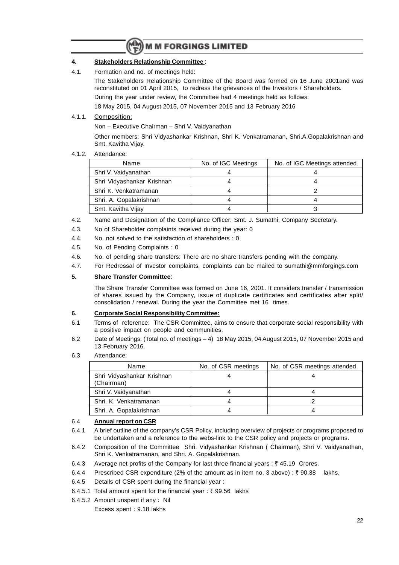### **4. Stakeholders Relationship Committee** :

4.1. Formation and no. of meetings held:

The Stakeholders Relationship Committee of the Board was formed on 16 June 2001and was reconstituted on 01 April 2015, to redress the grievances of the Investors / Shareholders.

During the year under review, the Committee had 4 meetings held as follows:

18 May 2015, 04 August 2015, 07 November 2015 and 13 February 2016

4.1.1. Composition:

Non – Executive Chairman – Shri V. Vaidyanathan

Other members: Shri Vidyashankar Krishnan, Shri K. Venkatramanan, Shri.A.Gopalakrishnan and Smt. Kavitha Vijay.

#### 4.1.2. Attendance:

| Name                       | No. of IGC Meetings | No. of IGC Meetings attended |
|----------------------------|---------------------|------------------------------|
| Shri V. Vaidyanathan       |                     |                              |
| Shri Vidyashankar Krishnan |                     |                              |
| Shri K. Venkatramanan      |                     |                              |
| Shri. A. Gopalakrishnan    |                     |                              |
| Smt. Kavitha Vijay         |                     |                              |

- 4.2. Name and Designation of the Compliance Officer: Smt. J. Sumathi, Company Secretary.
- 4.3. No of Shareholder complaints received during the year: 0
- 4.4. No. not solved to the satisfaction of shareholders : 0
- 4.5. No. of Pending Complaints : 0
- 4.6. No. of pending share transfers: There are no share transfers pending with the company.
- 4.7. For Redressal of Investor complaints, complaints can be mailed to sumathi@mmforgings.com

#### **5. Share Transfer Committee**:

The Share Transfer Committee was formed on June 16, 2001. It considers transfer / transmission of shares issued by the Company, issue of duplicate certificates and certificates after split/ consolidation / renewal. During the year the Committee met 16 times.

#### **6. Corporate Social Responsibility Committee:**

- 6.1 Terms of reference: The CSR Committee, aims to ensure that corporate social responsibility with a positive impact on people and communities.
- 6.2 Date of Meetings: (Total no. of meetings 4) 18 May 2015, 04 August 2015, 07 November 2015 and 13 February 2016.
- 6.3 Attendance:

| Name                                     | No. of CSR meetings | No. of CSR meetings attended |
|------------------------------------------|---------------------|------------------------------|
| Shri Vidyashankar Krishnan<br>(Chairman) |                     |                              |
| Shri V. Vaidyanathan                     |                     |                              |
| Shri. K. Venkatramanan                   |                     |                              |
| Shri. A. Gopalakrishnan                  |                     |                              |

#### 6.4 **Annual report on CSR**

- 6.4.1 A brief outline of the company's CSR Policy, including overview of projects or programs proposed to be undertaken and a reference to the webs-link to the CSR policy and projects or programs.
- 6.4.2 Composition of the Committee Shri. Vidyashankar Krishnan ( Chairman), Shri V. Vaidyanathan, Shri K. Venkatramanan, and Shri. A. Gopalakrishnan.
- 6.4.3 Average net profits of the Company for last three financial years :  $\bar{z}$  45.19 Crores.
- 6.4.4 Prescribed CSR expenditure (2% of the amount as in item no. 3 above) :  $\bar{\tau}$  90.38 lakhs.
- 6.4.5 Details of CSR spent during the financial year :
- 6.4.5.1 Total amount spent for the financial year:  $\bar{\tau}$  99.56 lakhs
- 6.4.5.2 Amount unspent if any : Nil Excess spent : 9.18 lakhs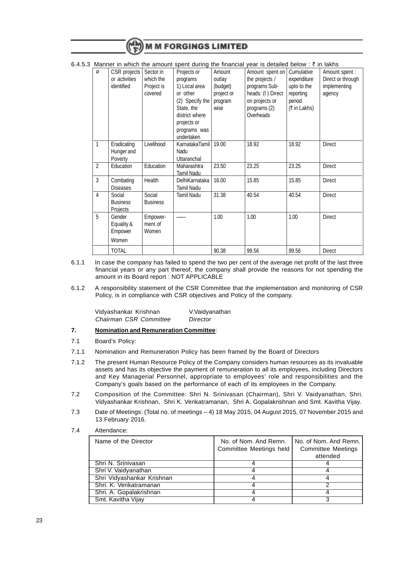|                |                                             |                                                 |                                                                             |                                                       | 6.4.5.3 Manner in which the amount spent during the financial year is detailed below : $\bar{\tau}$ in lakhs |                                                   |                                                               |
|----------------|---------------------------------------------|-------------------------------------------------|-----------------------------------------------------------------------------|-------------------------------------------------------|--------------------------------------------------------------------------------------------------------------|---------------------------------------------------|---------------------------------------------------------------|
| #              | CSR projects<br>or activities<br>identified | Sector in<br>which the<br>Project is<br>covered | Projects or<br>programs<br>1) Local area<br>or other<br>(2) Specify the $ $ | Amount<br>outlay<br>(budget)<br>project or<br>program | Amount spent on   Cumulative<br>the projects /<br>programs Sub-<br>heads: (I) Direct<br>on projects or       | expenditure<br>upto to the<br>reporting<br>period | Amount spent :<br>Direct or through<br>implementing<br>agency |
|                |                                             |                                                 | State, the<br>district where<br>projects or<br>programs was<br>undertaken   | wise                                                  | programs (2)<br>Overheads                                                                                    | (₹ in Lakhs)                                      |                                                               |
| 1              | Eradicating<br>Hunger and<br>Poverty        | Livelihood                                      | KarnatakaTamil<br>Nadu<br>Uttaranchal                                       | 19.00                                                 | 18.92                                                                                                        | 18.92                                             | <b>Direct</b>                                                 |
| $\overline{2}$ | Education                                   | Education                                       | Maharashtra<br><b>Tamil Nadu</b>                                            | 23.50                                                 | 23.25                                                                                                        | 23.25                                             | <b>Direct</b>                                                 |
| 3              | Combating<br><b>Diseases</b>                | Health                                          | DelhiKarnataka<br>Tamil Nadu                                                | 16.00                                                 | 15.85                                                                                                        | 15.85                                             | <b>Direct</b>                                                 |
| 4              | Social<br><b>Business</b><br>Projects       | Social<br><b>Business</b>                       | Tamil Nadu                                                                  | 31.38                                                 | 40.54                                                                                                        | 40.54                                             | <b>Direct</b>                                                 |
| 5              | Gender<br>Equality &<br>Empower<br>Women    | Empower-<br>ment of<br>Women                    |                                                                             | 1.00                                                  | 1.00                                                                                                         | 1.00                                              | Direct                                                        |
|                | <b>TOTAL</b>                                |                                                 |                                                                             | 90.38                                                 | 99.56                                                                                                        | 99.56                                             | Direct                                                        |

- 6.1.1 In case the company has failed to spend the two per cent of the average net profit of the last three financial years or any part thereof, the company shall provide the reasons for not spending the amount in its Board report : NOT APPLICABLE
- 6.1.2 A responsibility statement of the CSR Committee that the implementation and monitoring of CSR Policy, is in compliance with CSR objectives and Policy of the company.

| Vidyashankar Krishnan  | V.Vaidyanathan |
|------------------------|----------------|
| Chairman CSR Committee | Director       |

#### **7. Nomination and Remuneration Committee**:

#### 7.1 Board's Policy:

- 7.1.1 Nomination and Remuneration Policy has been framed by the Board of Directors
- 7.1.2 The present Human Resource Policy of the Company considers human resources as its invaluable assets and has its objective the payment of remuneration to all its employees, including Directors and Key Managerial Personnel, appropriate to employees' role and responsibilities and the Company's goals based on the performance of each of its employees in the Company.
- 7.2 Composition of the Committee: Shri N. Srinivasan (Chairman), Shri V. Vaidyanathan, Shri. Vidyashankar Krishnan, Shri K. Venkatramanan, Shri A. Gopalakrishnan and Smt. Kavitha Vijay.
- 7.3 Date of Meetings: (Total no. of meetings 4) 18 May 2015, 04 August 2015, 07 November 2015 and 13 February 2016.

#### 7.4 Attendance:

| Name of the Director       | No. of Nom. And Remn.<br>Committee Meetings held | No. of Nom. And Remn.<br><b>Committee Meetings</b><br>attended |
|----------------------------|--------------------------------------------------|----------------------------------------------------------------|
| Shri N. Srinivasan         |                                                  |                                                                |
| Shri V. Vaidyanathan       |                                                  |                                                                |
| Shri Vidyashankar Krishnan |                                                  |                                                                |
| Shri, K. Venkatramanan     |                                                  |                                                                |
| Shri. A. Gopalakrishnan    |                                                  |                                                                |
| Smt. Kavitha Vijay         |                                                  |                                                                |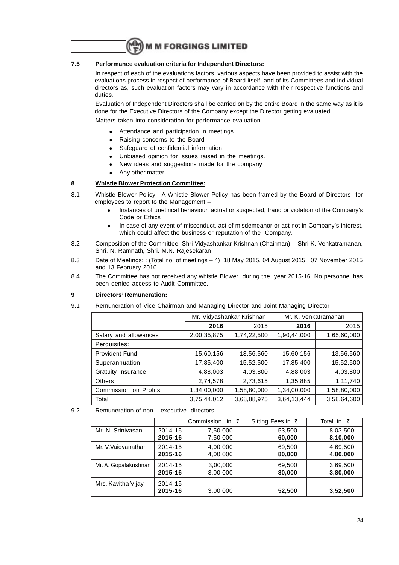#### **7.5 Performance evaluation criteria for Independent Directors:**

In respect of each of the evaluations factors, various aspects have been provided to assist with the evaluations process in respect of performance of Board itself, and of its Committees and individual directors as, such evaluation factors may vary in accordance with their respective functions and duties.

Evaluation of Independent Directors shall be carried on by the entire Board in the same way as it is done for the Executive Directors of the Company except the Director getting evaluated.

Matters taken into consideration for performance evaluation.

- Attendance and participation in meetings
- Raising concerns to the Board
- Safeguard of confidential information
- Unbiased opinion for issues raised in the meetings.
- New ideas and suggestions made for the company
- Any other matter.

#### **8 Whistle Blower Protection Committee:**

- 8.1 Whistle Blower Policy: A Whistle Blower Policy has been framed by the Board of Directors for employees to report to the Management –
	- <sup>l</sup> Instances of unethical behaviour, actual or suspected, fraud or violation of the Company's Code or Ethics
	- In case of any event of misconduct, act of misdemeanor or act not in Company's interest, which could affect the business or reputation of the Company.
- 8.2 Composition of the Committee: Shri Vidyashankar Krishnan (Chairman), Shri K. Venkatramanan, Shri. N. Ramnath**,** Shri. M.N. Rajesekaran
- 8.3 Date of Meetings: : (Total no. of meetings 4) 18 May 2015, 04 August 2015, 07 November 2015 and 13 February 2016
- 8.4 The Committee has not received any whistle Blower during the year 2015-16. No personnel has been denied access to Audit Committee.

#### **9 Directors' Remuneration:**

9.1 Remuneration of Vice Chairman and Managing Director and Joint Managing Director

|                       | Mr. Vidyashankar Krishnan |             | Mr. K. Venkatramanan |             |
|-----------------------|---------------------------|-------------|----------------------|-------------|
|                       | 2016                      | 2015        | 2016                 | 2015        |
| Salary and allowances | 2,00,35,875               | 1,74,22,500 | 1,90,44,000          | 1,65,60,000 |
| Perquisites:          |                           |             |                      |             |
| <b>Provident Fund</b> | 15,60,156                 | 13,56,560   | 15,60,156            | 13,56,560   |
| Superannuation        | 17,85,400                 | 15,52,500   | 17,85,400            | 15,52,500   |
| Gratuity Insurance    | 4,88,003                  | 4,03,800    | 4,88,003             | 4,03,800    |
| <b>Others</b>         | 2,74,578                  | 2,73,615    | 1,35,885             | 1,11,740    |
| Commission on Profits | 1,34,00,000               | 1,58,80,000 | 1,34,00,000          | 1,58,80,000 |
| Total                 | 3,75,44,012               | 3,68,88,975 | 3,64,13,444          | 3,58,64,600 |

9.2 Remuneration of non – executive directors:

|                       |         | Commission<br>in<br>₹ | Sitting Fees in ₹ | in $\bar{z}$<br>Total |
|-----------------------|---------|-----------------------|-------------------|-----------------------|
| Mr. N. Srinivasan     | 2014-15 | 7,50,000              | 53,500            | 8,03,500              |
|                       | 2015-16 | 7,50,000              | 60,000            | 8,10,000              |
| Mr. V. Vaidyanathan   | 2014-15 | 4,00,000              | 69,500            | 4,69,500              |
|                       | 2015-16 | 4,00,000              | 80,000            | 4,80,000              |
| Mr. A. Gopalakrishnan | 2014-15 | 3,00,000              | 69,500            | 3,69,500              |
|                       | 2015-16 | 3,00,000              | 80,000            | 3,80,000              |
| Mrs. Kavitha Vijay    | 2014-15 |                       |                   |                       |
|                       | 2015-16 | 3,00,000              | 52,500            | 3,52,500              |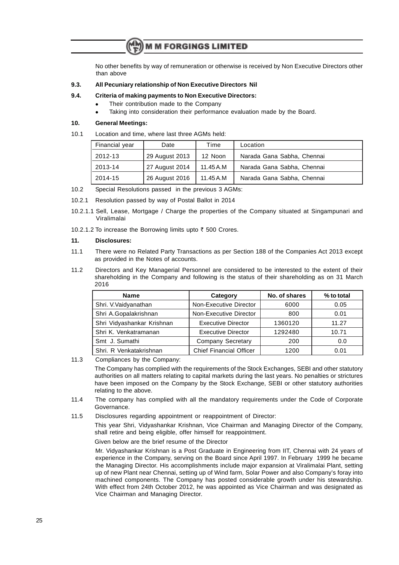No other benefits by way of remuneration or otherwise is received by Non Executive Directors other than above

#### **9.3. All Pecuniary relationship of Non Executive Directors Nil**

#### **9.4. Criteria of making payments to Non Executive Directors:**

- Their contribution made to the Company
- Taking into consideration their performance evaluation made by the Board.

#### **10. General Meetings:**

#### 10.1 Location and time, where last three AGMs held:

| Financial year | Date           | Time      | Location                   |
|----------------|----------------|-----------|----------------------------|
| 2012-13        | 29 August 2013 | 12 Noon   | Narada Gana Sabha, Chennai |
| 2013-14        | 27 August 2014 | 11.45 A.M | Narada Gana Sabha, Chennai |
| 2014-15        | 26 August 2016 | 11.45 A.M | Narada Gana Sabha, Chennai |

- 10.2 Special Resolutions passed in the previous 3 AGMs:
- 10.2.1 Resolution passed by way of Postal Ballot in 2014
- 10.2.1.1 Sell, Lease, Mortgage / Charge the properties of the Company situated at Singampunari and Viralimalai
- 10.2.1.2 To increase the Borrowing limits upto  $\bar{\tau}$  500 Crores.

#### **11. Disclosures:**

- 11.1 There were no Related Party Transactions as per Section 188 of the Companies Act 2013 except as provided in the Notes of accounts.
- 11.2 Directors and Key Managerial Personnel are considered to be interested to the extent of their shareholding in the Company and following is the status of their shareholding as on 31 March 2016

| <b>Name</b>                | Category                       | No. of shares | % to total |
|----------------------------|--------------------------------|---------------|------------|
| Shri. V. Vaidyanathan      | Non-Executive Director         | 6000          | 0.05       |
| Shri A.Gopalakrishnan      | Non-Executive Director         | 800           | 0.01       |
| Shri Vidyashankar Krishnan | <b>Executive Director</b>      | 1360120       | 11.27      |
| Shri K. Venkatramanan      | <b>Executive Director</b>      | 1292480       | 10.71      |
| Smt J. Sumathi             | <b>Company Secretary</b>       | 200           | 0.0        |
| Shri. R Venkatakrishnan    | <b>Chief Financial Officer</b> | 1200          | 0.01       |

11.3 Compliances by the Company:

The Company has complied with the requirements of the Stock Exchanges, SEBI and other statutory authorities on all matters relating to capital markets during the last years. No penalties or strictures have been imposed on the Company by the Stock Exchange, SEBI or other statutory authorities relating to the above.

- 11.4 The company has complied with all the mandatory requirements under the Code of Corporate Governance.
- 11.5 Disclosures regarding appointment or reappointment of Director:

This year Shri, Vidyashankar Krishnan, Vice Chairman and Managing Director of the Company, shall retire and being eligible, offer himself for reappointment.

Given below are the brief resume of the Director

Mr. Vidyashankar Krishnan is a Post Graduate in Engineering from IIT, Chennai with 24 years of experience in the Company, serving on the Board since April 1997. In February 1999 he became the Managing Director. His accomplishments include major expansion at Viralimalai Plant, setting up of new Plant near Chennai, setting up of Wind farm, Solar Power and also Company's foray into machined components. The Company has posted considerable growth under his stewardship. With effect from 24th October 2012, he was appointed as Vice Chairman and was designated as Vice Chairman and Managing Director.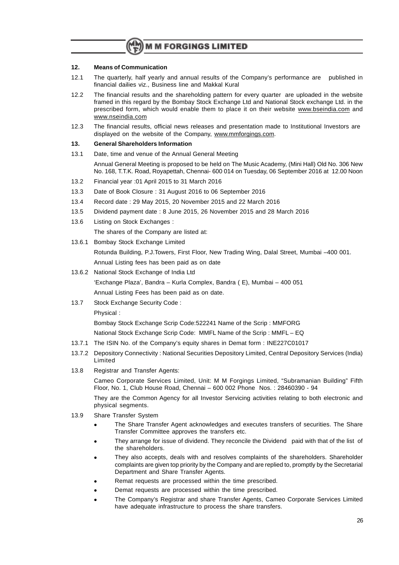#### **12. Means of Communication**

- 12.1 The quarterly, half yearly and annual results of the Company's performance are published in financial dailies viz., Business line and Makkal Kural
- 12.2 The financial results and the shareholding pattern for every quarter are uploaded in the website framed in this regard by the Bombay Stock Exchange Ltd and National Stock exchange Ltd. in the prescribed form, which would enable them to place it on their website www.bseindia.com and www.nseindia.com
- 12.3 The financial results, official news releases and presentation made to Institutional Investors are displayed on the website of the Company, www.mmforgings.com.

#### **13. General Shareholders Information**

13.1 Date, time and venue of the Annual General Meeting

Annual General Meeting is proposed to be held on The Music Academy, (Mini Hall) Old No. 306 New No. 168, T.T.K. Road, Royapettah, Chennai- 600 014 on Tuesday, 06 September 2016 at 12.00 Noon

- 13.2 Financial year :01 April 2015 to 31 March 2016
- 13.3 Date of Book Closure : 31 August 2016 to 06 September 2016
- 13.4 Record date : 29 May 2015, 20 November 2015 and 22 March 2016
- 13.5 Dividend payment date : 8 June 2015, 26 November 2015 and 28 March 2016
- 13.6 Listing on Stock Exchanges :

The shares of the Company are listed at:

13.6.1 Bombay Stock Exchange Limited

Rotunda Building, P.J.Towers, First Floor, New Trading Wing, Dalal Street, Mumbai –400 001. Annual Listing fees has been paid as on date

13.6.2 National Stock Exchange of India Ltd

'Exchange Plaza', Bandra – Kurla Complex, Bandra ( E), Mumbai – 400 051

Annual Listing Fees has been paid as on date.

13.7 Stock Exchange Security Code :

Physical :

Bombay Stock Exchange Scrip Code:522241 Name of the Scrip : MMFORG

National Stock Exchange Scrip Code: MMFL Name of the Scrip : MMFL – EQ

- 13.7.1 The ISIN No. of the Company's equity shares in Demat form : INE227C01017
- 13.7.2 Depository Connectivity : National Securities Depository Limited, Central Depository Services (India) Limited
- 13.8 Registrar and Transfer Agents:

Cameo Corporate Services Limited, Unit: M M Forgings Limited, "Subramanian Building" Fifth Floor, No. 1, Club House Road, Chennai – 600 002 Phone Nos. : 28460390 - 94

They are the Common Agency for all Investor Servicing activities relating to both electronic and physical segments.

- 13.9 Share Transfer System
	- The Share Transfer Agent acknowledges and executes transfers of securities. The Share Transfer Committee approves the transfers etc.
	- <sup>l</sup> They arrange for issue of dividend. They reconcile the Dividend paid with that of the list of the shareholders.
	- They also accepts, deals with and resolves complaints of the shareholders. Shareholder complaints are given top priority by the Company and are replied to, promptly by the Secretarial Department and Share Transfer Agents.
	- Remat requests are processed within the time prescribed.
	- Demat requests are processed within the time prescribed.
	- The Company's Registrar and share Transfer Agents, Cameo Corporate Services Limited have adequate infrastructure to process the share transfers.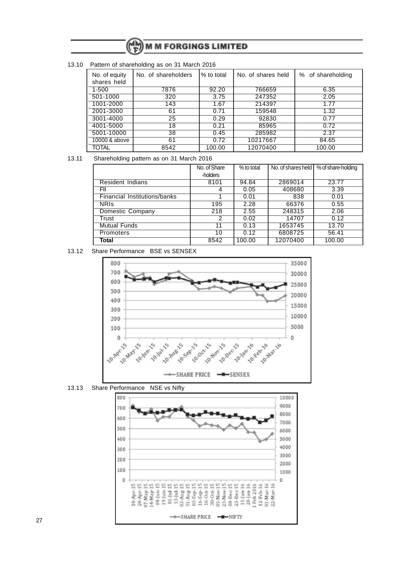13.10 Pattern of shareholding as on 31 March 2016

| $\frac{1}{2}$ alton or onaronolating as on or maron Esto |                     |             |                    |                   |  |  |  |  |
|----------------------------------------------------------|---------------------|-------------|--------------------|-------------------|--|--|--|--|
| No. of equity<br>shares held                             | No. of shareholders | I% to total | No. of shares held | % of shareholding |  |  |  |  |
| $1 - 500$                                                | 7876                | 92.20       | 766659             | 6.35              |  |  |  |  |
| 501-1000                                                 | 320                 | 3.75        | 247352             | 2.05              |  |  |  |  |
| 1001-2000                                                | 143                 | 1.67        | 214397             | 1.77              |  |  |  |  |
| 2001-3000                                                | 61                  | 0.71        | 159548             | 1.32              |  |  |  |  |
| 3001-4000                                                | 25                  | 0.29        | 92830              | 0.77              |  |  |  |  |
| 4001-5000                                                | 18                  | 0.21        | 85965              | 0.72              |  |  |  |  |
| 5001-10000                                               | 38                  | 0.45        | 285982             | 2.37              |  |  |  |  |
| 10000 & above                                            | 61                  | 0.72        | 10217667           | 84.65             |  |  |  |  |
| <b>TOTAL</b>                                             | 8542                | 100.00      | 12070400           | 100.00            |  |  |  |  |

#### 13.11 Shareholding pattern as on 31 March 2016

|                              | No. of Share | % to total | No. of shares held I | % of share-holding |
|------------------------------|--------------|------------|----------------------|--------------------|
|                              | -holders     |            |                      |                    |
| <b>Resident Indians</b>      | 8101         | 94.84      | 2869014              | 23.77              |
| FII                          |              | 0.05       | 408680               | 3.39               |
| Financial Institutions/banks |              | 0.01       | 838                  | 0.01               |
| <b>NRIS</b>                  | 195          | 2.28       | 66376                | 0.55               |
| <b>Domestic Company</b>      | 218          | 2.55       | 248315               | 2.06               |
| Trust                        | 2            | 0.02       | 14707                | 0.12               |
| <b>Mutual Funds</b>          | 11           | 0.13       | 1653745              | 13.70              |
| <b>Promoters</b>             | 10           | 0.12       | 6808725              | 56.41              |
| Total                        | 8542         | 100.00     | 12070400             | 100.00             |

#### 13.12 Share Performance BSE vs SENSEX



13.13 Share Performance NSE vs Nifty

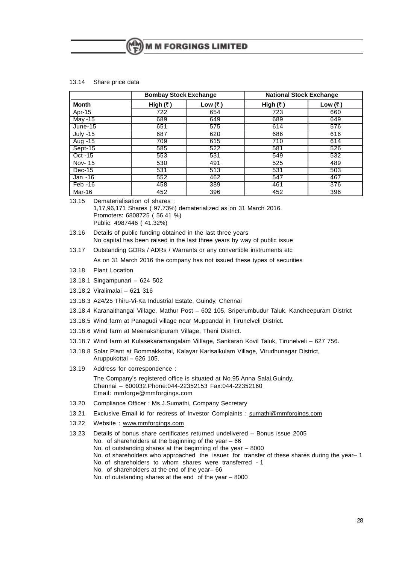#### 13.14 Share price data

|              | <b>Bombay Stock Exchange</b> |                 | <b>National Stock Exchange</b> |                 |
|--------------|------------------------------|-----------------|--------------------------------|-----------------|
| <b>Month</b> | High $(3)$                   | Low $(\bar{z})$ | High $(3)$                     | Low $(\bar{z})$ |
| Apr-15       | 722                          | 654             | 723                            | 660             |
| May -15      | 689                          | 649             | 689                            | 649             |
| $June-15$    | 651                          | 575             | 614                            | 576             |
| July -15     | 687                          | 620             | 686                            | 616             |
| $Aug - 15$   | 709                          | 615             | 710                            | 614             |
| Sept-15      | 585                          | 522             | 581                            | 526             |
| $Oct -15$    | 553                          | 531             | 549                            | 532             |
| Nov- 15      | 530                          | 491             | 525                            | 489             |
| Dec-15       | 531                          | 513             | 531                            | 503             |
| Jan -16      | 552                          | 462             | 547                            | 467             |
| $Feb -16$    | 458                          | 389             | 461                            | 376             |
| Mar-16       | 452                          | 396             | 452                            | 396             |

13.15 Dematerialisation of shares :

1,17,96,171 Shares ( 97.73%) dematerialized as on 31 March 2016. Promoters: 6808725 ( 56.41 %) Public: 4987446 ( 41.32%)

- 13.16 Details of public funding obtained in the last three years No capital has been raised in the last three years by way of public issue
- 13.17 Outstanding GDRs / ADRs / Warrants or any convertible instruments etc As on 31 March 2016 the company has not issued these types of securities
- 13.18 Plant Location
- 13.18.1 Singampunari 624 502
- 13.18.2 Viralimalai 621 316
- 13.18.3 A24/25 Thiru-Vi-Ka Industrial Estate, Guindy, Chennai
- 13.18.4 Karanaithangal Village, Mathur Post 602 105, Sriperumbudur Taluk, Kancheepuram District
- 13.18.5 Wind farm at Panagudi village near Muppandal in Tirunelveli District.
- 13.18.6 Wind farm at Meenakshipuram Village, Theni District.
- 13.18.7 Wind farm at Kulasekaramangalam Villlage, Sankaran Kovil Taluk, Tirunelveli 627 756.
- 13.18.8 Solar Plant at Bommakkottai, Kalayar Karisalkulam Village, Virudhunagar District, Aruppukottai – 626 105.
- 13.19 Address for correspondence :

The Company's registered office is situated at No.95 Anna Salai,Guindy, Chennai – 600032.Phone:044-22352153 Fax:044-22352160 Email: mmforge@mmforgings.com

- 13.20 Compliance Officer : Ms.J.Sumathi, Company Secretary
- 13.21 Exclusive Email id for redress of Investor Complaints : sumathi@mmforgings.com
- 13.22 Website : www.mmforgings.com

13.23 Details of bonus share certificates returned undelivered – Bonus issue 2005 No. of shareholders at the beginning of the year  $-66$ No. of outstanding shares at the beginning of the year – 8000 No. of shareholders who approached the issuer for transfer of these shares during the year–1 No. of shareholders to whom shares were transferred - 1 No. of shareholders at the end of the year– 66 No. of outstanding shares at the end of the year – 8000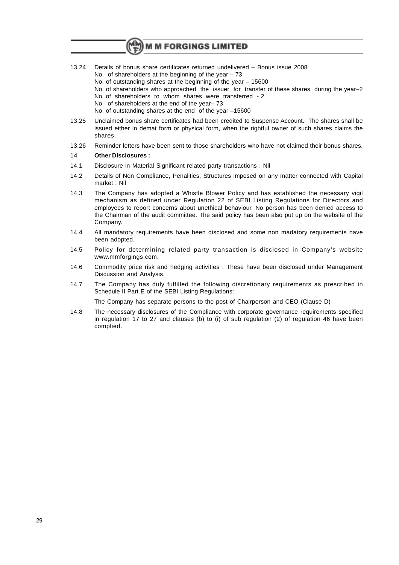- **M M FORGINGS LIMITED**
- 13.24 Details of bonus share certificates returned undelivered Bonus issue 2008
	- No. of shareholders at the beginning of the year  $-73$
	- No. of outstanding shares at the beginning of the year 15600
	- No. of shareholders who approached the issuer for transfer of these shares during the year–2 No. of shareholders to whom shares were transferred - 2
	- No. of shareholders at the end of the year– 73
	- No. of outstanding shares at the end of the year –15600
- 13.25 Unclaimed bonus share certificates had been credited to Suspense Account. The shares shall be issued either in demat form or physical form, when the rightful owner of such shares claims the shares.
- 13.26 Reminder letters have been sent to those shareholders who have not claimed their bonus shares.

#### 14 **Other Disclosures :**

- 14.1 Disclosure in Material Significant related party transactions : Nil
- 14.2 Details of Non Compliance, Penalities, Structures imposed on any matter connected with Capital market : Nil
- 14.3 The Company has adopted a Whistle Blower Policy and has established the necessary vigil mechanism as defined under Regulation 22 of SEBI Listing Regulations for Directors and employees to report concerns about unethical behaviour. No person has been denied access to the Chairman of the audit committee. The said policy has been also put up on the website of the Company.
- 14.4 All mandatory requirements have been disclosed and some non madatory requirements have been adopted.
- 14.5 Policy for determining related party transaction is disclosed in Company's website www.mmforgings.com.
- 14.6 Commodity price risk and hedging activities : These have been disclosed under Management Discussion and Analysis.
- 14.7 The Company has duly fulfilled the following discretionary requirements as prescribed in Schedule II Part E of the SEBI Listing Regulations:

The Company has separate persons to the post of Chairperson and CEO (Clause D)

14.8 The necessary disclosures of the Compliance with corporate governance requirements specified in regulation 17 to 27 and clauses (b) to (i) of sub regulation (2) of regulation 46 have been complied.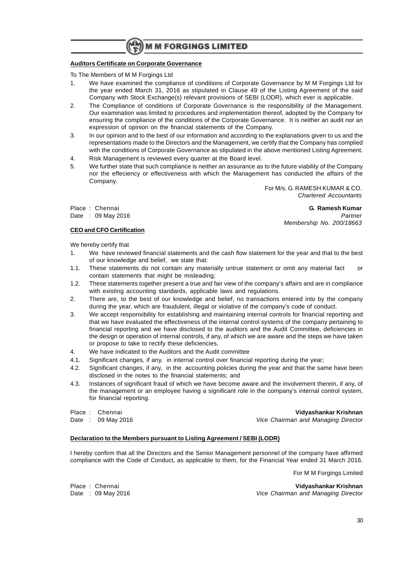#### **Auditors Certificate on Corporate Governance**

To The Members of M M Forgings Ltd

- 1. We have examined the compliance of conditions of Corporate Governance by M M Forgings Ltd for the year ended March 31, 2016 as stipulated in Clause 49 of the Listing Agreement of the said Company with Stock Exchange(s) relevant provisions of SEBI (LODR), which ever is applicable.
- 2. The Compliance of conditions of Corporate Governance is the responsibility of the Management. Our examination was limited to procedures and implementation thereof, adopted by the Company for ensuring the compliance of the conditions of the Corporate Governance. It is neither an audit nor an expression of opinion on the financial statements of the Company.
- 3. In our opinion and to the best of our information and according to the explanations given to us and the representations made to the Directors and the Management, we certify that the Company has complied with the conditions of Corporate Governance as stipulated in the above mentioned Listing Agreement.
- 4. Risk Management is reviewed every quarter at the Board level.
- 5. We further state that such compliance is neither an assurance as to the future viability of the Company nor the effeciency or effectiveness with which the Management has conducted the affairs of the Company.

For M/s. G. RAMESH KUMAR & CO. Chartered Accountants

#### **CEO and CFO Certification**

Place : Chennai **G. Ramesh Kumar** Date : 09 May 2016 **Partner** Partner **Partner** Partner **Partner** Membership No. 200/18663

We hereby certify that

- 1. We have reviewed financial statements and the cash flow statement for the year and that to the best of our knowledge and belief, we state that:
- 1.1. These statements do not contain any materially untrue statement or omit any material fact or contain statements that might be misleading;
- 1.2. These statements together present a true and fair view of the company's affairs and are in compliance with existing accounting standards, applicable laws and regulations.
- 2. There are, to the best of our knowledge and belief, no transactions entered into by the company during the year, which are fraudulent, illegal or violative of the company's code of conduct.
- 3. We accept responsibility for establishing and maintaining internal controls for financial reporting and that we have evaluated the effectiveness of the internal control systems of the company pertaining to financial reporting and we have disclosed to the auditors and the Audit Committee, deficiencies in the design or operation of internal controls, if any, of which we are aware and the steps we have taken or propose to take to rectify these deficiencies.
- 4. We have indicated to the Auditors and the Audit committee
- 4.1. Significant changes, if any, in internal control over financial reporting during the year;
- 4.2. Significant changes, if any, in the accounting policies during the year and that the same have been disclosed in the notes to the financial statements; and
- 4.3. Instances of significant fraud of which we have become aware and the involvement therein, if any, of the management or an employee having a significant role in the company's internal control system, for financial reporting.

Place : Chennai **Vidyashankar Krishnan** Date : 09 May 2016 **Date : 09 May 2016** Vice Chairman and Managing Director

#### **Declaration to the Members pursuant to Listing Agreement / SEBI (LODR)**

I hereby confirm that all the Directors and the Senior Management personnel of the company have affirmed compliance with the Code of Conduct, as applicable to them, for the Financial Year ended 31 March 2016.

For M M Forgings Limited

Place : Chennai **Vidyashankar Krishnan** Date : 09 May 2016 **Vice Chairman and Managing Director**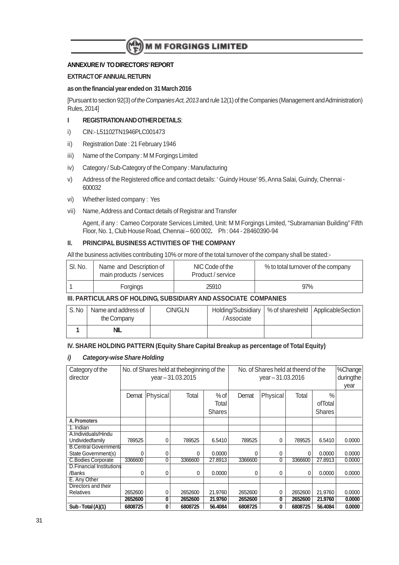### **ANNEXURE IV TO DIRECTORS' REPORT**

#### **EXTRACT OF ANNUAL RETURN**

#### **as on the financial year ended on 31 March 2016**

[Pursuant to section 92(3) of the Companies Act, 2013 and rule 12(1) of the Companies (Management and Administration) Rules, 2014]

#### **I REGISTRATION AND OTHER DETAILS**:

- i) CIN:- L51102TN1946PLC001473
- ii) Registration Date : 21 February 1946
- iii) Name of the Company : M M Forgings Limited
- iv) Category / Sub-Category of the Company : Manufacturing
- v) Address of the Registered office and contact details: ' Guindy House' 95, Anna Salai, Guindy, Chennai 600032
- vi) Whether listed company : Yes

#### vii) Name, Address and Contact details of Registrar and Transfer

Agent, if any : Cameo Corporate Services Limited, Unit: M M Forgings Limited, "Subramanian Building" Fifth Floor, No. 1, Club House Road, Chennai – 600 002**.** Ph : 044 - 28460390-94

#### **II. PRINCIPAL BUSINESS ACTIVITIES OF THE COMPANY**

All the business activities contributing 10% or more of the total turnover of the company shall be stated:-

| SI. No. | Name and Description of<br>main products / services | NIC Code of the<br>Product / service | % to total turnover of the company |
|---------|-----------------------------------------------------|--------------------------------------|------------------------------------|
|         | <b>Forgings</b>                                     | 25910                                | 97%                                |

#### **III. PARTICULARS OF HOLDING, SUBSIDIARY AND ASSOCIATE COMPANIES**

| S.No | Name and address of<br>the Company | CIN/GLN | Holding/Subsidiary<br>/Associate | % of sharesheld   ApplicableSection |
|------|------------------------------------|---------|----------------------------------|-------------------------------------|
|      | NIL                                |         |                                  |                                     |

#### **IV. SHARE HOLDING PATTERN (Equity Share Capital Breakup as percentage of Total Equity)**

#### **i) Category-wise Share Holding**

| Category of the<br>director     | No. of Shares held at theend of the<br>No. of Shares held at the beginning of the<br>year-31.03.2015<br>year-31.03.2016 |          |          |               |              |          | %Change<br>duringthe |               |        |
|---------------------------------|-------------------------------------------------------------------------------------------------------------------------|----------|----------|---------------|--------------|----------|----------------------|---------------|--------|
|                                 |                                                                                                                         |          |          |               |              |          |                      |               | year   |
|                                 | Demat                                                                                                                   | Physical | Total    | $%$ of        | Demat        | Physical | Total                | $\frac{0}{0}$ |        |
|                                 |                                                                                                                         |          |          | Total         |              |          |                      | ofTotal       |        |
|                                 |                                                                                                                         |          |          | <b>Shares</b> |              |          |                      | <b>Shares</b> |        |
| A. Promoters                    |                                                                                                                         |          |          |               |              |          |                      |               |        |
| 1. Indian                       |                                                                                                                         |          |          |               |              |          |                      |               |        |
| A.Individuals/Hindu             |                                                                                                                         |          |          |               |              |          |                      |               |        |
| Undividedfamily                 | 789525                                                                                                                  | 0        | 789525   | 6.5410        | 789525       | 0        | 789525               | 6.5410        | 0.0000 |
| <b>B.Central Government</b>     |                                                                                                                         |          |          |               |              |          |                      |               |        |
| State Government(s)             | 0                                                                                                                       | 0        | $\Omega$ | 0.0000        | <sup>0</sup> | 0        | 0                    | 0.0000        | 0.0000 |
| <b>C.Bodies Corporate</b>       | 3366600                                                                                                                 | 0        | 3366600  | 27.8913       | 3366600      | 0        | 3366600              | 27.8913       | 0.0000 |
| <b>D.Financial Institutions</b> |                                                                                                                         |          |          |               |              |          |                      |               |        |
| /Banks                          | 0                                                                                                                       | 0        | $\Omega$ | 0.0000        | $\Omega$     | 0        | 0                    | 0.0000        | 0.0000 |
| E. Any Other                    |                                                                                                                         |          |          |               |              |          |                      |               |        |
| Directors and their             |                                                                                                                         |          |          |               |              |          |                      |               |        |
| Relatives                       | 2652600                                                                                                                 | 0        | 2652600  | 21.9760       | 2652600      | 0        | 2652600              | 21.9760       | 0.0000 |
|                                 | 2652600                                                                                                                 | 0        | 2652600  | 21.9760       | 2652600      | 0        | 2652600              | 21.9760       | 0.0000 |
| Sub - Total (A)(1)              | 6808725                                                                                                                 | 0        | 6808725  | 56.4084       | 6808725      | 0        | 6808725              | 56,4084       | 0.0000 |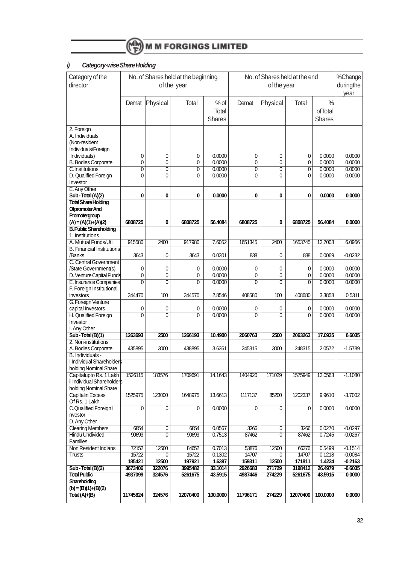

## **i) Category-wise Share Holding**

| Category of the<br>director                                          | No. of Shares held at the end<br>No. of Shares held at the beginning<br>of the year<br>of the year |                                  |                                  |                                  |                                  | %Change<br>duringthe<br>year     |                                  |                                           |                        |
|----------------------------------------------------------------------|----------------------------------------------------------------------------------------------------|----------------------------------|----------------------------------|----------------------------------|----------------------------------|----------------------------------|----------------------------------|-------------------------------------------|------------------------|
|                                                                      | Demat                                                                                              | Physical                         | Total                            | $%$ of<br>Total<br><b>Shares</b> | Demat                            | Physical                         | Total                            | $\frac{0}{0}$<br>ofTotal<br><b>Shares</b> |                        |
| 2. Foreign<br>A. Individuals<br>(Non-resident<br>Individuals/Foreign |                                                                                                    |                                  |                                  |                                  |                                  |                                  |                                  |                                           |                        |
| Individuals)                                                         | 0                                                                                                  | 0                                | 0                                | 0.0000                           | 0                                | 0                                | 0                                | 0.0000                                    | 0.0000                 |
| <b>B. Bodies Corporate</b>                                           | $\overline{0}$                                                                                     | $\overline{0}$                   | 0                                | 0.0000                           | $\overline{0}$                   | $\overline{0}$                   | $\overline{0}$                   | 0.0000                                    | 0.0000                 |
| <b>C.Institutions</b>                                                | $\overline{\mathfrak{o}}$                                                                          | $\overline{0}$                   | $\overline{0}$                   | 0.0000                           | $\overline{0}$                   | $\overline{\mathfrak{o}}$        | $\overline{0}$                   | 0.0000                                    | 0.0000                 |
| D. Qualified Foreign                                                 | $\overline{0}$                                                                                     | 0                                | $\mathbf{0}$                     | 0.0000                           | $\mathbf{0}$                     | $\overline{0}$                   | $\overline{0}$                   | 0.0000                                    | 0.0000                 |
| Investor                                                             |                                                                                                    |                                  |                                  |                                  |                                  |                                  |                                  |                                           |                        |
| E. Any Other                                                         |                                                                                                    |                                  |                                  |                                  |                                  |                                  |                                  |                                           |                        |
| Sub-Total (A)(2)                                                     | $\overline{\mathfrak{o}}$                                                                          | 0                                | $\overline{\mathbf{0}}$          | 0.0000                           | $\overline{\mathbf{0}}$          | 0                                | Ō                                | 0.0000                                    | 0.0000                 |
| <b>Total Share Holding</b>                                           |                                                                                                    |                                  |                                  |                                  |                                  |                                  |                                  |                                           |                        |
| Ofpromoter And                                                       |                                                                                                    |                                  |                                  |                                  |                                  |                                  |                                  |                                           |                        |
| Promotergroup                                                        |                                                                                                    |                                  |                                  |                                  |                                  |                                  |                                  |                                           |                        |
| $(A) = (A)(1)+(A)(2)$                                                | 6808725                                                                                            | 0                                | 6808725                          | 56.4084                          | 6808725                          | 0                                | 6808725                          | 56.4084                                   | 0.0000                 |
| <b>B. Public Shareholding</b>                                        |                                                                                                    |                                  |                                  |                                  |                                  |                                  |                                  |                                           |                        |
| 1. Institutions                                                      |                                                                                                    |                                  |                                  |                                  |                                  |                                  |                                  |                                           |                        |
| A. Mutual Funds/Uti                                                  | 915580                                                                                             | 2400                             | 917980                           | 7.6052                           | 1651345                          | 2400                             | 1653745                          | 13.7008                                   | 6.0956                 |
| <b>B. Financial Institutions</b>                                     |                                                                                                    |                                  |                                  |                                  |                                  |                                  |                                  |                                           |                        |
| /Banks                                                               | 3643                                                                                               | 0                                | 3643                             | 0.0301                           | 838                              | 0                                | 838                              | 0.0069                                    | $-0.0232$              |
| C. Central Government                                                |                                                                                                    |                                  |                                  |                                  |                                  |                                  |                                  |                                           |                        |
| /State Government(s)                                                 | 0                                                                                                  | 0                                | 0                                | 0.0000<br>0.0000                 | 0                                | 0                                | 0                                | 0.0000                                    | 0.0000                 |
| D. Venture Capital Funds<br>E. Insurance Companies                   | $\overline{0}$<br>$\overline{0}$                                                                   | $\overline{0}$<br>$\overline{0}$ | $\overline{0}$<br>$\overline{0}$ | 0.0000                           | $\overline{0}$<br>$\overline{0}$ | $\overline{0}$<br>$\overline{0}$ | $\overline{0}$<br>$\overline{0}$ | 0.0000<br>0.0000                          | 0.0000<br>0.0000       |
| F. Foreign Institutional                                             |                                                                                                    |                                  |                                  |                                  |                                  |                                  |                                  |                                           |                        |
| investors                                                            | 344470                                                                                             | 100                              | 344570                           | 2.8546                           | 408580                           | 100                              | 408680                           | 3.3858                                    | 0.5311                 |
| G. Foreign Venture                                                   |                                                                                                    |                                  |                                  |                                  |                                  |                                  |                                  |                                           |                        |
| capital Investors                                                    | 0                                                                                                  | 0                                | 0                                | 0.0000                           | 0                                | 0                                | 0                                | 0.0000                                    | 0.0000                 |
| H. Qualified Foreign                                                 | $\overline{0}$                                                                                     | $\overline{0}$                   | $\overline{0}$                   | 0.0000                           | $\overline{0}$                   | $\overline{0}$                   | $\overline{0}$                   | 0.0000                                    | 0.0000                 |
| Investor                                                             |                                                                                                    |                                  |                                  |                                  |                                  |                                  |                                  |                                           |                        |
| I. Any Other                                                         |                                                                                                    |                                  |                                  |                                  |                                  |                                  |                                  |                                           |                        |
| Sub-Total (B)(1)                                                     | 1263693                                                                                            | 2500                             | 1266193                          | 10,4900                          | 2060763                          | 2500                             | 2063263                          | 17,0935                                   | 6.6035                 |
| 2. Non-institutions                                                  |                                                                                                    |                                  |                                  |                                  |                                  |                                  |                                  |                                           |                        |
| A. Bodies Corporate                                                  | 435895                                                                                             | 3000                             | 438895                           | 3.6361                           | 245315                           | 3000                             | 248315                           | 2.0572                                    | $-1.5789$              |
| B. Individuals -                                                     |                                                                                                    |                                  |                                  |                                  |                                  |                                  |                                  |                                           |                        |
| <b>I Individual Shareholders</b>                                     |                                                                                                    |                                  |                                  |                                  |                                  |                                  |                                  |                                           |                        |
| holding Nominal Share                                                |                                                                                                    |                                  |                                  |                                  |                                  |                                  |                                  |                                           |                        |
| Capitalupto Rs. 1 Lakh                                               | 1526115                                                                                            | 183576                           | 1709691                          | 14.1643                          | 1404920                          | 171029                           | 1575949                          | 13.0563                                   | $-1.1080$              |
| ii Individual Shareholders                                           |                                                                                                    |                                  |                                  |                                  |                                  |                                  |                                  |                                           |                        |
| holding Nominal Share                                                |                                                                                                    |                                  |                                  |                                  |                                  |                                  |                                  |                                           |                        |
| Capitalin Excess                                                     | 1525975                                                                                            | 123000                           | 1648975                          | 13.6613                          | 1117137                          | 85200                            | 1202337                          | 9.9610                                    | $-3.7002$              |
| Of Rs. 1 Lakh                                                        |                                                                                                    |                                  |                                  |                                  |                                  |                                  |                                  |                                           |                        |
| C.Qualified Foreign I                                                | $\overline{0}$                                                                                     | $\overline{0}$                   | $\overline{0}$                   | 0.0000                           | $\overline{0}$                   | $\overline{0}$                   | $\overline{0}$                   | 0.0000                                    | 0.0000                 |
| nvestor                                                              |                                                                                                    |                                  |                                  |                                  |                                  |                                  |                                  |                                           |                        |
| D. Any Other                                                         |                                                                                                    |                                  |                                  |                                  |                                  |                                  |                                  |                                           |                        |
| <b>Clearing Members</b>                                              | 6854                                                                                               | $\overline{0}$                   | 6854                             | 0.0567                           | 3266                             | $\overline{0}$                   | 3266                             | 0.0270                                    | $-0.0297$              |
| <b>Hindu Undivided</b>                                               | 90693                                                                                              | $\overline{0}$                   | 90693                            | 0.7513                           | 87462                            | $\overline{0}$                   | 87462                            | 0.7245                                    | $-0.0267$              |
| Families                                                             |                                                                                                    |                                  |                                  |                                  |                                  |                                  |                                  |                                           |                        |
| Non Resident Indians                                                 | 72152                                                                                              | 12500                            | 84652                            | 0.7013                           | 53876                            | 12500                            | 66376                            | 0.5499                                    | $-0.1514$              |
| Trusts                                                               | 15722                                                                                              | 0                                | 15722                            | 0.1302                           | 14707                            | $\overline{0}$                   | 14707                            | 0.1218                                    | $-0.0084$              |
|                                                                      | 185421                                                                                             | 12500<br>322076                  | 197921                           | 1.6397<br>33.1014                | 159311                           | 12500<br>271729                  | 171811<br>3198412                | 1.4234                                    | $-0.2163$<br>$-6.6035$ |
| Sub-Total (B)(2)<br><b>Total Public</b>                              | 3673406<br>4937099                                                                                 | 324576                           | 3995482<br>5261675               | 43.5915                          | 2926683<br>4987446               | 274229                           | 5261675                          | 26.4979<br>43.5915                        | 0.0000                 |
| Shareholding                                                         |                                                                                                    |                                  |                                  |                                  |                                  |                                  |                                  |                                           |                        |
| $(b) = (B)(1)+(B)(2)$                                                |                                                                                                    |                                  |                                  |                                  |                                  |                                  |                                  |                                           |                        |
|                                                                      | 11745824                                                                                           | 324576                           | 12070400                         | 100.0000                         | 11796171                         | 274229                           | 12070400                         | 100.0000                                  | 0.0000                 |
| Total (A)+(B)                                                        |                                                                                                    |                                  |                                  |                                  |                                  |                                  |                                  |                                           |                        |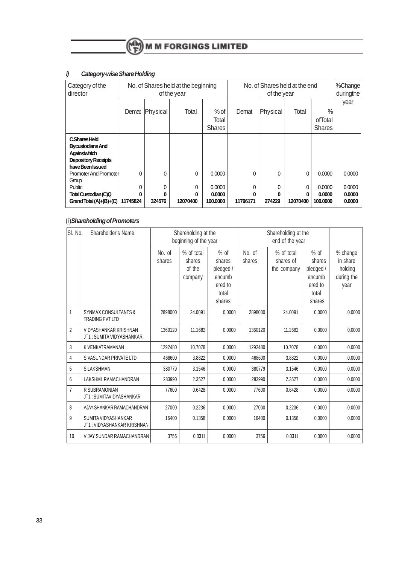| Category of the<br>director                                                                                | No. of Shares held at the end<br>No. of Shares held at the beginning<br>of the year<br>of the year |                  |                    |                              |                    | %Change<br>duringthe |               |                              |                            |
|------------------------------------------------------------------------------------------------------------|----------------------------------------------------------------------------------------------------|------------------|--------------------|------------------------------|--------------------|----------------------|---------------|------------------------------|----------------------------|
|                                                                                                            | Demat                                                                                              | Physical         | Total              | $%$ of<br>Total              | Demat              | Physical             | Total         | $\frac{0}{0}$<br>ofTotal     | year                       |
|                                                                                                            |                                                                                                    |                  |                    | <b>Shares</b>                |                    |                      |               | <b>Shares</b>                |                            |
| C.Shares Held<br><b>Bycustodians And</b><br>Againstwhich<br><b>Depository Receipts</b><br>have Been Issued |                                                                                                    |                  |                    |                              |                    |                      |               |                              |                            |
| Promoter And Promoter                                                                                      | 0                                                                                                  | 0                | 0                  | 0.0000                       | 0                  | $\Omega$             | 0             | 0.0000                       | 0.0000                     |
| Group<br>Public<br>Total Custodian (C)Q<br>Grand Total (A)+(B)+(C)                                         | 0<br>0<br>11745824                                                                                 | 0<br>0<br>324576 | 0<br>0<br>12070400 | 0.0000<br>0.0000<br>100,0000 | 0<br>0<br>11796171 | 0<br>0<br>274229     | 0<br>12070400 | 0.0000<br>0.0000<br>100,0000 | 0.0000<br>0.0000<br>0.0000 |

## **i) Category-wise Share Holding**

## (ii)**Shareholding of Promoters**

| SI. No.        | Shareholder's Name                                        |                  | Shareholding at the<br>beginning of the year |                                                                       | Shareholding at the |                                        |                                                                       |                                                       |
|----------------|-----------------------------------------------------------|------------------|----------------------------------------------|-----------------------------------------------------------------------|---------------------|----------------------------------------|-----------------------------------------------------------------------|-------------------------------------------------------|
|                |                                                           | No. of<br>shares | % of total<br>shares<br>of the<br>company    | $%$ of<br>shares<br>pledged /<br>encumb<br>ered to<br>total<br>shares | No. of<br>shares    | % of total<br>shares of<br>the company | $%$ of<br>shares<br>pledged /<br>encumb<br>ered to<br>total<br>shares | % change<br>in share<br>holding<br>during the<br>year |
| 1              | <b>SYNMAX CONSULTANTS &amp;</b><br><b>TRADING PVT LTD</b> | 2898000          | 24.0091                                      | 0.0000                                                                | 2898000             | 24.0091                                | 0.0000                                                                | 0.0000                                                |
| $\overline{2}$ | VIDYASHANKAR KRISHNAN<br>JT1: SUMITA VIDYASHANKAR         | 1360120          | 11.2682                                      | 0.0000                                                                | 1360120             | 11.2682                                | 0.0000                                                                | 0.0000                                                |
| 3              | K VENKATRAMANAN                                           | 1292480          | 10.7078                                      | 0.0000                                                                | 1292480             | 10.7078                                | 0.0000                                                                | 0.0000                                                |
| 4              | SIVASUNDAR PRIVATE LTD                                    | 468600           | 3.8822                                       | 0.0000                                                                | 468600              | 3.8822                                 | 0.0000                                                                | 0.0000                                                |
| 5              | <b>SLAKSHMAN</b>                                          | 380779           | 3.1546                                       | 0.0000                                                                | 380779              | 3.1546                                 | 0.0000                                                                | 0.0000                                                |
| 6              | LAKSHMI RAMACHANDRAN                                      | 283990           | 2.3527                                       | 0.0000                                                                | 283990              | 2.3527                                 | 0.0000                                                                | 0.0000                                                |
| $\overline{7}$ | R SUBRAMONIAN<br>JT1: SUMITAVIDYASHANKAR                  | 77600            | 0.6428                                       | 0.0000                                                                | 77600               | 0.6428                                 | 0.0000                                                                | 0.0000                                                |
| 8              | AJAY SHANKAR RAMACHANDRAN                                 | 27000            | 0.2236                                       | 0.0000                                                                | 27000               | 0.2236                                 | 0.0000                                                                | 0.0000                                                |
| 9              | SUMITA VIDYASHANKAR<br>JT1 : VIDYASHANKAR KRISHNAN        | 16400            | 0.1358                                       | 0.0000                                                                | 16400               | 0.1358                                 | 0.0000                                                                | 0.0000                                                |
| 10             | VIJAY SUNDAR RAMACHANDRAN                                 | 3756             | 0.0311                                       | 0.0000                                                                | 3756                | 0.0311                                 | 0.0000                                                                | 0.0000                                                |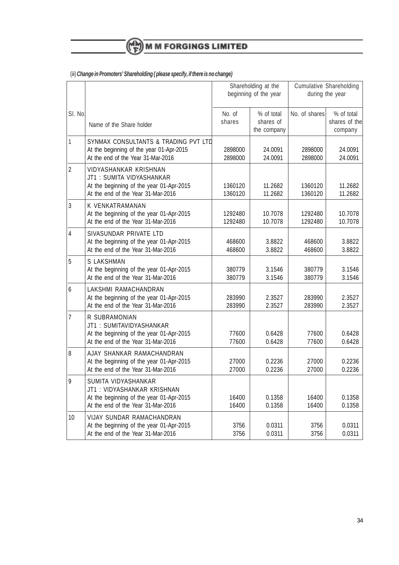

## (iii) **Change in Promoters' Shareholding ( please specify, if there is no change)**

|                |                                                                                                                                            |                    | Shareholding at the<br>beginning of the year | <b>Cumulative Shareholding</b><br>during the year |                                        |  |
|----------------|--------------------------------------------------------------------------------------------------------------------------------------------|--------------------|----------------------------------------------|---------------------------------------------------|----------------------------------------|--|
| SI. No.        | Name of the Share holder                                                                                                                   | No. of<br>shares   | % of total<br>shares of<br>the company       | No. of shares                                     | % of total<br>shares of the<br>company |  |
| 1              | SYNMAX CONSULTANTS & TRADING PVT LTD<br>At the beginning of the year 01-Apr-2015<br>At the end of the Year 31-Mar-2016                     | 2898000<br>2898000 | 24.0091<br>24.0091                           | 2898000<br>2898000                                | 24.0091<br>24.0091                     |  |
| $\overline{2}$ | <b>VIDYASHANKAR KRISHNAN</b><br>JT1: SUMITA VIDYASHANKAR<br>At the beginning of the year 01-Apr-2015<br>At the end of the Year 31-Mar-2016 | 1360120<br>1360120 | 11.2682<br>11.2682                           | 1360120<br>1360120                                | 11.2682<br>11.2682                     |  |
| 3              | K VENKATRAMANAN<br>At the beginning of the year 01-Apr-2015<br>At the end of the Year 31-Mar-2016                                          | 1292480<br>1292480 | 10.7078<br>10.7078                           | 1292480<br>1292480                                | 10.7078<br>10.7078                     |  |
| $\overline{4}$ | SIVASUNDAR PRIVATE LTD<br>At the beginning of the year 01-Apr-2015<br>At the end of the Year 31-Mar-2016                                   | 468600<br>468600   | 3.8822<br>3.8822                             | 468600<br>468600                                  | 3.8822<br>3.8822                       |  |
| 5              | S LAKSHMAN<br>At the beginning of the year 01-Apr-2015<br>At the end of the Year 31-Mar-2016                                               | 380779<br>380779   | 3.1546<br>3.1546                             | 380779<br>380779                                  | 3.1546<br>3.1546                       |  |
| 6              | LAKSHMI RAMACHANDRAN<br>At the beginning of the year 01-Apr-2015<br>At the end of the Year 31-Mar-2016                                     | 283990<br>283990   | 2.3527<br>2.3527                             | 283990<br>283990                                  | 2.3527<br>2.3527                       |  |
| $\overline{7}$ | R SUBRAMONIAN<br>JT1: SUMITAVIDYASHANKAR<br>At the beginning of the year 01-Apr-2015<br>At the end of the Year 31-Mar-2016                 | 77600<br>77600     | 0.6428<br>0.6428                             | 77600<br>77600                                    | 0.6428<br>0.6428                       |  |
| 8              | AJAY SHANKAR RAMACHANDRAN<br>At the beginning of the year 01-Apr-2015<br>At the end of the Year 31-Mar-2016                                | 27000<br>27000     | 0.2236<br>0.2236                             | 27000<br>27000                                    | 0.2236<br>0.2236                       |  |
| 9              | SUMITA VIDYASHANKAR<br>JT1: VIDYASHANKAR KRISHNAN<br>At the beginning of the year 01-Apr-2015<br>At the end of the Year 31-Mar-2016        | 16400<br>16400     | 0.1358<br>0.1358                             | 16400<br>16400                                    | 0.1358<br>0.1358                       |  |
| 10             | VIJAY SUNDAR RAMACHANDRAN<br>At the beginning of the year 01-Apr-2015<br>At the end of the Year 31-Mar-2016                                | 3756<br>3756       | 0.0311<br>0.0311                             | 3756<br>3756                                      | 0.0311<br>0.0311                       |  |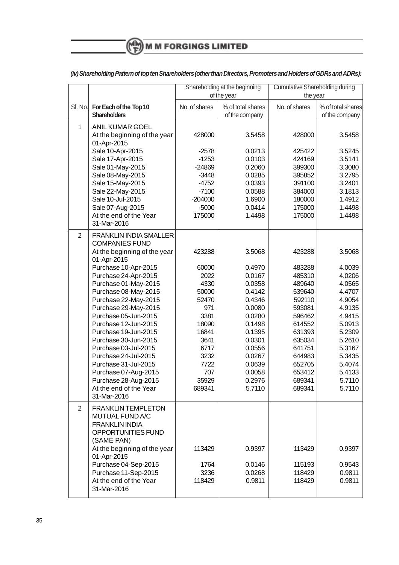# $\binom{M}{F}$  M M FORGINGS LIMITED

|                |                                                                                                                                                                                                                                                                                                                                                                                                                              | Shareholding at the beginning                                                                                                      |                                                                                                                                                              | <b>Cumulative Shareholding during</b>                                                                                                                        |                                                                                                                                                              |
|----------------|------------------------------------------------------------------------------------------------------------------------------------------------------------------------------------------------------------------------------------------------------------------------------------------------------------------------------------------------------------------------------------------------------------------------------|------------------------------------------------------------------------------------------------------------------------------------|--------------------------------------------------------------------------------------------------------------------------------------------------------------|--------------------------------------------------------------------------------------------------------------------------------------------------------------|--------------------------------------------------------------------------------------------------------------------------------------------------------------|
|                |                                                                                                                                                                                                                                                                                                                                                                                                                              | of the year                                                                                                                        |                                                                                                                                                              | the year                                                                                                                                                     |                                                                                                                                                              |
| SI. No.        | For Each of the Top 10<br><b>Shareholders</b>                                                                                                                                                                                                                                                                                                                                                                                | No. of shares                                                                                                                      | % of total shares<br>of the company                                                                                                                          | No. of shares                                                                                                                                                | % of total shares<br>of the company                                                                                                                          |
| $\mathbf{1}$   | <b>ANIL KUMAR GOEL</b><br>At the beginning of the year<br>01-Apr-2015                                                                                                                                                                                                                                                                                                                                                        | 428000                                                                                                                             | 3.5458                                                                                                                                                       | 428000                                                                                                                                                       | 3.5458                                                                                                                                                       |
|                | Sale 10-Apr-2015<br>Sale 17-Apr-2015<br>Sale 01-May-2015                                                                                                                                                                                                                                                                                                                                                                     | $-2578$<br>$-1253$<br>$-24869$                                                                                                     | 0.0213<br>0.0103<br>0.2060                                                                                                                                   | 425422<br>424169<br>399300                                                                                                                                   | 3.5245<br>3.5141<br>3.3080                                                                                                                                   |
|                | Sale 08-May-2015<br>Sale 15-May-2015<br>Sale 22-May-2015<br>Sale 10-Jul-2015                                                                                                                                                                                                                                                                                                                                                 | $-3448$<br>$-4752$<br>$-7100$<br>$-204000$                                                                                         | 0.0285<br>0.0393<br>0.0588<br>1.6900                                                                                                                         | 395852<br>391100<br>384000<br>180000                                                                                                                         | 3.2795<br>3.2401<br>3.1813<br>1.4912                                                                                                                         |
|                | Sale 07-Aug-2015<br>At the end of the Year<br>31-Mar-2016                                                                                                                                                                                                                                                                                                                                                                    | $-5000$<br>175000                                                                                                                  | 0.0414<br>1.4498                                                                                                                                             | 175000<br>175000                                                                                                                                             | 1.4498<br>1.4498                                                                                                                                             |
| $\overline{2}$ | <b>FRANKLIN INDIA SMALLER</b><br><b>COMPANIES FUND</b><br>At the beginning of the year                                                                                                                                                                                                                                                                                                                                       | 423288                                                                                                                             | 3.5068                                                                                                                                                       | 423288                                                                                                                                                       | 3.5068                                                                                                                                                       |
|                | 01-Apr-2015<br>Purchase 10-Apr-2015<br>Purchase 24-Apr-2015<br>Purchase 01-May-2015<br>Purchase 08-May-2015<br>Purchase 22-May-2015<br>Purchase 29-May-2015<br>Purchase 05-Jun-2015<br>Purchase 12-Jun-2015<br>Purchase 19-Jun-2015<br>Purchase 30-Jun-2015<br>Purchase 03-Jul-2015<br>Purchase 24-Jul-2015<br>Purchase 31-Jul-2015<br>Purchase 07-Aug-2015<br>Purchase 28-Aug-2015<br>At the end of the Year<br>31-Mar-2016 | 60000<br>2022<br>4330<br>50000<br>52470<br>971<br>3381<br>18090<br>16841<br>3641<br>6717<br>3232<br>7722<br>707<br>35929<br>689341 | 0.4970<br>0.0167<br>0.0358<br>0.4142<br>0.4346<br>0.0080<br>0.0280<br>0.1498<br>0.1395<br>0.0301<br>0.0556<br>0.0267<br>0.0639<br>0.0058<br>0.2976<br>5.7110 | 483288<br>485310<br>489640<br>539640<br>592110<br>593081<br>596462<br>614552<br>631393<br>635034<br>641751<br>644983<br>652705<br>653412<br>689341<br>689341 | 4.0039<br>4.0206<br>4.0565<br>4.4707<br>4.9054<br>4.9135<br>4.9415<br>5.0913<br>5.2309<br>5.2610<br>5.3167<br>5.3435<br>5.4074<br>5.4133<br>5.7110<br>5.7110 |
| $\overline{2}$ | <b>FRANKLIN TEMPLETON</b><br>MUTUAL FUND A/C<br><b>FRANKLIN INDIA</b><br>OPPORTUNITIES FUND<br>(SAME PAN)                                                                                                                                                                                                                                                                                                                    |                                                                                                                                    |                                                                                                                                                              |                                                                                                                                                              |                                                                                                                                                              |
|                | At the beginning of the year<br>01-Apr-2015<br>Purchase 04-Sep-2015<br>Purchase 11-Sep-2015<br>At the end of the Year<br>31-Mar-2016                                                                                                                                                                                                                                                                                         | 113429<br>1764<br>3236<br>118429                                                                                                   | 0.9397<br>0.0146<br>0.0268<br>0.9811                                                                                                                         | 113429<br>115193<br>118429<br>118429                                                                                                                         | 0.9397<br>0.9543<br>0.9811<br>0.9811                                                                                                                         |

## **(iv) Shareholding Pattern of top ten Shareholders (other than Directors, Promoters and Holders of GDRs and ADRs):**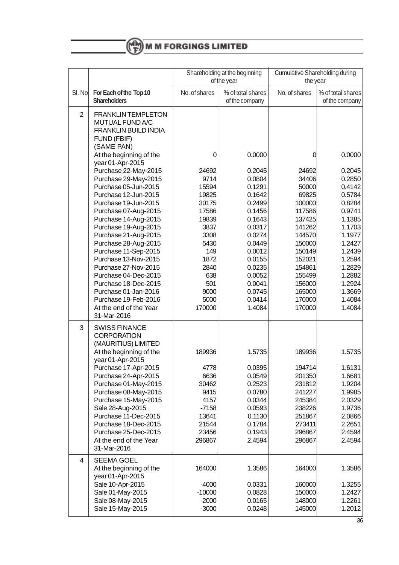

|                |                                                                                                          | Shareholding at the beginning<br>of the year |                                      | <b>Cumulative Shareholding during</b><br>the year |                                      |
|----------------|----------------------------------------------------------------------------------------------------------|----------------------------------------------|--------------------------------------|---------------------------------------------------|--------------------------------------|
|                | SI. No. For Each of the Top 10<br><b>Shareholders</b>                                                    | No. of shares                                | % of total shares<br>of the company  | No. of shares                                     | % of total shares<br>of the company  |
| $\overline{2}$ | <b>FRANKLIN TEMPLETON</b><br>MUTUAL FUND A/C<br><b>FRANKLIN BUILD INDIA</b><br>FUND (FBIF)<br>(SAME PAN) |                                              |                                      |                                                   |                                      |
|                | At the beginning of the<br>year 01-Apr-2015                                                              | 0                                            | 0.0000                               | 0                                                 | 0.0000                               |
|                | Purchase 22-May-2015<br>Purchase 29-May-2015<br>Purchase 05-Jun-2015<br>Purchase 12-Jun-2015             | 24692<br>9714<br>15594<br>19825              | 0.2045<br>0.0804<br>0.1291<br>0.1642 | 24692<br>34406<br>50000<br>69825                  | 0.2045<br>0.2850<br>0.4142<br>0.5784 |
|                | Purchase 19-Jun-2015                                                                                     | 30175                                        | 0.2499                               | 100000                                            | 0.8284                               |
|                | Purchase 07-Aug-2015                                                                                     | 17586                                        | 0.1456                               | 117586                                            | 0.9741                               |
|                | Purchase 14-Aug-2015<br>Purchase 19-Aug-2015                                                             | 19839<br>3837                                | 0.1643<br>0.0317                     | 137425<br>141262                                  | 1.1385<br>1.1703                     |
|                | Purchase 21-Aug-2015                                                                                     | 3308                                         | 0.0274                               | 144570                                            | 1.1977                               |
|                | Purchase 28-Aug-2015                                                                                     | 5430                                         | 0.0449                               | 150000                                            | 1.2427                               |
|                | Purchase 11-Sep-2015                                                                                     | 149                                          | 0.0012                               | 150149                                            | 1.2439                               |
|                | Purchase 13-Nov-2015                                                                                     | 1872                                         | 0.0155                               | 152021                                            | 1.2594                               |
|                | Purchase 27-Nov-2015<br>Purchase 04-Dec-2015                                                             | 2840<br>638                                  | 0.0235<br>0.0052                     | 154861<br>155499                                  | 1.2829<br>1.2882                     |
|                | Purchase 18-Dec-2015                                                                                     | 501                                          | 0.0041                               | 156000                                            | 1.2924                               |
|                | Purchase 01-Jan-2016                                                                                     | 9000                                         | 0.0745                               | 165000                                            | 1.3669                               |
|                | Purchase 19-Feb-2016                                                                                     | 5000                                         | 0.0414                               | 170000                                            | 1.4084                               |
|                | At the end of the Year<br>31-Mar-2016                                                                    | 170000                                       | 1.4084                               | 170000                                            | 1.4084                               |
| 3              | <b>SWISS FINANCE</b><br><b>CORPORATION</b><br>(MAURITIUS) LIMITED<br>At the beginning of the             | 189936                                       | 1.5735                               | 189936                                            | 1.5735                               |
|                | year 01-Apr-2015<br>Purchase 17-Apr-2015                                                                 | 4778                                         | 0.0395                               | 194714                                            | 1.6131                               |
|                | Purchase 24-Apr-2015                                                                                     | 6636                                         | 0.0549                               | 201350                                            | 1.6681                               |
|                | Purchase 01-May-2015                                                                                     | 30462                                        | 0.2523                               | 231812                                            | 1.9204                               |
|                | Purchase 08-May-2015                                                                                     | 9415                                         | 0.0780                               | 241227                                            | 1.9985                               |
|                | Purchase 15-May-2015                                                                                     | 4157                                         | 0.0344                               | 245384                                            | 2.0329                               |
|                | Sale 28-Aug-2015<br>Purchase 11-Dec-2015                                                                 | $-7158$<br>13641                             | 0.0593<br>0.1130                     | 238226<br>251867                                  | 1.9736<br>2.0866                     |
|                | Purchase 18-Dec-2015                                                                                     | 21544                                        | 0.1784                               | 273411                                            | 2.2651                               |
|                | Purchase 25-Dec-2015                                                                                     | 23456                                        | 0.1943                               | 296867                                            | 2.4594                               |
|                | At the end of the Year<br>31-Mar-2016                                                                    | 296867                                       | 2.4594                               | 296867                                            | 2.4594                               |
| 4              | <b>SEEMA GOEL</b><br>At the beginning of the<br>year 01-Apr-2015                                         | 164000                                       | 1.3586                               | 164000                                            | 1.3586                               |
|                | Sale 10-Apr-2015<br>Sale 01-May-2015                                                                     | $-4000$<br>$-10000$                          | 0.0331<br>0.0828                     | 160000<br>150000                                  | 1.3255<br>1.2427                     |
|                | Sale 08-May-2015                                                                                         | $-2000$                                      | 0.0165                               | 148000                                            | 1.2261                               |
|                | Sale 15-May-2015                                                                                         | $-3000$                                      | 0.0248                               | 145000                                            | 1.2012                               |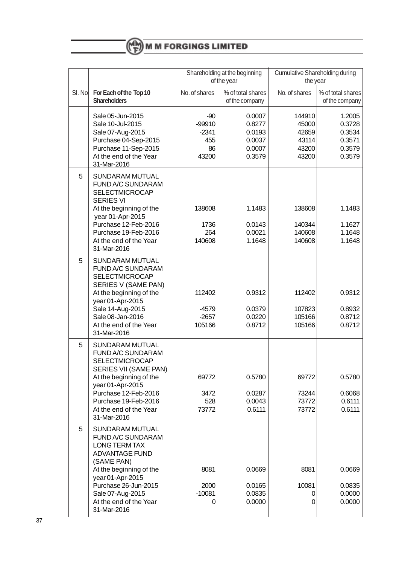|         |                                                                                                                                                                                                                                         | Shareholding at the beginning<br>of the year       |                                                          | Cumulative Shareholding during<br>the year          |                                                          |
|---------|-----------------------------------------------------------------------------------------------------------------------------------------------------------------------------------------------------------------------------------------|----------------------------------------------------|----------------------------------------------------------|-----------------------------------------------------|----------------------------------------------------------|
| SI. No. | For Each of the Top 10<br><b>Shareholders</b>                                                                                                                                                                                           | No. of shares                                      | % of total shares<br>of the company                      | No. of shares                                       | % of total shares<br>of the company                      |
|         | Sale 05-Jun-2015<br>Sale 10-Jul-2015<br>Sale 07-Aug-2015<br>Purchase 04-Sep-2015<br>Purchase 11-Sep-2015<br>At the end of the Year<br>31-Mar-2016                                                                                       | $-90$<br>$-99910$<br>$-2341$<br>455<br>86<br>43200 | 0.0007<br>0.8277<br>0.0193<br>0.0037<br>0.0007<br>0.3579 | 144910<br>45000<br>42659<br>43114<br>43200<br>43200 | 1.2005<br>0.3728<br>0.3534<br>0.3571<br>0.3579<br>0.3579 |
| 5       | SUNDARAM MUTUAL<br>FUND A/C SUNDARAM<br><b>SELECTMICROCAP</b><br><b>SERIES VI</b><br>At the beginning of the<br>year 01-Apr-2015<br>Purchase 12-Feb-2016<br>Purchase 19-Feb-2016<br>At the end of the Year<br>31-Mar-2016               | 138608<br>1736<br>264<br>140608                    | 1.1483<br>0.0143<br>0.0021<br>1.1648                     | 138608<br>140344<br>140608<br>140608                | 1.1483<br>1.1627<br>1.1648<br>1.1648                     |
| 5       | SUNDARAM MUTUAL<br>FUND A/C SUNDARAM<br><b>SELECTMICROCAP</b><br>SERIES V (SAME PAN)<br>At the beginning of the<br>year 01-Apr-2015<br>Sale 14-Aug-2015<br>Sale 08-Jan-2016<br>At the end of the Year<br>31-Mar-2016                    | 112402<br>$-4579$<br>$-2657$<br>105166             | 0.9312<br>0.0379<br>0.0220<br>0.8712                     | 112402<br>107823<br>105166<br>105166                | 0.9312<br>0.8932<br>0.8712<br>0.8712                     |
| 5       | SUNDARAM MUTUAL<br>FUND A/C SUNDARAM<br><b>SELECTMICROCAP</b><br>SERIES VII (SAME PAN)<br>At the beginning of the<br>year 01-Apr-2015<br>Purchase 12-Feb-2016<br>Purchase 19-Feb-2016<br>At the end of the Year<br>31-Mar-2016          | 69772<br>3472<br>528<br>73772                      | 0.5780<br>0.0287<br>0.0043<br>0.6111                     | 69772<br>73244<br>73772<br>73772                    | 0.5780<br>0.6068<br>0.6111<br>0.6111                     |
| 5       | SUNDARAM MUTUAL<br>FUND A/C SUNDARAM<br><b>LONG TERM TAX</b><br><b>ADVANTAGE FUND</b><br>(SAME PAN)<br>At the beginning of the<br>year 01-Apr-2015<br>Purchase 26-Jun-2015<br>Sale 07-Aug-2015<br>At the end of the Year<br>31-Mar-2016 | 8081<br>2000<br>$-10081$<br>0                      | 0.0669<br>0.0165<br>0.0835<br>0.0000                     | 8081<br>10081<br>0<br>0                             | 0.0669<br>0.0835<br>0.0000<br>0.0000                     |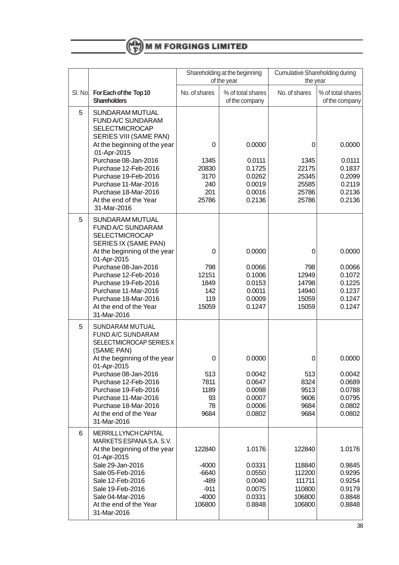

|   |                                                                                                                                                                                                                                                                                                              | Shareholding at the beginning<br>of the year                        |                                                                    | <b>Cumulative Shareholding during</b><br>the year                  |                                                                    |
|---|--------------------------------------------------------------------------------------------------------------------------------------------------------------------------------------------------------------------------------------------------------------------------------------------------------------|---------------------------------------------------------------------|--------------------------------------------------------------------|--------------------------------------------------------------------|--------------------------------------------------------------------|
|   | SI. No. For Each of the Top 10<br><b>Shareholders</b>                                                                                                                                                                                                                                                        | No. of shares                                                       | % of total shares<br>of the company                                | No. of shares                                                      | % of total shares<br>of the company                                |
| 5 | SUNDARAM MUTUAL<br>FUND A/C SUNDARAM<br><b>SELECTMICROCAP</b><br>SERIES VIII (SAME PAN)<br>At the beginning of the year<br>01-Apr-2015<br>Purchase 08-Jan-2016<br>Purchase 12-Feb-2016<br>Purchase 19-Feb-2016<br>Purchase 11-Mar-2016<br>Purchase 18-Mar-2016<br>At the end of the Year<br>31-Mar-2016      | 0<br>1345<br>20830<br>3170<br>240<br>201<br>25786                   | 0.0000<br>0.0111<br>0.1725<br>0.0262<br>0.0019<br>0.0016<br>0.2136 | 0<br>1345<br>22175<br>25345<br>25585<br>25786<br>25786             | 0.0000<br>0.0111<br>0.1837<br>0.2099<br>0.2119<br>0.2136<br>0.2136 |
| 5 | <b>SUNDARAM MUTUAL</b><br>FUND A/C SUNDARAM<br><b>SELECTMICROCAP</b><br>SERIES IX (SAME PAN)<br>At the beginning of the year<br>01-Apr-2015<br>Purchase 08-Jan-2016<br>Purchase 12-Feb-2016<br>Purchase 19-Feb-2016<br>Purchase 11-Mar-2016<br>Purchase 18-Mar-2016<br>At the end of the Year<br>31-Mar-2016 | 0<br>798<br>12151<br>1849<br>142<br>119<br>15059                    | 0.0000<br>0.0066<br>0.1006<br>0.0153<br>0.0011<br>0.0009<br>0.1247 | 0<br>798<br>12949<br>14798<br>14940<br>15059<br>15059              | 0.0000<br>0.0066<br>0.1072<br>0.1225<br>0.1237<br>0.1247<br>0.1247 |
| 5 | SUNDARAM MUTUAL<br>FUND A/C SUNDARAM<br>SELECTMICROCAP SERIES X<br>(SAME PAN)<br>At the beginning of the year<br>01-Apr-2015<br>Purchase 08-Jan-2016<br>Purchase 12-Feb-2016<br>Purchase 19-Feb-2016<br>Purchase 11-Mar-2016<br>Purchase 18-Mar-2016<br>At the end of the Year<br>31-Mar-2016                | 0<br>513<br>7811<br>1189<br>93<br>78<br>9684                        | 0.0000<br>0.0042<br>0.0647<br>0.0098<br>0.0007<br>0.0006<br>0.0802 | 0<br>513<br>8324<br>9513<br>9606<br>9684<br>9684                   | 0.0000<br>0.0042<br>0.0689<br>0.0788<br>0.0795<br>0.0802<br>0.0802 |
| 6 | <b>MERRILL LYNCH CAPITAL</b><br>MARKETS ESPANA S.A. S.V.<br>At the beginning of the year<br>01-Apr-2015<br>Sale 29-Jan-2016<br>Sale 05-Feb-2016<br>Sale 12-Feb-2016<br>Sale 19-Feb-2016<br>Sale 04-Mar-2016<br>At the end of the Year<br>31-Mar-2016                                                         | 122840<br>$-4000$<br>$-6640$<br>-489<br>$-911$<br>$-4000$<br>106800 | 1.0176<br>0.0331<br>0.0550<br>0.0040<br>0.0075<br>0.0331<br>0.8848 | 122840<br>118840<br>112200<br>111711<br>110800<br>106800<br>106800 | 1.0176<br>0.9845<br>0.9295<br>0.9254<br>0.9179<br>0.8848<br>0.8848 |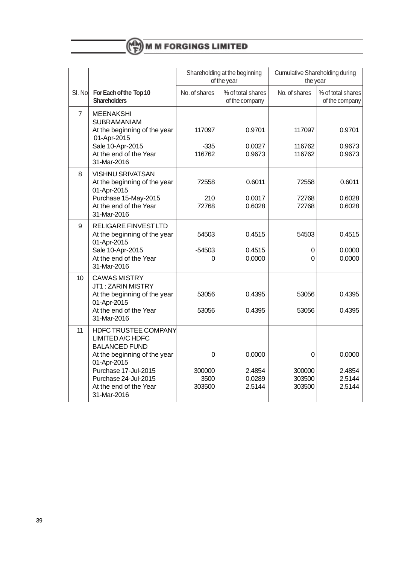

|                |                                                                                                                                                                                                                 | Shareholding at the beginning<br>of the year |                                      | <b>Cumulative Shareholding during</b><br>the year |                                      |
|----------------|-----------------------------------------------------------------------------------------------------------------------------------------------------------------------------------------------------------------|----------------------------------------------|--------------------------------------|---------------------------------------------------|--------------------------------------|
| SI. No.        | For Each of the Top 10<br><b>Shareholders</b>                                                                                                                                                                   | No. of shares                                | % of total shares<br>of the company  | No. of shares                                     | % of total shares<br>of the company  |
| $\overline{7}$ | <b>MEENAKSHI</b><br><b>SUBRAMANIAM</b><br>At the beginning of the year<br>01-Apr-2015<br>Sale 10-Apr-2015<br>At the end of the Year<br>31-Mar-2016                                                              | 117097<br>$-335$<br>116762                   | 0.9701<br>0.0027<br>0.9673           | 117097<br>116762<br>116762                        | 0.9701<br>0.9673<br>0.9673           |
| 8              | <b>VISHNU SRIVATSAN</b><br>At the beginning of the year<br>01-Apr-2015<br>Purchase 15-May-2015<br>At the end of the Year<br>31-Mar-2016                                                                         | 72558<br>210<br>72768                        | 0.6011<br>0.0017<br>0.6028           | 72558<br>72768<br>72768                           | 0.6011<br>0.6028<br>0.6028           |
| 9              | <b>RELIGARE FINVEST LTD</b><br>At the beginning of the year<br>01-Apr-2015<br>Sale 10-Apr-2015<br>At the end of the Year<br>31-Mar-2016                                                                         | 54503<br>-54503<br>$\Omega$                  | 0.4515<br>0.4515<br>0.0000           | 54503<br>0<br>0                                   | 0.4515<br>0.0000<br>0.0000           |
| 10             | <b>CAWAS MISTRY</b><br>JT1: ZARIN MISTRY<br>At the beginning of the year<br>01-Apr-2015<br>At the end of the Year<br>31-Mar-2016                                                                                | 53056<br>53056                               | 0.4395<br>0.4395                     | 53056<br>53056                                    | 0.4395<br>0.4395                     |
| 11             | <b>HDFC TRUSTEE COMPANY</b><br>LIMITED A/C HDFC<br><b>BALANCED FUND</b><br>At the beginning of the year<br>01-Apr-2015<br>Purchase 17-Jul-2015<br>Purchase 24-Jul-2015<br>At the end of the Year<br>31-Mar-2016 | 0<br>300000<br>3500<br>303500                | 0.0000<br>2.4854<br>0.0289<br>2.5144 | 0<br>300000<br>303500<br>303500                   | 0.0000<br>2.4854<br>2.5144<br>2.5144 |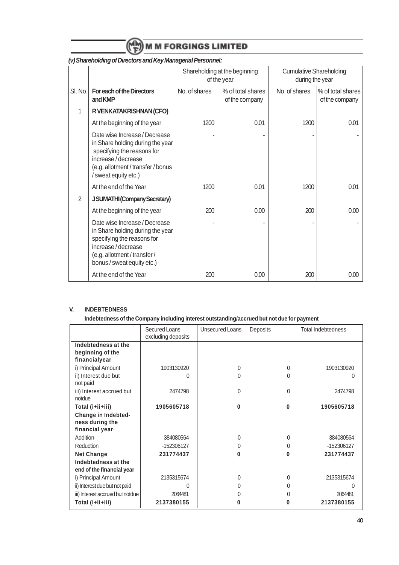

|                |                                                                                                                                                                                    | Shareholding at the beginning<br>of the year |                                     | <b>Cumulative Shareholding</b><br>during the year |                                     |
|----------------|------------------------------------------------------------------------------------------------------------------------------------------------------------------------------------|----------------------------------------------|-------------------------------------|---------------------------------------------------|-------------------------------------|
| SI. No.        | For each of the Directors<br>and KMP                                                                                                                                               | No. of shares                                | % of total shares<br>of the company | No. of shares                                     | % of total shares<br>of the company |
| 1              | R VENKATAKRISHNAN (CFO)                                                                                                                                                            |                                              |                                     |                                                   |                                     |
|                | At the beginning of the year                                                                                                                                                       | 1200                                         | 0.01                                | 1200                                              | 0.01                                |
|                | Date wise Increase / Decrease<br>in Share holding during the year<br>specifying the reasons for<br>increase/decrease<br>(e.g. allotment / transfer / bonus<br>/ sweat equity etc.) |                                              |                                     |                                                   |                                     |
|                | At the end of the Year                                                                                                                                                             | 1200                                         | 0.01                                | 1200                                              | 0.01                                |
| $\overline{2}$ | <b>JSUMATHI (Company Secretary)</b>                                                                                                                                                |                                              |                                     |                                                   |                                     |
|                | At the beginning of the year                                                                                                                                                       | 200                                          | 0.00                                | 200                                               | 0.00                                |
|                | Date wise Increase / Decrease<br>in Share holding during the year<br>specifying the reasons for<br>increase/decrease<br>(e.g. allotment / transfer /<br>bonus / sweat equity etc.) |                                              |                                     |                                                   |                                     |
|                | At the end of the Year                                                                                                                                                             | 200                                          | 0.00                                | 200                                               | 0.00                                |

## **(v) Shareholding of Directors and Key Managerial Personnel:**

#### **V. INDEBTEDNESS**

## **Indebtedness of the Company including interest outstanding/accrued but not due for payment**

|                                                                  | Secured Loans<br>excluding deposits | Unsecured Loans | Deposits | <b>Total Indebtedness</b> |
|------------------------------------------------------------------|-------------------------------------|-----------------|----------|---------------------------|
| Indebtedness at the<br>beginning of the<br>financialyear         |                                     |                 |          |                           |
| i) Principal Amount                                              | 1903130920                          | 0               | $\Omega$ | 1903130920                |
| ii) Interest due but<br>not paid                                 | 0                                   | 0               | $\Omega$ |                           |
| iii) Interest accrued but<br>notdue                              | 2474798                             | U               | $\Omega$ | 2474798                   |
| Total (i+ii+iii)                                                 | 1905605718                          | 0               | 0        | 1905605718                |
| <b>Change in Indebted-</b><br>ness during the<br>financial year. |                                     |                 |          |                           |
| Addition-                                                        | 384080564                           | 0               | $\Omega$ | 384080564                 |
| Reduction                                                        | -152306127                          | U               | $\Omega$ | -152306127                |
| <b>Net Change</b>                                                | 231774437                           | O               | 0        | 231774437                 |
| Indebtedness at the<br>end of the financial year                 |                                     |                 |          |                           |
| i) Principal Amount                                              | 2135315674                          | 0               | $\Omega$ | 2135315674                |
| ii) Interest due but not paid                                    | 0                                   | 0               | $\Omega$ | U                         |
| iii) Interest accrued but notdue                                 | 2064481                             | 0               | O        | 2064481                   |
| Total (i+ii+iii)                                                 | 2137380155                          | 0               | 0        | 2137380155                |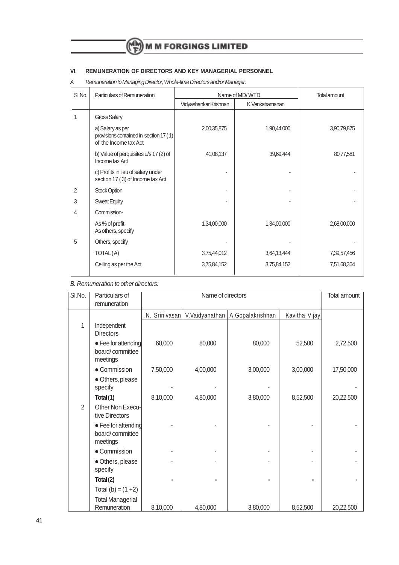## **VI. REMUNERATION OF DIRECTORS AND KEY MANAGERIAL PERSONNEL**

A. Remuneration to Managing Director, Whole-time Directors and/or Manager:

| SI.No. | Particulars of Remuneration                                                         | Name of MD/WTD        | <b>Total amount</b> |             |
|--------|-------------------------------------------------------------------------------------|-----------------------|---------------------|-------------|
|        |                                                                                     | Vidyashankar Krishnan | K.Venkatramanan     |             |
| 1      | Gross Salary                                                                        |                       |                     |             |
|        | a) Salary as per<br>provisions contained in section 17 (1)<br>of the Income tax Act | 2,00,35,875           | 1,90,44,000         | 3,90,79,875 |
|        | b) Value of perquisites u/s 17 (2) of<br>Income tax Act                             | 41,08,137             | 39,69,444           | 80,77,581   |
|        | c) Profits in lieu of salary under<br>section 17 (3) of Income tax Act              |                       |                     |             |
| 2      | <b>Stock Option</b>                                                                 |                       | ٠                   |             |
| 3      | <b>Sweat Equity</b>                                                                 |                       |                     |             |
| 4      | Commission-                                                                         |                       |                     |             |
|        | As % of profit-<br>As others, specify                                               | 1,34,00,000           | 1,34,00,000         | 2,68,00,000 |
| 5      | Others, specify                                                                     |                       |                     |             |
|        | TOTAL(A)                                                                            | 3,75,44,012           | 3,64,13,444         | 7,39,57,456 |
|        | Ceiling as per the Act                                                              | 3,75,84,152           | 3,75,84,152         | 7,51,68,304 |

B. Remuneration to other directors:

| SI.No.         | Particulars of                                     |               | Name of directors |                  |               | Total amount |
|----------------|----------------------------------------------------|---------------|-------------------|------------------|---------------|--------------|
|                | remuneration                                       |               |                   |                  |               |              |
|                |                                                    | N. Srinivasan | V.Vaidyanathan    | A.Gopalakrishnan | Kavitha Vijay |              |
| 1              | Independent<br><b>Directors</b>                    |               |                   |                  |               |              |
|                | • Fee for attending<br>board/committee<br>meetings | 60,000        | 80,000            | 80,000           | 52,500        | 2,72,500     |
|                | • Commission                                       | 7,50,000      | 4,00,000          | 3,00,000         | 3,00,000      | 17,50,000    |
|                | · Others, please<br>specify                        |               |                   |                  |               |              |
|                | Total(1)                                           | 8,10,000      | 4,80,000          | 3,80,000         | 8,52,500      | 20,22,500    |
| $\overline{2}$ | Other Non Execu-<br>tive Directors                 |               |                   |                  |               |              |
|                | • Fee for attending<br>board/committee<br>meetings |               |                   |                  |               |              |
|                | • Commission                                       |               |                   |                  |               |              |
|                | · Others, please<br>specify                        |               |                   |                  |               |              |
|                | Total (2)                                          |               |                   |                  |               |              |
|                | Total (b) = $(1 + 2)$                              |               |                   |                  |               |              |
|                | <b>Total Managerial</b><br>Remuneration            | 8,10,000      | 4,80,000          | 3,80,000         | 8,52,500      | 20,22,500    |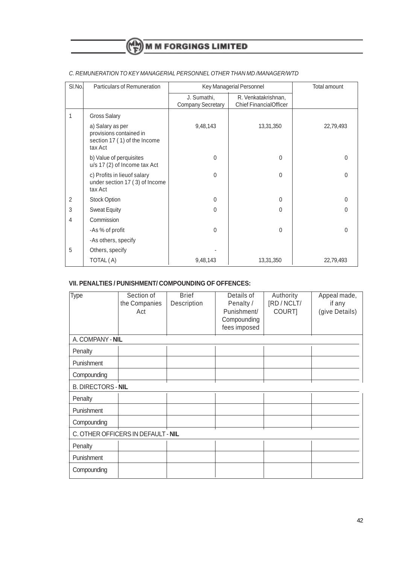| SI.No.         | Particulars of Remuneration                                                            |                                         | Key Managerial Personnel                             | Total amount |
|----------------|----------------------------------------------------------------------------------------|-----------------------------------------|------------------------------------------------------|--------------|
|                |                                                                                        | J. Sumathi,<br><b>Company Secretary</b> | R. Venkatakrishnan,<br><b>Chief FinancialOfficer</b> |              |
| 1              | <b>Gross Salary</b>                                                                    |                                         |                                                      |              |
|                | a) Salary as per<br>provisions contained in<br>section 17 (1) of the Income<br>tax Act | 9,48,143                                | 13,31,350                                            | 22,79,493    |
|                | b) Value of perquisites<br>u/s 17 (2) of Income tax Act                                | $\mathbf{0}$                            | $\Omega$                                             | $\Omega$     |
|                | c) Profits in lieuof salary<br>under section 17 (3) of Income<br>tax Act               | $\mathbf{0}$                            | $\Omega$                                             | $\Omega$     |
| 2              | <b>Stock Option</b>                                                                    | $\mathbf 0$                             | $\Omega$                                             | $\Omega$     |
| 3              | <b>Sweat Equity</b>                                                                    | $\mathbf{0}$                            | $\Omega$                                             | $\Omega$     |
| $\overline{4}$ | Commission                                                                             |                                         |                                                      |              |
|                | -As % of profit                                                                        | $\mathbf 0$                             | $\Omega$                                             | $\mathbf{0}$ |
|                | -As others, specify                                                                    |                                         |                                                      |              |
| 5              | Others, specify                                                                        |                                         |                                                      |              |
|                | TOTAL (A)                                                                              | 9,48,143                                | 13,31,350                                            | 22,79,493    |

### C. REMUNERATION TO KEY MANAGERIAL PERSONNEL OTHER THAN MD /MANAGER/WTD

## **VII. PENALTIES / PUNISHMENT/ COMPOUNDING OF OFFENCES:**

| Type                               | Section of<br>the Companies<br>Act | <b>Brief</b><br>Description | Details of<br>Penalty /<br>Punishment/<br>Compounding<br>fees imposed | Authority<br>[RD / NCLT/<br>COURT] | Appeal made,<br>if any<br>(give Details) |  |
|------------------------------------|------------------------------------|-----------------------------|-----------------------------------------------------------------------|------------------------------------|------------------------------------------|--|
| A. COMPANY - NIL                   |                                    |                             |                                                                       |                                    |                                          |  |
| Penalty                            |                                    |                             |                                                                       |                                    |                                          |  |
| Punishment                         |                                    |                             |                                                                       |                                    |                                          |  |
| Compounding                        |                                    |                             |                                                                       |                                    |                                          |  |
| <b>B. DIRECTORS - NIL</b>          |                                    |                             |                                                                       |                                    |                                          |  |
| Penalty                            |                                    |                             |                                                                       |                                    |                                          |  |
| Punishment                         |                                    |                             |                                                                       |                                    |                                          |  |
| Compounding                        |                                    |                             |                                                                       |                                    |                                          |  |
| C. OTHER OFFICERS IN DEFAULT - NIL |                                    |                             |                                                                       |                                    |                                          |  |
| Penalty                            |                                    |                             |                                                                       |                                    |                                          |  |
| Punishment                         |                                    |                             |                                                                       |                                    |                                          |  |
| Compounding                        |                                    |                             |                                                                       |                                    |                                          |  |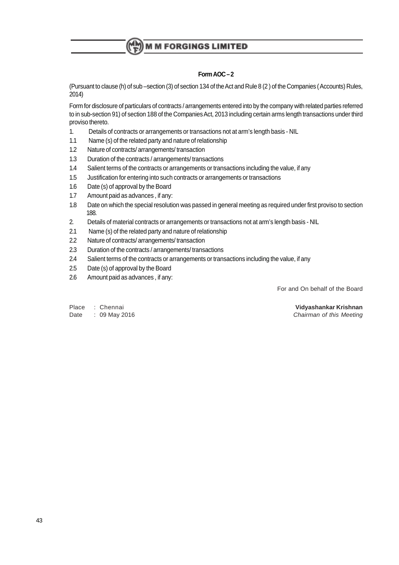## **Form AOC – 2**

(Pursuant to clause (h) of sub –section (3) of section 134 of the Act and Rule 8 (2 ) of the Companies ( Accounts) Rules, 2014)

Form for disclosure of particulars of contracts / arrangements entered into by the company with related parties referred to in sub-section 91) of section 188 of the Companies Act, 2013 including certain arms length transactions under third proviso thereto.

- 1. Details of contracts or arrangements or transactions not at arm's length basis NIL
- 1.1 Name (s) of the related party and nature of relationship
- 1.2 Nature of contracts/ arrangements/ transaction
- 1.3 Duration of the contracts / arrangements/ transactions
- 1.4 Salient terms of the contracts or arrangements or transactions including the value, if any
- 1.5 Justification for entering into such contracts or arrangements or transactions
- 1.6 Date (s) of approval by the Board
- 1.7 Amount paid as advances , if any:
- 1.8 Date on which the special resolution was passed in general meeting as required under first proviso to section 188.
- 2. Details of material contracts or arrangements or transactions not at arm's length basis NIL
- 2.1 Name (s) of the related party and nature of relationship
- 2.2 Nature of contracts/ arrangements/ transaction
- 2.3 Duration of the contracts / arrangements/ transactions
- 2.4 Salient terms of the contracts or arrangements or transactions including the value, if any
- 2.5 Date (s) of approval by the Board
- 2.6 Amount paid as advances , if any:

For and On behalf of the Board

Place : Chennai **Vidyashankar Krishnan**

Date : 09 May 2016 **Chairman of this Meeting**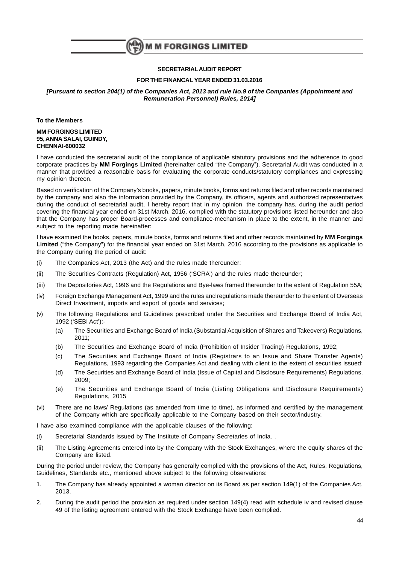

#### **SECRETARIALAUDIT REPORT**

#### **FOR THE FINANCAL YEAR ENDED 31.03.2016**

#### **[Pursuant to section 204(1) of the Companies Act, 2013 and rule No.9 of the Companies (Appointment and Remuneration Personnel) Rules, 2014]**

**To the Members**

#### **MM FORGINGS LIMITED 95, ANNA SALAI, GUINDY, CHENNAI-600032**

I have conducted the secretarial audit of the compliance of applicable statutory provisions and the adherence to good corporate practices by **MM Forgings Limited** (hereinafter called "the Company"). Secretarial Audit was conducted in a manner that provided a reasonable basis for evaluating the corporate conducts/statutory compliances and expressing my opinion thereon.

Based on verification of the Company's books, papers, minute books, forms and returns filed and other records maintained by the company and also the information provided by the Company, its officers, agents and authorized representatives during the conduct of secretarial audit, I hereby report that in my opinion, the company has, during the audit period covering the financial year ended on 31st March, 2016, complied with the statutory provisions listed hereunder and also that the Company has proper Board-processes and compliance-mechanism in place to the extent, in the manner and subject to the reporting made hereinafter:

I have examined the books, papers, minute books, forms and returns filed and other records maintained by **MM Forgings Limited** ("the Company") for the financial year ended on 31st March, 2016 according to the provisions as applicable to the Company during the period of audit:

- (i) The Companies Act, 2013 (the Act) and the rules made thereunder;
- (ii) The Securities Contracts (Regulation) Act, 1956 ('SCRA') and the rules made thereunder;
- (iii) The Depositories Act, 1996 and the Regulations and Bye-laws framed thereunder to the extent of Regulation 55A;
- (iv) Foreign Exchange Management Act, 1999 and the rules and regulations made thereunder to the extent of Overseas Direct Investment, imports and export of goods and services;
- (v) The following Regulations and Guidelines prescribed under the Securities and Exchange Board of India Act, 1992 ('SEBI Act'):-
	- (a) The Securities and Exchange Board of India (Substantial Acquisition of Shares and Takeovers) Regulations, 2011;
	- (b) The Securities and Exchange Board of India (Prohibition of Insider Trading) Regulations, 1992;
	- (c) The Securities and Exchange Board of India (Registrars to an Issue and Share Transfer Agents) Regulations, 1993 regarding the Companies Act and dealing with client to the extent of securities issued;
	- (d) The Securities and Exchange Board of India (Issue of Capital and Disclosure Requirements) Regulations, 2009;
	- (e) The Securities and Exchange Board of India (Listing Obligations and Disclosure Requirements) Regulations, 2015
- (vi) There are no laws/ Regulations (as amended from time to time), as informed and certified by the management of the Company which are specifically applicable to the Company based on their sector/industry.

I have also examined compliance with the applicable clauses of the following:

- (i) Secretarial Standards issued by The Institute of Company Secretaries of India. .
- (ii) The Listing Agreements entered into by the Company with the Stock Exchanges, where the equity shares of the Company are listed.

During the period under review, the Company has generally complied with the provisions of the Act, Rules, Regulations, Guidelines, Standards etc., mentioned above subject to the following observations:

- 1. The Company has already appointed a woman director on its Board as per section 149(1) of the Companies Act, 2013.
- 2. During the audit period the provision as required under section 149(4) read with schedule iv and revised clause 49 of the listing agreement entered with the Stock Exchange have been complied.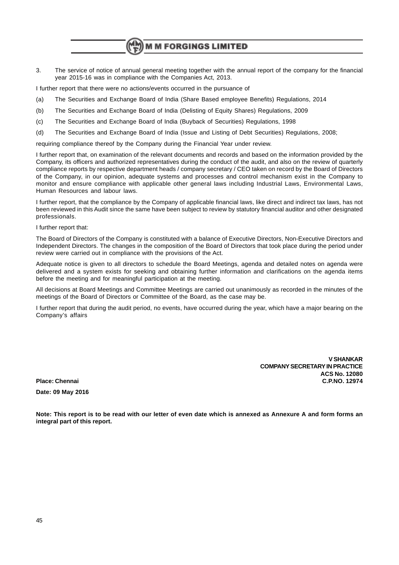3. The service of notice of annual general meeting together with the annual report of the company for the financial year 2015-16 was in compliance with the Companies Act, 2013.

I further report that there were no actions/events occurred in the pursuance of

- (a) The Securities and Exchange Board of India (Share Based employee Benefits) Regulations, 2014
- (b) The Securities and Exchange Board of India (Delisting of Equity Shares) Regulations, 2009
- (c) The Securities and Exchange Board of India (Buyback of Securities) Regulations, 1998
- (d) The Securities and Exchange Board of India (Issue and Listing of Debt Securities) Regulations, 2008;

requiring compliance thereof by the Company during the Financial Year under review.

I further report that, on examination of the relevant documents and records and based on the information provided by the Company, its officers and authorized representatives during the conduct of the audit, and also on the review of quarterly compliance reports by respective department heads / company secretary / CEO taken on record by the Board of Directors of the Company, in our opinion, adequate systems and processes and control mechanism exist in the Company to monitor and ensure compliance with applicable other general laws including Industrial Laws, Environmental Laws, Human Resources and labour laws.

I further report, that the compliance by the Company of applicable financial laws, like direct and indirect tax laws, has not been reviewed in this Audit since the same have been subject to review by statutory financial auditor and other designated professionals.

I further report that:

The Board of Directors of the Company is constituted with a balance of Executive Directors, Non-Executive Directors and Independent Directors. The changes in the composition of the Board of Directors that took place during the period under review were carried out in compliance with the provisions of the Act.

Adequate notice is given to all directors to schedule the Board Meetings, agenda and detailed notes on agenda were delivered and a system exists for seeking and obtaining further information and clarifications on the agenda items before the meeting and for meaningful participation at the meeting.

All decisions at Board Meetings and Committee Meetings are carried out unanimously as recorded in the minutes of the meetings of the Board of Directors or Committee of the Board, as the case may be.

I further report that during the audit period, no events, have occurred during the year, which have a major bearing on the Company's affairs

**Date: 09 May 2016**

**V SHANKAR COMPANY SECRETARY IN PRACTICE ACS No. 12080 Place: Chennai C.P.NO. 12974**

**Note: This report is to be read with our letter of even date which is annexed as Annexure A and form forms an integral part of this report.**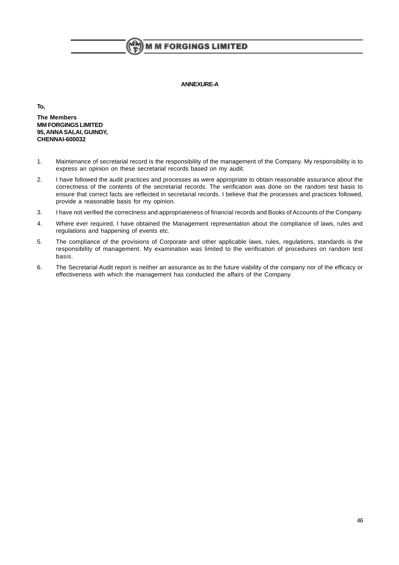#### **ANNEXURE-A**

**To,**

**The Members MM FORGINGS LIMITED 95, ANNA SALAI, GUINDY, CHENNAI-600032**

- 1. Maintenance of secretarial record is the responsibility of the management of the Company. My responsibility is to express an opinion on these secretarial records based on my audit.
- 2. I have followed the audit practices and processes as were appropriate to obtain reasonable assurance about the correctness of the contents of the secretarial records. The verification was done on the random test basis to ensure that correct facts are reflected in secretarial records. I believe that the processes and practices followed, provide a reasonable basis for my opinion.
- 3. I have not verified the correctness and appropriateness of financial records and Books of Accounts of the Company.
- 4. Where ever required, I have obtained the Management representation about the compliance of laws, rules and regulations and happening of events etc.
- 5. The compliance of the provisions of Corporate and other applicable laws, rules, regulations, standards is the responsibility of management. My examination was limited to the verification of procedures on random test basis.
- 6. The Secretarial Audit report is neither an assurance as to the future viability of the company nor of the efficacy or effectiveness with which the management has conducted the affairs of the Company.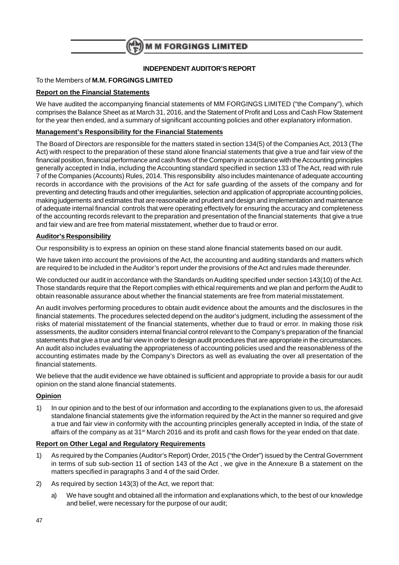

## **INDEPENDENT AUDITOR'S REPORT**

## To the Members of **M.M. FORGINGS LIMITED**

## **Report on the Financial Statements**

We have audited the accompanying financial statements of MM FORGINGS LIMITED ("the Company"), which comprises the Balance Sheet as at March 31, 2016, and the Statement of Profit and Loss and Cash Flow Statement for the year then ended, and a summary of significant accounting policies and other explanatory information.

## **Management's Responsibility for the Financial Statements**

The Board of Directors are responsible for the matters stated in section 134(5) of the Companies Act, 2013 (The Act) with respect to the preparation of these stand alone financial statements that give a true and fair view of the financial position, financial performance and cash flows of the Company in accordance with the Accounting principles generally accepted in India, including the Accounting standard specified in section 133 of The Act, read with rule 7 of the Companies (Accounts) Rules, 2014. This responsibility also includes maintenance of adequate accounting records in accordance with the provisions of the Act for safe guarding of the assets of the company and for preventing and detecting frauds and other irregularities, selection and application of appropriate accounting policies, making judgements and estimates that are reasonable and prudent and design and implementation and maintenance of adequate internal financial controls that were operating effectively for ensuring the accuracy and completeness of the accounting records relevant to the preparation and presentation of the financial statements that give a true and fair view and are free from material misstatement, whether due to fraud or error.

## **Auditor's Responsibility**

Our responsibility is to express an opinion on these stand alone financial statements based on our audit.

We have taken into account the provisions of the Act, the accounting and auditing standards and matters which are required to be included in the Auditor's report under the provisions of the Act and rules made thereunder.

We conducted our audit in accordance with the Standards on Auditing specified under section 143(10) of the Act. Those standards require that the Report complies with ethical requirements and we plan and perform the Audit to obtain reasonable assurance about whether the financial statements are free from material misstatement.

An audit involves performing procedures to obtain audit evidence about the amounts and the disclosures in the financial statements. The procedures selected depend on the auditor's judgment, including the assessment of the risks of material misstatement of the financial statements, whether due to fraud or error. In making those risk assessments, the auditor considers internal financial control relevant to the Company's preparation of the financial statements that give a true and fair view in order to design audit procedures that are appropriate in the circumstances. An audit also includes evaluating the appropriateness of accounting policies used and the reasonableness of the accounting estimates made by the Company's Directors as well as evaluating the over all presentation of the financial statements.

We believe that the audit evidence we have obtained is sufficient and appropriate to provide a basis for our audit opinion on the stand alone financial statements.

## **Opinion**

1) In our opinion and to the best of our information and according to the explanations given to us, the aforesaid standalone financial statements give the information required by the Act in the manner so required and give a true and fair view in conformity with the accounting principles generally accepted in India, of the state of affairs of the company as at 31st March 2016 and its profit and cash flows for the year ended on that date.

## **Report on Other Legal and Regulatory Requirements**

- 1) As required by the Companies (Auditor's Report) Order, 2015 ("the Order") issued by the Central Government in terms of sub sub-section 11 of section 143 of the Act , we give in the Annexure B a statement on the matters specified in paragraphs 3 and 4 of the said Order.
- 2) As required by section 143(3) of the Act, we report that:
	- a) We have sought and obtained all the information and explanations which, to the best of our knowledge and belief, were necessary for the purpose of our audit;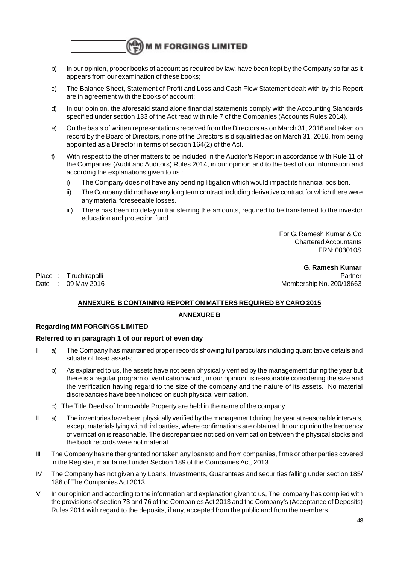b) In our opinion, proper books of account as required by law, have been kept by the Company so far as it appears from our examination of these books;

**M M FORGINGS LIMITED** 

- c) The Balance Sheet, Statement of Profit and Loss and Cash Flow Statement dealt with by this Report are in agreement with the books of account;
- d) In our opinion, the aforesaid stand alone financial statements comply with the Accounting Standards specified under section 133 of the Act read with rule 7 of the Companies (Accounts Rules 2014).
- e) On the basis of written representations received from the Directors as on March 31, 2016 and taken on record by the Board of Directors, none of the Directors is disqualified as on March 31, 2016, from being appointed as a Director in terms of section 164(2) of the Act.
- f) With respect to the other matters to be included in the Auditor's Report in accordance with Rule 11 of the Companies (Audit and Auditors) Rules 2014, in our opinion and to the best of our information and according the explanations given to us :
	- i) The Company does not have any pending litigation which would impact its financial position.
	- ii) The Company did not have any long term contract including derivative contract for which there were any material foreseeable losses.
	- iii) There has been no delay in transferring the amounts, required to be transferred to the investor education and protection fund.

For G. Ramesh Kumar & Co Chartered Accountants FRN: 003010S

**G. Ramesh Kumar** Place : Tiruchirapalli **Place : The Partner** Partner Partner Partner Partner Partner Partner Partner Partner Partner Date : 09 May 2016 March 200/18663

## **ANNEXURE B CONTAINING REPORT ON MATTERS REQUIRED BY CARO 2015**

## **ANNEXURE B**

## **Regarding MM FORGINGS LIMITED**

#### **Referred to in paragraph 1 of our report of even day**

- a) The Company has maintained proper records showing full particulars including quantitative details and situate of fixed assets;
	- b) As explained to us, the assets have not been physically verified by the management during the year but there is a regular program of verification which, in our opinion, is reasonable considering the size and the verification having regard to the size of the company and the nature of its assets. No material discrepancies have been noticed on such physical verification.
	- c) The Title Deeds of Immovable Property are held in the name of the company.
- II a) The inventories have been physically verified by the management during the year at reasonable intervals, except materials lying with third parties, where confirmations are obtained. In our opinion the frequency of verification is reasonable. The discrepancies noticed on verification between the physical stocks and the book records were not material.
- III The Company has neither granted nor taken any loans to and from companies, firms or other parties covered in the Register, maintained under Section 189 of the Companies Act, 2013.
- IV The Company has not given any Loans, Investments, Guarantees and securities falling under section 185/ 186 of The Companies Act 2013.
- V In our opinion and according to the information and explanation given to us, The company has complied with the provisions of section 73 and 76 of the Companies Act 2013 and the Company's (Acceptance of Deposits) Rules 2014 with regard to the deposits, if any, accepted from the public and from the members.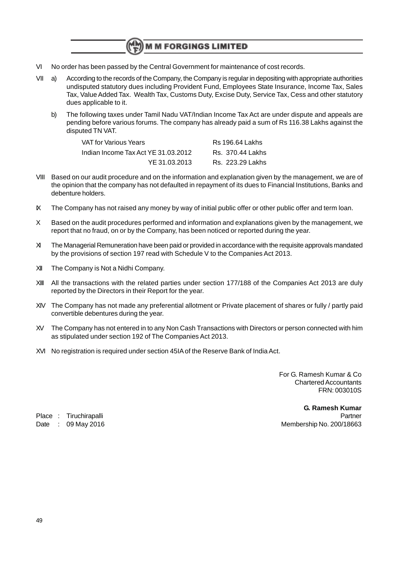- VI No order has been passed by the Central Government for maintenance of cost records.
- VII a) According to the records of the Company, the Company is regular in depositing with appropriate authorities undisputed statutory dues including Provident Fund, Employees State Insurance, Income Tax, Sales Tax, Value Added Tax. Wealth Tax, Customs Duty, Excise Duty, Service Tax, Cess and other statutory dues applicable to it.
	- b) The following taxes under Tamil Nadu VAT/Indian Income Tax Act are under dispute and appeals are pending before various forums. The company has already paid a sum of Rs 116.38 Lakhs against the disputed TN VAT.

| VAT for Various Years               | <b>Rs</b> 196.64 Lakhs |
|-------------------------------------|------------------------|
| Indian Income Tax Act YE 31.03.2012 | Rs. 370.44 Lakhs       |
| YE 31.03.2013                       | Rs. 223.29 Lakhs       |

- VIII Based on our audit procedure and on the information and explanation given by the management, we are of the opinion that the company has not defaulted in repayment of its dues to Financial Institutions, Banks and debenture holders.
- IX The Company has not raised any money by way of initial public offer or other public offer and term loan.
- X Based on the audit procedures performed and information and explanations given by the management, we report that no fraud, on or by the Company, has been noticed or reported during the year.
- XI The Managerial Remuneration have been paid or provided in accordance with the requisite approvals mandated by the provisions of section 197 read with Schedule V to the Companies Act 2013.
- XII The Company is Not a Nidhi Company.
- XIII All the transactions with the related parties under section 177/188 of the Companies Act 2013 are duly reported by the Directors in their Report for the year.
- XIV The Company has not made any preferential allotment or Private placement of shares or fully / partly paid convertible debentures during the year.
- XV The Company has not entered in to any Non Cash Transactions with Directors or person connected with him as stipulated under section 192 of The Companies Act 2013.
- XVI No registration is required under section 45IA of the Reserve Bank of India Act.

For G. Ramesh Kumar & Co Chartered Accountants FRN: 003010S

**G. Ramesh Kumar** Place : Tiruchirapalli **Place : Place in the Place in the Partner** Date : 09 May 2016 March 2007 18663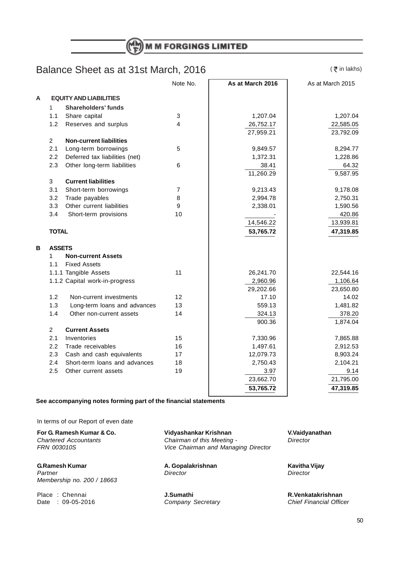## Balance Sheet as at 31st March, 2016

 $($   $\bar{z}$  in lakhs)

|   |                |                                | Note No.       | As at March 2016 | As at March 2015 |
|---|----------------|--------------------------------|----------------|------------------|------------------|
| A |                | <b>EQUITY AND LIABILITIES</b>  |                |                  |                  |
|   | $\mathbf{1}$   | <b>Shareholders' funds</b>     |                |                  |                  |
|   | 1.1            | Share capital                  | 3              | 1,207.04         | 1,207.04         |
|   | 1.2            | Reserves and surplus           | 4              | 26,752.17        | 22,585.05        |
|   |                |                                |                | 27,959.21        | 23,792.09        |
|   | $\overline{2}$ | <b>Non-current liabilities</b> |                |                  |                  |
|   | 2.1            | Long-term borrowings           | 5              | 9,849.57         | 8,294.77         |
|   | 2.2            | Deferred tax liabilities (net) |                | 1,372.31         | 1,228.86         |
|   | 2.3            | Other long-term liabilities    | 6              | 38.41            | 64.32            |
|   |                |                                |                | 11,260.29        | 9,587.95         |
|   | 3              | <b>Current liabilities</b>     |                |                  |                  |
|   | 3.1            | Short-term borrowings          | $\overline{7}$ | 9,213.43         | 9,178.08         |
|   | 3.2            | Trade payables                 | 8              | 2,994.78         | 2,750.31         |
|   | 3.3            | Other current liabilities      | 9              | 2,338.01         | 1,590.56         |
|   | 3.4            | Short-term provisions          | 10             |                  | 420.86           |
|   |                |                                |                | 14,546.22        | 13,939.81        |
|   | <b>TOTAL</b>   |                                |                | 53,765.72        | 47,319.85        |
|   |                |                                |                |                  |                  |
| в | <b>ASSETS</b>  |                                |                |                  |                  |
|   | 1              | <b>Non-current Assets</b>      |                |                  |                  |
|   | 1.1            | <b>Fixed Assets</b>            |                |                  |                  |
|   |                | 1.1.1 Tangible Assets          | 11             | 26,241.70        | 22,544.16        |
|   |                | 1.1.2 Capital work-in-progress |                | 2,960.96         | 1,106.64         |
|   |                |                                |                | 29,202.66        | 23,650.80        |
|   | 1.2            | Non-current investments        | 12             | 17.10            | 14.02            |
|   | 1.3            | Long-term loans and advances   | 13             | 559.13           | 1,481.82         |
|   | 1.4            | Other non-current assets       | 14             | 324.13           | 378.20           |
|   |                |                                |                | 900.36           | 1,874.04         |
|   | $\overline{2}$ | <b>Current Assets</b>          |                |                  |                  |
|   | 2.1            | Inventories                    | 15             | 7,330.96         | 7,865.88         |
|   | 2.2            | Trade receivables              | 16             | 1,497.61         | 2,912.53         |
|   | 2.3            | Cash and cash equivalents      | 17             | 12,079.73        | 8,903.24         |
|   | 2.4            | Short-term loans and advances  | 18             | 2,750.43         | 2,104.21         |
|   | 2.5            | Other current assets           | 19             | 3.97             | 9.14             |
|   |                |                                |                | 23,662.70        | 21,795.00        |
|   |                |                                |                | 53,765.72        | 47,319.85        |
|   |                |                                |                |                  |                  |

#### **See accompanying notes forming part of the financial statements**

In terms of our Report of even date

**G.Ramesh Kumar A. Gopalakrishnan A. Gopalakrishnan Kavitha Vijay**<br> *Partner Director Director* Partner Director **Director** Director **Director** Director **Director Director** Membership no. 200 / 18663

Place : Chennai **J.Sumathi J.Sumathi Place : Chennai** *R.Venkatakrishnan* **Date : 09-05-2016 R.Venkatakrishnan Company Secretary Chief Financial Officer** 

**For G. Ramesh Kumar & Co.** *Vidyashankar Krishnan* **V.Vaidyanathan Chartered Accountants Chairman** of this Meeting **Property Director** Chartered Accountants Chairman of this Meeting - Director<br>FRN 003010S - Chairman and Managing Director Vice Chairman and Managing Director

Company Secretary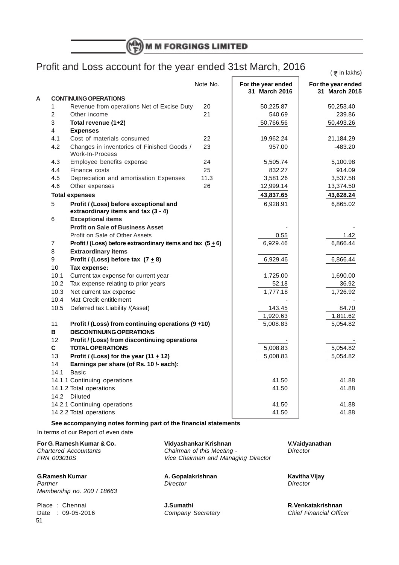$\sqrt{\overline{\tau}}$  in lakhs)

## Profit and Loss account for the year ended 31st March, 2016

Note No. **For the year ended** For the year ended<br>31 March 2016 31 March 2015 **31 March 2016 31 March 2015 A CONTINUING OPERATIONS** 1 Revenue from operations Net of Excise Duty 20 | 50,225.87 | 50,253.40 2 Other income 21 21 540.69 239.86 3 **Total revenue (1+2)** 50,766.56 50,766.56 50,493.26 4 **Expenses** 4.1 Cost of materials consumed 22 19,962.24 21,184.29 4.2 Changes in inventories of Finished Goods / 23 | 957.00 | 483.20 Work-In-Process 4.3 Employee benefits expense 24 5,505.74 5,100.98 4.4 Finance costs 25 25 832.27 914.09 4.5 Depreciation and amortisation Expenses 11.3 | 3,581.26 | 3,537.58 4.6 Other expenses 26 26 12,999.14 13,374.50 **Total expenses 43,628.24** 43,837.65 43,628.24 5 **Profit / (Loss) before exceptional and** 6,928.91 6,865.02 **extraordinary items and tax (3 - 4)** 6 **Exceptional items Profit on Sale of Business Asset** Profit on Sale of Other Assets **1.42** 1.42 7 **Profit / (Loss) before extraordinary items and tax (5 + 6)** 6,929.46 6,929.46 6,866.44 8 **Extraordinary items** 9 **Profit / (Loss) before tax (7 + 8)** 6,929.46 6,929.46 6,866.44 10 **Tax expense:** 10.1 Current tax expense for current year 1,725.00 | 1,690.00 10.2 Tax expense relating to prior years Texas State State State State State State 36.92 10.3 Net current tax expense 1,777.18 1,777.18 1,726.92 10.4 Mat Credit entitlement 10.5 Deferred tax Liability /(Asset) 10.5 143.45 | 84.70 1,920.63 1,811.62 11 **Profit / (Loss) from continuing operations (9 + 10)** 5,008.83 | 5,054.82 **B DISCONTINUING OPERATIONS** 12 **Profit / (Loss) from discontinuing operations C TOTAL OPERATIONS 1 1 5,008.83 5,054.82** 13 **Profit / (Loss) for the year (11 + 12)** 5,008.83 5,008.83 14 **Earnings per share (of Rs. 10 /- each):** 14.1 Basic 14.1.1 Continuing operations and the set of the set of the 41.50  $\vert$  41.50  $\vert$  41.88 14.1.2 Total operations 41.88 14.2 Diluted 14.2.1 Continuing operations and the set of the set of the 41.50  $\vert$  41.88 14.2.2 Total operations 41.88 (41.50  $\pm$  41.88  $\pm$  41.88

**See accompanying notes forming part of the financial statements**

In terms of our Report of even date

51

| For G. Ramesh Kumar & Co.    | Vidyashankar Krishnan               | V.Vaidyanathan                 |
|------------------------------|-------------------------------------|--------------------------------|
| <b>Chartered Accountants</b> | Chairman of this Meeting -          | Director                       |
| <b>FRN 003010S</b>           | Vice Chairman and Managing Director |                                |
| <b>G.Ramesh Kumar</b>        | A. Gopalakrishnan                   | Kavitha Vijay                  |
| Partner                      | Director                            | Director                       |
| Membership no. 200 / 18663   |                                     |                                |
| Place: Chennai               | J.Sumathi                           | R.Venkatakrishnan              |
| Date: 09-05-2016             | Company Secretary                   | <b>Chief Financial Officer</b> |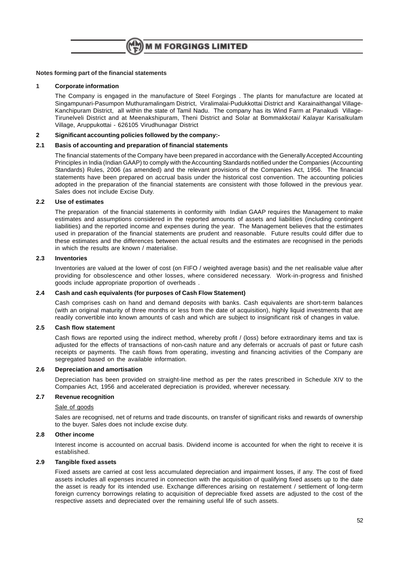

#### **Notes forming part of the financial statements**

#### **1 Corporate information**

The Company is engaged in the manufacture of Steel Forgings . The plants for manufacture are located at Singampunari-Pasumpon Muthuramalingam District, Viralimalai-Pudukkottai District and Karainaithangal Village-Kanchipuram District, all within the state of Tamil Nadu. The company has its Wind Farm at Panakudi Village-Tirunelveli District and at Meenakshipuram, Theni District and Solar at Bommakkotai/ Kalayar Karisalkulam Village, Aruppukottai - 626105 Virudhunagar District

#### **2 Significant accounting policies followed by the company:-**

#### **2.1 Basis of accounting and preparation of financial statements**

The financial statements of the Company have been prepared in accordance with the Generally Accepted Accounting Principles in India (Indian GAAP) to comply with the Accounting Standards notified under the Companies (Accounting Standards) Rules, 2006 (as amended) and the relevant provisions of the Companies Act, 1956. The financial statements have been prepared on accrual basis under the historical cost convention. The accounting policies adopted in the preparation of the financial statements are consistent with those followed in the previous year. Sales does not include Excise Duty.

#### **2.2 Use of estimates**

The preparation of the financial statements in conformity with Indian GAAP requires the Management to make estimates and assumptions considered in the reported amounts of assets and liabilities (including contingent liabilities) and the reported income and expenses during the year. The Management believes that the estimates used in preparation of the financial statements are prudent and reasonable. Future results could differ due to these estimates and the differences between the actual results and the estimates are recognised in the periods in which the results are known / materialise.

#### **2.3 Inventories**

Inventories are valued at the lower of cost (on FIFO / weighted average basis) and the net realisable value after providing for obsolescence and other losses, where considered necessary. Work-in-progress and finished goods include appropriate proportion of overheads .

#### **2.4 Cash and cash equivalents (for purposes of Cash Flow Statement)**

Cash comprises cash on hand and demand deposits with banks. Cash equivalents are short-term balances (with an original maturity of three months or less from the date of acquisition), highly liquid investments that are readily convertible into known amounts of cash and which are subject to insignificant risk of changes in value.

#### **2.5 Cash flow statement**

Cash flows are reported using the indirect method, whereby profit / (loss) before extraordinary items and tax is adjusted for the effects of transactions of non-cash nature and any deferrals or accruals of past or future cash receipts or payments. The cash flows from operating, investing and financing activities of the Company are segregated based on the available information.

#### **2.6 Depreciation and amortisation**

Depreciation has been provided on straight-line method as per the rates prescribed in Schedule XIV to the Companies Act, 1956 and accelerated depreciation is provided, wherever necessary.

#### **2.7 Revenue recognition**

#### Sale of goods

Sales are recognised, net of returns and trade discounts, on transfer of significant risks and rewards of ownership to the buyer. Sales does not include excise duty.

#### **2.8 Other income**

Interest income is accounted on accrual basis. Dividend income is accounted for when the right to receive it is established.

#### **2.9 Tangible fixed assets**

Fixed assets are carried at cost less accumulated depreciation and impairment losses, if any. The cost of fixed assets includes all expenses incurred in connection with the acquisition of qualifying fixed assets up to the date the asset is ready for its intended use. Exchange differences arising on restatement / settlement of long-term foreign currency borrowings relating to acquisition of depreciable fixed assets are adjusted to the cost of the respective assets and depreciated over the remaining useful life of such assets.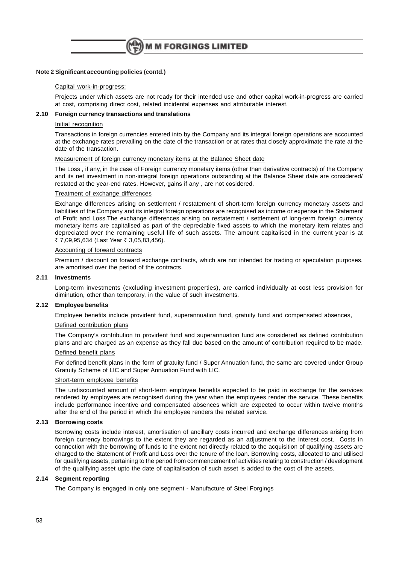

#### **Note 2 Significant accounting policies (contd.)**

#### Capital work-in-progress:

Projects under which assets are not ready for their intended use and other capital work-in-progress are carried at cost, comprising direct cost, related incidental expenses and attributable interest.

#### **2.10 Foreign currency transactions and translations**

#### Initial recognition

Transactions in foreign currencies entered into by the Company and its integral foreign operations are accounted at the exchange rates prevailing on the date of the transaction or at rates that closely approximate the rate at the date of the transaction.

#### Measurement of foreign currency monetary items at the Balance Sheet date

The Loss , if any, in the case of Foreign currency monetary items (other than derivative contracts) of the Company and its net investment in non-integral foreign operations outstanding at the Balance Sheet date are considered/ restated at the year-end rates. However, gains if any , are not cosidered.

#### Treatment of exchange differences

Exchange differences arising on settlement / restatement of short-term foreign currency monetary assets and liabilities of the Company and its integral foreign operations are recognised as income or expense in the Statement of Profit and Loss.The exchange differences arising on restatement / settlement of long-term foreign currency monetary items are capitalised as part of the depreciable fixed assets to which the monetary item relates and depreciated over the remaining useful life of such assets. The amount capitalised in the current year is at ₹ 7,09,95,634 (Last Year ₹ 3,05,83,456).

#### Accounting of forward contracts

Premium / discount on forward exchange contracts, which are not intended for trading or speculation purposes, are amortised over the period of the contracts.

#### **2.11 Investments**

Long-term investments (excluding investment properties), are carried individually at cost less provision for diminution, other than temporary, in the value of such investments.

#### **2.12 Employee benefits**

Employee benefits include provident fund, superannuation fund, gratuity fund and compensated absences,

#### Defined contribution plans

The Company's contribution to provident fund and superannuation fund are considered as defined contribution plans and are charged as an expense as they fall due based on the amount of contribution required to be made.

#### Defined benefit plans

For defined benefit plans in the form of gratuity fund / Super Annuation fund, the same are covered under Group Gratuity Scheme of LIC and Super Annuation Fund with LIC.

#### Short-term employee benefits

The undiscounted amount of short-term employee benefits expected to be paid in exchange for the services rendered by employees are recognised during the year when the employees render the service. These benefits include performance incentive and compensated absences which are expected to occur within twelve months after the end of the period in which the employee renders the related service.

#### **2.13 Borrowing costs**

Borrowing costs include interest, amortisation of ancillary costs incurred and exchange differences arising from foreign currency borrowings to the extent they are regarded as an adjustment to the interest cost. Costs in connection with the borrowing of funds to the extent not directly related to the acquisition of qualifying assets are charged to the Statement of Profit and Loss over the tenure of the loan. Borrowing costs, allocated to and utilised for qualifying assets, pertaining to the period from commencement of activities relating to construction / development of the qualifying asset upto the date of capitalisation of such asset is added to the cost of the assets.

#### **2.14 Segment reporting**

The Company is engaged in only one segment - Manufacture of Steel Forgings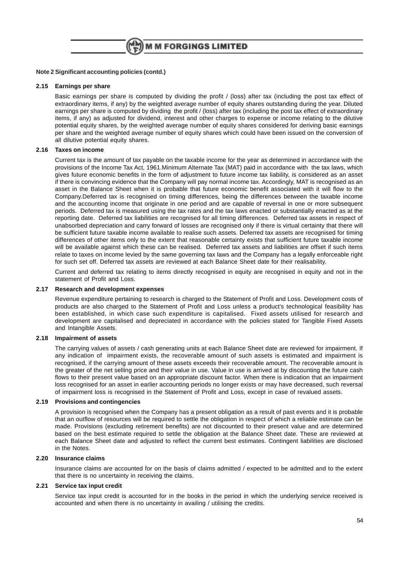#### **Note 2 Significant accounting policies (contd.)**

#### **2.15 Earnings per share**

Basic earnings per share is computed by dividing the profit / (loss) after tax (including the post tax effect of extraordinary items, if any) by the weighted average number of equity shares outstanding during the year. Diluted earnings per share is computed by dividing the profit / (loss) after tax (including the post tax effect of extraordinary items, if any) as adjusted for dividend, interest and other charges to expense or income relating to the dilutive potential equity shares, by the weighted average number of equity shares considered for deriving basic earnings per share and the weighted average number of equity shares which could have been issued on the conversion of all dilutive potential equity shares.

#### **2.16 Taxes on income**

Current tax is the amount of tax payable on the taxable income for the year as determined in accordance with the provisions of the Income Tax Act, 1961.Minimum Alternate Tax (MAT) paid in accordance with the tax laws, which gives future economic benefits in the form of adjustment to future income tax liability, is considered as an asset if there is convincing evidence that the Company will pay normal income tax. Accordingly, MAT is recognised as an asset in the Balance Sheet when it is probable that future economic benefit associated with it will flow to the Company.Deferred tax is recognised on timing differences, being the differences between the taxable income and the accounting income that originate in one period and are capable of reversal in one or more subsequent periods. Deferred tax is measured using the tax rates and the tax laws enacted or substantially enacted as at the reporting date. Deferred tax liabilities are recognised for all timing differences. Deferred tax assets in respect of unabsorbed depreciation and carry forward of losses are recognised only if there is virtual certainty that there will be sufficient future taxable income available to realise such assets. Deferred tax assets are recognised for timing differences of other items only to the extent that reasonable certainty exists that sufficient future taxable income will be available against which these can be realised. Deferred tax assets and liabilities are offset if such items relate to taxes on income levied by the same governing tax laws and the Company has a legally enforceable right for such set off. Deferred tax assets are reviewed at each Balance Sheet date for their realisability.

Current and deferred tax relating to items directly recognised in equity are recognised in equity and not in the statement of Profit and Loss.

#### **2.17 Research and development expenses**

Revenue expenditure pertaining to research is charged to the Statement of Profit and Loss. Development costs of products are also charged to the Statement of Profit and Loss unless a product's technological feasibility has been established, in which case such expenditure is capitalised. Fixed assets utilised for research and development are capitalised and depreciated in accordance with the policies stated for Tangible Fixed Assets and Intangible Assets.

#### **2.18 Impairment of assets**

The carrying values of assets / cash generating units at each Balance Sheet date are reviewed for impairment. If any indication of impairment exists, the recoverable amount of such assets is estimated and impairment is recognised, if the carrying amount of these assets exceeds their recoverable amount. The recoverable amount is the greater of the net selling price and their value in use. Value in use is arrived at by discounting the future cash flows to their present value based on an appropriate discount factor. When there is indication that an impairment loss recognised for an asset in earlier accounting periods no longer exists or may have decreased, such reversal of impairment loss is recognised in the Statement of Profit and Loss, except in case of revalued assets.

#### **2.19 Provisions and contingencies**

A provision is recognised when the Company has a present obligation as a result of past events and it is probable that an outflow of resources will be required to settle the obligation in respect of which a reliable estimate can be made. Provisions (excluding retirement benefits) are not discounted to their present value and are determined based on the best estimate required to settle the obligation at the Balance Sheet date. These are reviewed at each Balance Sheet date and adjusted to reflect the current best estimates. Contingent liabilities are disclosed in the Notes.

#### **2.20 Insurance claims**

Insurance claims are accounted for on the basis of claims admitted / expected to be admitted and to the extent that there is no uncertainty in receiving the claims.

#### **2.21 Service tax input credit**

Service tax input credit is accounted for in the books in the period in which the underlying service received is accounted and when there is no uncertainty in availing / utilising the credits.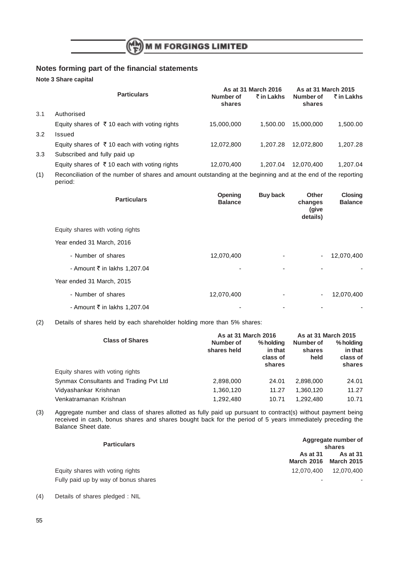

## **Notes forming part of the financial statements**

**Note 3 Share capital**

|     |                                                          |                     | As at 31 March 2016 | As at 31 March 2015 |            |
|-----|----------------------------------------------------------|---------------------|---------------------|---------------------|------------|
|     | <b>Particulars</b>                                       | Number of<br>shares | ₹ in Lakhs          | Number of<br>shares | ₹ in Lakhs |
| 3.1 | Authorised                                               |                     |                     |                     |            |
|     | Equity shares of $\bar{\tau}$ 10 each with voting rights | 15,000,000          | 1.500.00            | 15,000,000          | 1.500.00   |
| 3.2 | Issued                                                   |                     |                     |                     |            |
|     | Equity shares of ₹10 each with voting rights             | 12,072,800          | 1.207.28            | 12.072.800          | 1.207.28   |
| 3.3 | Subscribed and fully paid up                             |                     |                     |                     |            |
|     | Equity shares of $\bar{\tau}$ 10 each with voting rights | 12,070,400          | 1.207.04            | 12,070,400          | 1,207.04   |
|     |                                                          |                     |                     |                     |            |

(1) Reconciliation of the number of shares and amount outstanding at the beginning and at the end of the reporting period:

| <b>Particulars</b>               | <b>Opening</b><br><b>Balance</b> | <b>Buy back</b> | Other<br>changes<br>(give<br>details) | <b>Closing</b><br><b>Balance</b> |
|----------------------------------|----------------------------------|-----------------|---------------------------------------|----------------------------------|
| Equity shares with voting rights |                                  |                 |                                       |                                  |
| Year ended 31 March, 2016        |                                  |                 |                                       |                                  |
| - Number of shares               | 12,070,400                       |                 | $\sim$                                | 12,070,400                       |
| - Amount ₹ in lakhs 1,207.04     |                                  | ۰               |                                       |                                  |
| Year ended 31 March, 2015        |                                  |                 |                                       |                                  |
| - Number of shares               | 12,070,400                       |                 | ۰.                                    | 12,070,400                       |
| - Amount ₹ in lakhs 1,207.04     |                                  |                 |                                       |                                  |

(2) Details of shares held by each shareholder holding more than 5% shares:

|                                        | As at 31 March 2016      | As at 31 March 2015                        |                             |                                            |
|----------------------------------------|--------------------------|--------------------------------------------|-----------------------------|--------------------------------------------|
| <b>Class of Shares</b>                 | Number of<br>shares held | % holding<br>in that<br>class of<br>shares | Number of<br>shares<br>held | % holding<br>in that<br>class of<br>shares |
| Equity shares with voting rights       |                          |                                            |                             |                                            |
| Synmax Consultants and Trading Pvt Ltd | 2,898,000                | 24.01                                      | 2,898,000                   | 24.01                                      |
| Vidyashankar Krishnan                  | 1,360,120                | 11.27                                      | 1,360,120                   | 11.27                                      |
| Venkatramanan Krishnan                 | 1,292,480                | 10.71                                      | 1.292.480                   | 10.71                                      |

(3) Aggregate number and class of shares allotted as fully paid up pursuant to contract(s) without payment being received in cash, bonus shares and shares bought back for the period of 5 years immediately preceding the Balance Sheet date.

| <b>Particulars</b>                   |                                          | Aggregate number of<br>shares |
|--------------------------------------|------------------------------------------|-------------------------------|
|                                      | As at 31<br><b>March 2016 March 2015</b> | As at 31                      |
| Equity shares with voting rights     | 12.070.400                               | 12,070,400                    |
| Fully paid up by way of bonus shares |                                          |                               |

<sup>(4)</sup> Details of shares pledged : NIL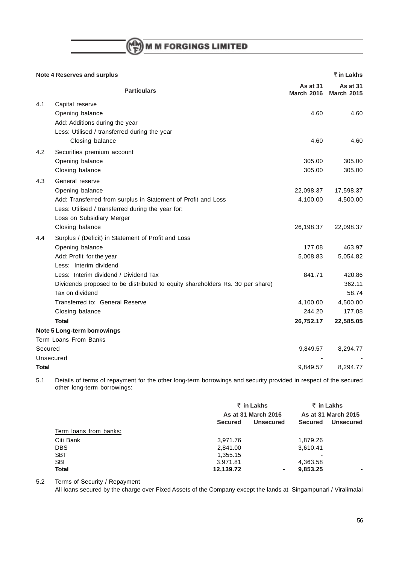# $\binom{(\mathsf{M}\mathsf{M})}{\mathsf{F}}$  M M FORGINGS LIMITED

|         | <b>Note 4 Reserves and surplus</b>                                            | ₹ in Lakhs                    |                               |  |
|---------|-------------------------------------------------------------------------------|-------------------------------|-------------------------------|--|
|         | <b>Particulars</b>                                                            | As at 31<br><b>March 2016</b> | As at 31<br><b>March 2015</b> |  |
| 4.1     | Capital reserve                                                               |                               |                               |  |
|         | Opening balance                                                               | 4.60                          | 4.60                          |  |
|         | Add: Additions during the year                                                |                               |                               |  |
|         | Less: Utilised / transferred during the year                                  |                               |                               |  |
|         | Closing balance                                                               | 4.60                          | 4.60                          |  |
| 4.2     | Securities premium account                                                    |                               |                               |  |
|         | Opening balance                                                               | 305.00                        | 305.00                        |  |
|         | Closing balance                                                               | 305.00                        | 305.00                        |  |
| 4.3     | General reserve                                                               |                               |                               |  |
|         | Opening balance                                                               | 22,098.37                     | 17,598.37                     |  |
|         | Add: Transferred from surplus in Statement of Profit and Loss                 | 4,100.00                      | 4,500.00                      |  |
|         | Less: Utilised / transferred during the year for:                             |                               |                               |  |
|         | Loss on Subsidiary Merger                                                     |                               |                               |  |
|         | Closing balance                                                               | 26,198.37                     | 22,098.37                     |  |
| 4.4     | Surplus / (Deficit) in Statement of Profit and Loss                           |                               |                               |  |
|         | Opening balance                                                               | 177.08                        | 463.97                        |  |
|         | Add: Profit for the year                                                      | 5,008.83                      | 5,054.82                      |  |
|         | Less: Interim dividend                                                        |                               |                               |  |
|         | Less: Interim dividend / Dividend Tax                                         | 841.71                        | 420.86                        |  |
|         | Dividends proposed to be distributed to equity shareholders Rs. 30 per share) |                               | 362.11                        |  |
|         | Tax on dividend                                                               |                               | 58.74                         |  |
|         | Transferred to: General Reserve                                               | 4,100.00                      | 4,500.00                      |  |
|         | Closing balance                                                               | 244.20                        | 177.08                        |  |
|         | <b>Total</b>                                                                  | 26,752.17                     | 22,585.05                     |  |
|         | Note 5 Long-term borrowings                                                   |                               |                               |  |
|         | Term Loans From Banks                                                         |                               |                               |  |
| Secured |                                                                               | 9,849.57                      | 8,294.77                      |  |
|         | Unsecured                                                                     |                               |                               |  |
| Total   |                                                                               | 9,849.57                      | 8,294.77                      |  |

5.1 Details of terms of repayment for the other long-term borrowings and security provided in respect of the secured other long-term borrowings:

|                        | ₹ in Lakhs                         | ₹ in Lakhs                         |
|------------------------|------------------------------------|------------------------------------|
|                        | As at 31 March 2016                | As at 31 March 2015                |
|                        | <b>Unsecured</b><br><b>Secured</b> | <b>Secured</b><br><b>Unsecured</b> |
| Term loans from banks: |                                    |                                    |
| Citi Bank              | 3,971.76                           | 1,879.26                           |
| <b>DBS</b>             | 2,841.00                           | 3,610.41                           |
| <b>SBT</b>             | 1,355.15                           |                                    |
| <b>SBI</b>             | 3,971.81                           | 4,363.58                           |
| <b>Total</b>           | 12,139.72                          | 9,853.25<br>۰.<br>$\blacksquare$   |

5.2 Terms of Security / Repayment

All loans secured by the charge over Fixed Assets of the Company except the lands at Singampunari / Viralimalai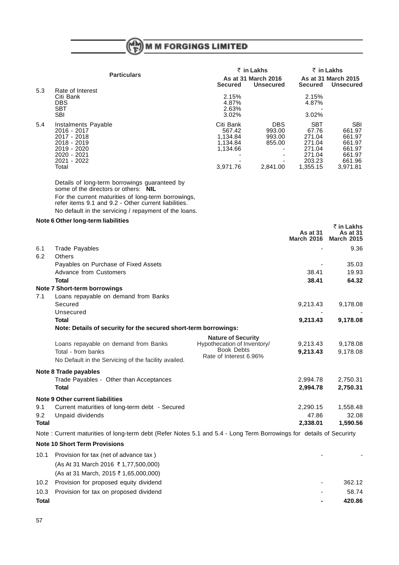$\binom{M_{\rm b}}{F}$ M M FORGINGS LIMITED

|                     |                                                                                                           | ₹ in Lakhs                                                           |                                                             | ₹ in Lakhs                                                        |  |
|---------------------|-----------------------------------------------------------------------------------------------------------|----------------------------------------------------------------------|-------------------------------------------------------------|-------------------------------------------------------------------|--|
|                     |                                                                                                           |                                                                      |                                                             | As at 31 March 2015<br>Unsecured                                  |  |
| Rate of Interest    |                                                                                                           |                                                                      |                                                             |                                                                   |  |
|                     |                                                                                                           |                                                                      |                                                             |                                                                   |  |
|                     |                                                                                                           |                                                                      |                                                             |                                                                   |  |
| <b>SBT</b>          | 2.63%                                                                                                     |                                                                      |                                                             |                                                                   |  |
| <b>SBI</b>          | 3.02%                                                                                                     |                                                                      | 3.02%                                                       |                                                                   |  |
| Instalments Payable | Citi Bank                                                                                                 | <b>DBS</b>                                                           | <b>SBT</b>                                                  | <b>SBI</b>                                                        |  |
| 2016 - 2017         | 567.42                                                                                                    | 993.00                                                               | 67.76                                                       | 661.97                                                            |  |
|                     |                                                                                                           |                                                                      |                                                             | 661.97                                                            |  |
|                     |                                                                                                           |                                                                      |                                                             | 661.97                                                            |  |
| $2019 - 2020$       |                                                                                                           |                                                                      | 271.04                                                      | 661.97                                                            |  |
|                     |                                                                                                           |                                                                      |                                                             | 661.97                                                            |  |
|                     |                                                                                                           |                                                                      |                                                             | 661.96                                                            |  |
| Total               | 3.971.76                                                                                                  | 2.841.00                                                             | 1.355.15                                                    | 3.971.81                                                          |  |
|                     | <b>Particulars</b><br>Citi Bank<br><b>DBS</b><br>2017 - 2018<br>2018 - 2019<br>2020 - 2021<br>2021 - 2022 | <b>Secured</b><br>2.15%<br>4.87%<br>1.134.84<br>1.134.84<br>1.134.66 | As at 31 March 2016<br><b>Unsecured</b><br>993.00<br>855.00 | Secured<br>2.15%<br>4.87%<br>271.04<br>271.04<br>271.04<br>203.23 |  |

` **in Lakhs**

Details of long-term borrowings guaranteed by some of the directors or others: **NIL** For the current maturities of long-term borrowings, refer items 9.1 and 9.2 - Other current liabilities. No default in the servicing / repayment of the loans.

### **Note 6 Other long-term liabilities**

|       |                                                                                                                     |                                                          | As at 31<br><b>March 2016</b> | <b>As at 31</b><br><b>March 2015</b> |
|-------|---------------------------------------------------------------------------------------------------------------------|----------------------------------------------------------|-------------------------------|--------------------------------------|
| 6.1   | <b>Trade Payables</b>                                                                                               |                                                          |                               | 9.36                                 |
| 6.2   | <b>Others</b>                                                                                                       |                                                          |                               |                                      |
|       | Payables on Purchase of Fixed Assets                                                                                |                                                          |                               | 35.03                                |
|       | <b>Advance from Customers</b>                                                                                       |                                                          | 38.41                         | 19.93                                |
|       | <b>Total</b>                                                                                                        |                                                          | 38.41                         | 64.32                                |
|       | Note 7 Short-term borrowings                                                                                        |                                                          |                               |                                      |
| 7.1   | Loans repayable on demand from Banks                                                                                |                                                          |                               |                                      |
|       | Secured                                                                                                             |                                                          | 9,213.43                      | 9,178.08                             |
|       | Unsecured                                                                                                           |                                                          |                               |                                      |
|       | <b>Total</b>                                                                                                        |                                                          | 9,213.43                      | 9,178.08                             |
|       | Note: Details of security for the secured short-term borrowings:                                                    |                                                          |                               |                                      |
|       | Loans repayable on demand from Banks                                                                                | <b>Nature of Security</b><br>Hypothecation of Inventory/ | 9,213.43                      | 9,178.08                             |
|       | Total - from banks                                                                                                  | <b>Book Debts</b>                                        | 9,213.43                      | 9,178.08                             |
|       | No Default in the Servicing of the facility availed.                                                                | Rate of Interest 6.96%                                   |                               |                                      |
|       | Note 8 Trade payables                                                                                               |                                                          |                               |                                      |
|       | Trade Payables - Other than Acceptances                                                                             |                                                          | 2,994.78                      | 2,750.31                             |
|       | <b>Total</b>                                                                                                        |                                                          | 2,994.78                      | 2,750.31                             |
|       | Note 9 Other current liabilities                                                                                    |                                                          |                               |                                      |
| 9.1   | Current maturities of long-term debt - Secured                                                                      |                                                          | 2,290.15                      | 1,558.48                             |
| 9.2   | Unpaid dividends                                                                                                    |                                                          | 47.86                         | 32.08                                |
| Total |                                                                                                                     |                                                          | 2,338.01                      | 1,590.56                             |
|       | Note: Current maturities of long-term debt (Refer Notes 5.1 and 5.4 - Long Term Borrowings for details of Securirty |                                                          |                               |                                      |

#### **Note 10 Short Term Provisions**

| 10.1  | Provision for tax (net of advance tax)      |   |        |
|-------|---------------------------------------------|---|--------|
|       | (As At 31 March 2016 ₹ 1,77,500,000)        |   |        |
|       | (As at 31 March, 2015 ₹ 1,65,000,000)       |   |        |
| 10.2  | Provision for proposed equity dividend      | - | 362.12 |
|       | 10.3 Provision for tax on proposed dividend | - | 58.74  |
| Total |                                             |   | 420.86 |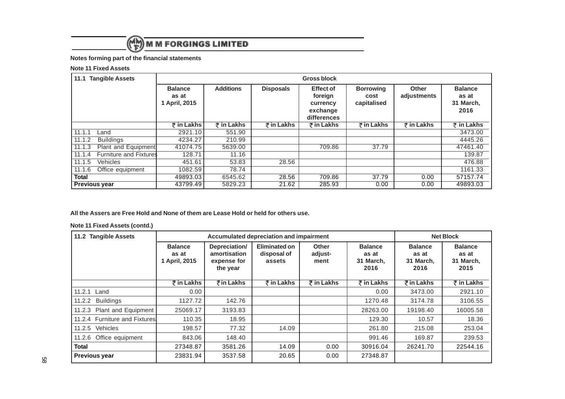

## **Notes forming part of the financial statements**

#### **Note 11 Fixed Assets**

| <b>Tangible Assets</b><br>11.1 |                               | <b>Gross block</b>                       |                       |                  |                                                                    |                                         |                             |                                              |
|--------------------------------|-------------------------------|------------------------------------------|-----------------------|------------------|--------------------------------------------------------------------|-----------------------------------------|-----------------------------|----------------------------------------------|
|                                |                               | <b>Balance</b><br>as at<br>1 April, 2015 | <b>Additions</b>      | <b>Disposals</b> | <b>Effect of</b><br>foreign<br>currency<br>exchange<br>differences | <b>Borrowing</b><br>cost<br>capitalised | <b>Other</b><br>adjustments | <b>Balance</b><br>as at<br>31 March,<br>2016 |
|                                |                               | ₹ in Lakhs                               | $\bar{\tau}$ in Lakhs | ₹ in Lakhs       | ₹ in Lakhs                                                         | $\bar{\tau}$ in Lakhs                   | ₹ in Lakhs                  | ₹ in Lakhs                                   |
| 11.1.1                         | Land                          | 2921.10                                  | 551.90                |                  |                                                                    |                                         |                             | 3473.00                                      |
| 11.1.2                         | <b>Buildings</b>              | 4234.27                                  | 210.99                |                  |                                                                    |                                         |                             | 4445.26                                      |
| 11.1.3                         | Plant and Equipment           | 41074.75                                 | 5639.00               |                  | 709.86                                                             | 37.79                                   |                             | 47461.40                                     |
| 11.1.4                         | <b>Furniture and Fixtures</b> | 128.71                                   | 11.16                 |                  |                                                                    |                                         |                             | 139.87                                       |
| 11.1.5                         | <b>Vehicles</b>               | 451.61                                   | 53.83                 | 28.56            |                                                                    |                                         |                             | 476.88                                       |
| 11.1.6                         | Office equipment              | 1082.59                                  | 78.74                 |                  |                                                                    |                                         |                             | 1161.33                                      |
| Total                          |                               | 49893.03                                 | 6545.62               | 28.56            | 709.86                                                             | 37.79                                   | 0.00                        | 57157.74                                     |
| <b>Previous year</b>           |                               | 43799.49                                 | 5829.23               | 21.62            | 285.93                                                             | 0.00                                    | 0.00                        | 49893.03                                     |

## **All the Assers are Free Hold and None of them are Lease Hold or held for others use.**

#### **Note 11 Fixed Assets (contd.)**

| 11.2 Tangible Assets          |                                          | Accumulated depreciation and impairment                  |                                        |                                 |                                              | <b>Net Block</b>                             |                                              |
|-------------------------------|------------------------------------------|----------------------------------------------------------|----------------------------------------|---------------------------------|----------------------------------------------|----------------------------------------------|----------------------------------------------|
|                               | <b>Balance</b><br>as at<br>1 April, 2015 | Depreciation/<br>amortisation<br>expense for<br>the year | Eliminated on<br>disposal of<br>assets | <b>Other</b><br>adjust-<br>ment | <b>Balance</b><br>as at<br>31 March,<br>2016 | <b>Balance</b><br>as at<br>31 March,<br>2016 | <b>Balance</b><br>as at<br>31 March,<br>2015 |
|                               | ₹ in Lakhs                               | ₹in Lakhs                                                | $\bar{\tau}$ in Lakhs                  | $\overline{z}$ in Lakhs         | ₹ in Lakhs                                   | ₹in Lakhs                                    | ₹ in Lakhs                                   |
| 11.2.1<br>Land                | 0.00                                     |                                                          |                                        |                                 | 0.00                                         | 3473.00                                      | 2921.10                                      |
| <b>Buildings</b><br>11.2.2    | 1127.72                                  | 142.76                                                   |                                        |                                 | 1270.48                                      | 3174.78                                      | 3106.55                                      |
| Plant and Equipment<br>11.2.3 | 25069.17                                 | 3193.83                                                  |                                        |                                 | 28263.00                                     | 19198.40                                     | 16005.58                                     |
| 11.2.4 Furniture and Fixtures | 110.35                                   | 18.95                                                    |                                        |                                 | 129.30                                       | 10.57                                        | 18.36                                        |
| Vehicles<br>11.2.5            | 198.57                                   | 77.32                                                    | 14.09                                  |                                 | 261.80                                       | 215.08                                       | 253.04                                       |
| Office equipment<br>11.2.6    | 843.06                                   | 148.40                                                   |                                        |                                 | 991.46                                       | 169.87                                       | 239.53                                       |
| <b>Total</b>                  | 27348.87                                 | 3581.26                                                  | 14.09                                  | 0.00                            | 30916.04                                     | 26241.70                                     | 22544.16                                     |
| <b>Previous year</b>          | 23831.94                                 | 3537.58                                                  | 20.65                                  | 0.00                            | 27348.87                                     |                                              |                                              |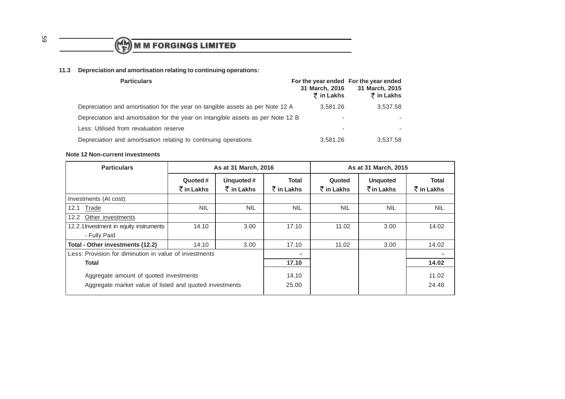

## **11.3 Depreciation and amortisation relating to continuing operations:**

| <b>Particulars</b>                                                               | For the year ended For the year ended<br>31 March, 2016<br>$\bar{\tau}$ in Lakhs | 31 March, 2015<br>₹ in Lakhs |
|----------------------------------------------------------------------------------|----------------------------------------------------------------------------------|------------------------------|
| Depreciation and amortisation for the year on tangible assets as per Note 12 A   | 3,581.26                                                                         | 3,537.58                     |
| Depreciation and amortisation for the year on intangible assets as per Note 12 B | ۰                                                                                |                              |
| Less: Utilised from revaluation reserve                                          | ۰                                                                                |                              |
| Depreciation and amortisation relating to continuing operations                  | 3.581.26                                                                         | 3,537.58                     |

#### **Note 12 Non-current investments**

| <b>Particulars</b><br>As at 31 March, 2016                                                        |                                                | As at 31 March, 2015                      |                                       |                              |                                                       |                                       |
|---------------------------------------------------------------------------------------------------|------------------------------------------------|-------------------------------------------|---------------------------------------|------------------------------|-------------------------------------------------------|---------------------------------------|
|                                                                                                   | Quoted #<br>$\bar{\bar{\mathcal{K}}}$ in Lakhs | Unquoted#<br>$\bar{\bar{\zeta}}$ in Lakhs | Total<br>$\bar{\mathcal{F}}$ in Lakhs | Quoted<br>$\bar{z}$ in Lakhs | <b>Unquoted</b><br>$\bar{\bar{\mathcal{K}}}$ in Lakhs | Total<br>$\bar{\bar{\zeta}}$ in Lakhs |
| Investments (At cost):                                                                            |                                                |                                           |                                       |                              |                                                       |                                       |
| <b>Trade</b><br>12.1                                                                              | <b>NIL</b>                                     | <b>NIL</b>                                | <b>NIL</b>                            | <b>NIL</b>                   | <b>NIL</b>                                            | <b>NIL</b>                            |
| Other investments<br>12.2                                                                         |                                                |                                           |                                       |                              |                                                       |                                       |
| 12.2.1 Investment in equity instruments                                                           | 14.10                                          | 3.00                                      | 17.10                                 | 11.02                        | 3.00                                                  | 14.02                                 |
| - Fully Paid                                                                                      |                                                |                                           |                                       |                              |                                                       |                                       |
| Total - Other investments (12.2)                                                                  | 14.10                                          | 3.00                                      | 17.10                                 | 11.02                        | 3.00                                                  | 14.02                                 |
| Less: Provision for diminution in value of investments                                            |                                                |                                           |                                       |                              |                                                       |                                       |
| Total                                                                                             |                                                | 17.10                                     |                                       |                              | 14.02                                                 |                                       |
| Aggregate amount of quoted investments<br>Aggregate market value of listed and quoted investments |                                                |                                           | 14.10<br>25.00                        |                              |                                                       | 11.02<br>24.48                        |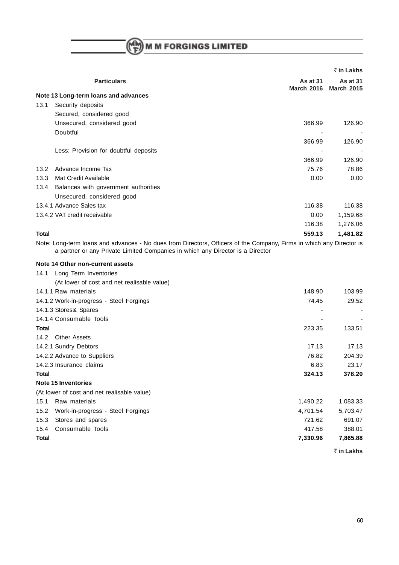$M \left(\begin{matrix} 1 & 1 \\ 1 & 2 \end{matrix}\right)$  M M FORGINGS LIMITED

|              |                                                                                                                                                                                                        |                               | ₹ in Lakhs                      |
|--------------|--------------------------------------------------------------------------------------------------------------------------------------------------------------------------------------------------------|-------------------------------|---------------------------------|
|              | <b>Particulars</b>                                                                                                                                                                                     | As at 31<br><b>March 2016</b> | As at $31$<br><b>March 2015</b> |
|              | Note 13 Long-term loans and advances                                                                                                                                                                   |                               |                                 |
| 13.1         | Security deposits                                                                                                                                                                                      |                               |                                 |
|              | Secured, considered good                                                                                                                                                                               |                               |                                 |
|              | Unsecured, considered good                                                                                                                                                                             | 366.99                        | 126.90                          |
|              | Doubtful                                                                                                                                                                                               |                               |                                 |
|              |                                                                                                                                                                                                        | 366.99                        | 126.90                          |
|              | Less: Provision for doubtful deposits                                                                                                                                                                  |                               |                                 |
|              |                                                                                                                                                                                                        | 366.99                        | 126.90                          |
| 13.2         | Advance Income Tax                                                                                                                                                                                     | 75.76                         | 78.86                           |
| 13.3         | <b>Mat Credit Available</b>                                                                                                                                                                            | 0.00                          | 0.00                            |
| 13.4         | Balances with government authorities                                                                                                                                                                   |                               |                                 |
|              | Unsecured, considered good                                                                                                                                                                             |                               |                                 |
|              | 13.4.1 Advance Sales tax                                                                                                                                                                               | 116.38                        | 116.38                          |
|              | 13.4.2 VAT credit receivable                                                                                                                                                                           | 0.00                          | 1,159.68                        |
|              |                                                                                                                                                                                                        | 116.38                        | 1,276.06                        |
| Total        |                                                                                                                                                                                                        | 559.13                        | 1,481.82                        |
|              | Note: Long-term loans and advances - No dues from Directors, Officers of the Company, Firms in which any Director is<br>a partner or any Private Limited Companies in which any Director is a Director |                               |                                 |
|              | Note 14 Other non-current assets                                                                                                                                                                       |                               |                                 |
| 14.1         | Long Term Inventories                                                                                                                                                                                  |                               |                                 |
|              | (At lower of cost and net realisable value)                                                                                                                                                            |                               |                                 |
|              | 14.1.1 Raw materials                                                                                                                                                                                   | 148.90                        | 103.99                          |
|              | 14.1.2 Work-in-progress - Steel Forgings                                                                                                                                                               | 74.45                         | 29.52                           |
|              | 14.1.3 Stores& Spares                                                                                                                                                                                  |                               |                                 |
|              | 14.1.4 Consumable Tools                                                                                                                                                                                |                               |                                 |
| Total        |                                                                                                                                                                                                        | 223.35                        | 133.51                          |
| 14.2         | <b>Other Assets</b>                                                                                                                                                                                    |                               |                                 |
|              | 14.2.1 Sundry Debtors                                                                                                                                                                                  | 17.13                         | 17.13                           |
|              | 14.2.2 Advance to Suppliers                                                                                                                                                                            | 76.82                         | 204.39                          |
|              | 14.2.3 Insurance claims                                                                                                                                                                                | 6.83                          | 23.17                           |
| <b>Total</b> |                                                                                                                                                                                                        | 324.13                        | 378.20                          |
|              | <b>Note 15 Inventories</b>                                                                                                                                                                             |                               |                                 |
|              | (At lower of cost and net realisable value)                                                                                                                                                            |                               |                                 |
| 15.1         | Raw materials                                                                                                                                                                                          | 1,490.22                      | 1,083.33                        |
| 15.2         | Work-in-progress - Steel Forgings                                                                                                                                                                      | 4,701.54                      | 5,703.47                        |
| 15.3         | Stores and spares                                                                                                                                                                                      | 721.62                        | 691.07                          |
| 15.4         | Consumable Tools                                                                                                                                                                                       | 417.58                        | 388.01                          |
| <b>Total</b> |                                                                                                                                                                                                        | 7,330.96                      | 7,865.88                        |
|              |                                                                                                                                                                                                        |                               | ₹ in Lakhs                      |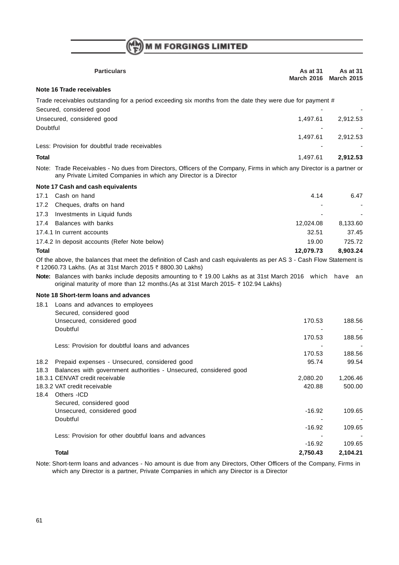$\binom{(\mathsf{M}\mathsf{M})}{\mathsf{F}}$  M M FORGINGS LIMITED

|              | <b>Particulars</b>                                                                                                                                                                          | As at 31<br><b>March 2016</b> | <b>As at 31</b><br><b>March 2015</b> |
|--------------|---------------------------------------------------------------------------------------------------------------------------------------------------------------------------------------------|-------------------------------|--------------------------------------|
|              | Note 16 Trade receivables                                                                                                                                                                   |                               |                                      |
|              | Trade receivables outstanding for a period exceeding six months from the date they were due for payment #<br>Secured, considered good                                                       |                               |                                      |
| Doubtful     | Unsecured, considered good                                                                                                                                                                  | 1,497.61                      | 2,912.53                             |
|              |                                                                                                                                                                                             | 1,497.61                      | 2,912.53                             |
|              | Less: Provision for doubtful trade receivables                                                                                                                                              |                               |                                      |
| <b>Total</b> |                                                                                                                                                                                             | 1,497.61                      | 2,912.53                             |
|              | Note: Trade Receivables - No dues from Directors, Officers of the Company, Firms in which any Director is a partner or<br>any Private Limited Companies in which any Director is a Director |                               |                                      |
|              | Note 17 Cash and cash equivalents                                                                                                                                                           |                               |                                      |
| 17.1         | Cash on hand                                                                                                                                                                                | 4.14                          | 6.47                                 |
| 17.2         | Cheques, drafts on hand                                                                                                                                                                     |                               |                                      |
| 17.3         | Investments in Liquid funds                                                                                                                                                                 |                               |                                      |
| 17.4         | Balances with banks                                                                                                                                                                         | 12,024.08                     | 8,133.60                             |
|              | 17.4.1 In current accounts                                                                                                                                                                  | 32.51                         | 37.45                                |
|              | 17.4.2 In deposit accounts (Refer Note below)                                                                                                                                               | 19.00                         | 725.72                               |
| <b>Total</b> |                                                                                                                                                                                             | 12,079.73                     | 8,903.24                             |
|              | Of the above, the balances that meet the definition of Cash and cash equivalents as per AS 3 - Cash Flow Statement is<br>₹ 12060.73 Lakhs. (As at 31st March 2015 ₹ 8800.30 Lakhs)          |                               |                                      |
|              | Note: Balances with banks include deposits amounting to ₹19.00 Lakhs as at 31st March 2016 which<br>original maturity of more than 12 months.(As at 31st March 2015- ₹ 102.94 Lakhs)        |                               | have<br>an                           |
|              | Note 18 Short-term loans and advances                                                                                                                                                       |                               |                                      |
| 18.1         | Loans and advances to employees                                                                                                                                                             |                               |                                      |
|              | Secured, considered good                                                                                                                                                                    |                               |                                      |
|              | Unsecured, considered good                                                                                                                                                                  | 170.53                        | 188.56                               |
|              | Doubtful                                                                                                                                                                                    | 170.53                        | 188.56                               |
|              | Less: Provision for doubtful loans and advances                                                                                                                                             |                               |                                      |
|              |                                                                                                                                                                                             | 170.53                        | 188.56                               |
| 18.2         | Prepaid expenses - Unsecured, considered good                                                                                                                                               | 95.74                         | 99.54                                |
| 18.3         | Balances with government authorities - Unsecured, considered good                                                                                                                           |                               |                                      |
|              | 18.3.1 CENVAT credit receivable                                                                                                                                                             | 2,080.20                      | 1,206.46                             |
|              | 18.3.2 VAT credit receivable<br>18.4 Others - ICD                                                                                                                                           | 420.88                        | 500.00                               |
|              | Secured, considered good                                                                                                                                                                    |                               |                                      |
|              | Unsecured, considered good                                                                                                                                                                  | $-16.92$                      | 109.65                               |
|              | Doubtful                                                                                                                                                                                    |                               |                                      |
|              |                                                                                                                                                                                             | $-16.92$                      | 109.65                               |
|              | Less: Provision for other doubtful loans and advances                                                                                                                                       |                               |                                      |
|              | <b>Total</b>                                                                                                                                                                                | $-16.92$                      | 109.65                               |
|              |                                                                                                                                                                                             | 2,750.43                      | 2,104.21                             |

Note: Short-term loans and advances - No amount is due from any Directors, Other Officers of the Company, Firms in which any Director is a partner, Private Companies in which any Director is a Director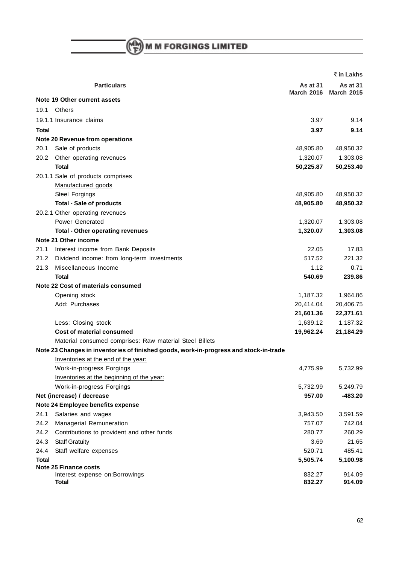$M \choose F$  M M FORGINGS LIMITED

|              |                                                                                       |                               | ₹ in Lakhs                      |
|--------------|---------------------------------------------------------------------------------------|-------------------------------|---------------------------------|
|              | <b>Particulars</b>                                                                    | As at 31<br><b>March 2016</b> | As at $31$<br><b>March 2015</b> |
|              | Note 19 Other current assets                                                          |                               |                                 |
| 19.1         | <b>Others</b>                                                                         |                               |                                 |
|              | 19.1.1 Insurance claims                                                               | 3.97                          | 9.14                            |
| <b>Total</b> |                                                                                       | 3.97                          | 9.14                            |
|              | Note 20 Revenue from operations                                                       |                               |                                 |
| 20.1         | Sale of products                                                                      | 48,905.80                     | 48,950.32                       |
| 20.2         | Other operating revenues                                                              | 1,320.07                      | 1,303.08                        |
|              | Total                                                                                 | 50,225.87                     | 50,253.40                       |
|              | 20.1.1 Sale of products comprises                                                     |                               |                                 |
|              | Manufactured goods                                                                    |                               |                                 |
|              | Steel Forgings                                                                        | 48,905.80                     | 48,950.32                       |
|              | <b>Total - Sale of products</b>                                                       | 48,905.80                     | 48,950.32                       |
|              | 20.2.1 Other operating revenues                                                       |                               |                                 |
|              | Power Generated                                                                       | 1,320.07                      | 1,303.08                        |
|              | <b>Total - Other operating revenues</b>                                               | 1,320.07                      | 1,303.08                        |
|              | Note 21 Other income                                                                  |                               |                                 |
| 21.1         | Interest income from Bank Deposits                                                    | 22.05                         | 17.83                           |
| 21.2         | Dividend income: from long-term investments                                           | 517.52                        | 221.32                          |
| 21.3         | Miscellaneous Income                                                                  | 1.12                          | 0.71                            |
|              | <b>Total</b>                                                                          | 540.69                        | 239.86                          |
|              | Note 22 Cost of materials consumed                                                    |                               |                                 |
|              | Opening stock                                                                         | 1,187.32                      | 1,964.86                        |
|              | Add: Purchases                                                                        | 20,414.04                     | 20,406.75                       |
|              |                                                                                       | 21,601.36                     | 22,371.61                       |
|              | Less: Closing stock                                                                   | 1,639.12                      | 1,187.32                        |
|              | <b>Cost of material consumed</b>                                                      | 19,962.24                     | 21,184.29                       |
|              | Material consumed comprises: Raw material Steel Billets                               |                               |                                 |
|              | Note 23 Changes in inventories of finished goods, work-in-progress and stock-in-trade |                               |                                 |
|              | Inventories at the end of the year:                                                   |                               |                                 |
|              | Work-in-progress Forgings                                                             | 4,775.99                      | 5,732.99                        |
|              | Inventories at the beginning of the year:                                             |                               |                                 |
|              | Work-in-progress Forgings                                                             | 5,732.99                      | 5,249.79                        |
|              | Net (increase) / decrease                                                             | 957.00                        | $-483.20$                       |
|              | Note 24 Employee benefits expense                                                     |                               |                                 |
| 24.1         | Salaries and wages                                                                    | 3,943.50                      | 3,591.59                        |
| 24.2         | Managerial Remuneration                                                               | 757.07                        | 742.04                          |
| 24.2         | Contributions to provident and other funds                                            | 280.77                        | 260.29                          |
| 24.3         | <b>Staff Gratuity</b>                                                                 | 3.69                          | 21.65                           |
| 24.4         | Staff welfare expenses                                                                | 520.71                        | 485.41                          |
| <b>Total</b> |                                                                                       | 5,505.74                      | 5,100.98                        |
|              | <b>Note 25 Finance costs</b>                                                          |                               |                                 |
|              | Interest expense on: Borrowings                                                       | 832.27                        | 914.09                          |
|              | Total                                                                                 | 832.27                        | 914.09                          |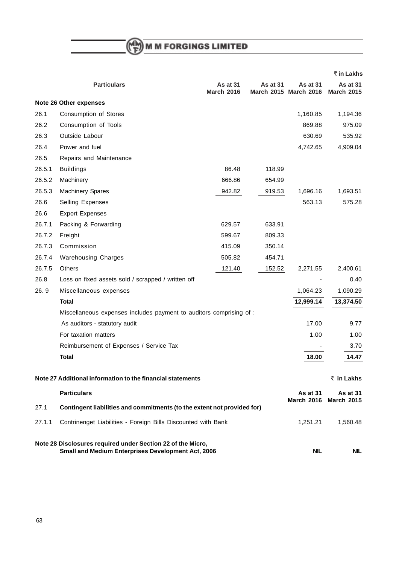$M \choose F$  M M FORGINGS LIMITED

|        |                                                                                                                   |                               |          |                                          | ₹ in Lakhs                           |
|--------|-------------------------------------------------------------------------------------------------------------------|-------------------------------|----------|------------------------------------------|--------------------------------------|
|        | <b>Particulars</b>                                                                                                | As at 31<br><b>March 2016</b> | As at 31 | <b>As at 31</b><br>March 2015 March 2016 | <b>As at 31</b><br><b>March 2015</b> |
|        | Note 26 Other expenses                                                                                            |                               |          |                                          |                                      |
| 26.1   | Consumption of Stores                                                                                             |                               |          | 1,160.85                                 | 1,194.36                             |
| 26.2   | Consumption of Tools                                                                                              |                               |          | 869.88                                   | 975.09                               |
| 26.3   | Outside Labour                                                                                                    |                               |          | 630.69                                   | 535.92                               |
| 26.4   | Power and fuel                                                                                                    |                               |          | 4,742.65                                 | 4,909.04                             |
| 26.5   | Repairs and Maintenance                                                                                           |                               |          |                                          |                                      |
| 26.5.1 | <b>Buildings</b>                                                                                                  | 86.48                         | 118.99   |                                          |                                      |
| 26.5.2 | Machinery                                                                                                         | 666.86                        | 654.99   |                                          |                                      |
| 26.5.3 | <b>Machinery Spares</b>                                                                                           | 942.82                        | 919.53   | 1,696.16                                 | 1,693.51                             |
| 26.6   | Selling Expenses                                                                                                  |                               |          | 563.13                                   | 575.28                               |
| 26.6   | <b>Export Expenses</b>                                                                                            |                               |          |                                          |                                      |
| 26.7.1 | Packing & Forwarding                                                                                              | 629.57                        | 633.91   |                                          |                                      |
| 26.7.2 | Freight                                                                                                           | 599.67                        | 809.33   |                                          |                                      |
| 26.7.3 | Commission                                                                                                        | 415.09                        | 350.14   |                                          |                                      |
| 26.7.4 | <b>Warehousing Charges</b>                                                                                        | 505.82                        | 454.71   |                                          |                                      |
| 26.7.5 | <b>Others</b>                                                                                                     | 121.40                        | 152.52   | 2,271.55                                 | 2,400.61                             |
| 26.8   | Loss on fixed assets sold / scrapped / written off                                                                |                               |          |                                          | 0.40                                 |
| 26.9   | Miscellaneous expenses                                                                                            |                               |          | 1,064.23                                 | 1,090.29                             |
|        | <b>Total</b>                                                                                                      |                               |          | 12,999.14                                | 13,374.50                            |
|        | Miscellaneous expenses includes payment to auditors comprising of :                                               |                               |          |                                          |                                      |
|        | As auditors - statutory audit                                                                                     |                               |          | 17.00                                    | 9.77                                 |
|        | For taxation matters                                                                                              |                               |          | 1.00                                     | 1.00                                 |
|        | Reimbursement of Expenses / Service Tax                                                                           |                               |          |                                          | 3.70                                 |
|        | <b>Total</b>                                                                                                      |                               |          | 18.00                                    | 14.47                                |
|        | Note 27 Additional information to the financial statements                                                        |                               |          |                                          | ₹ in Lakhs                           |
|        | <b>Particulars</b>                                                                                                |                               |          | <b>As at 31</b>                          | As at 31                             |
| 27.1   | Contingent liabilities and commitments (to the extent not provided for)                                           |                               |          | <b>March 2016</b>                        | <b>March 2015</b>                    |
| 27.1.1 | Contrinenget Liabilities - Foreign Bills Discounted with Bank                                                     |                               |          | 1,251.21                                 | 1,560.48                             |
|        | Note 28 Disclosures required under Section 22 of the Micro,<br>Small and Medium Enterprises Development Act, 2006 |                               |          | <b>NIL</b>                               | NIL.                                 |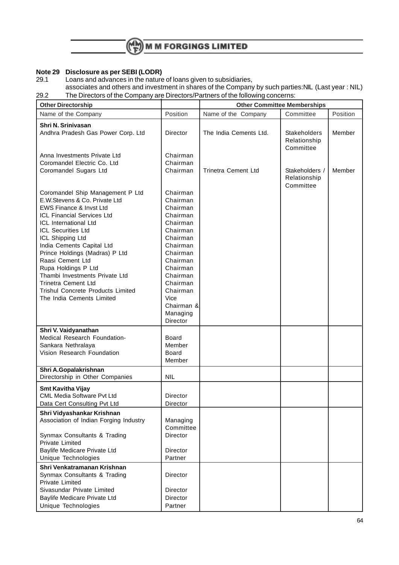

### **Note 29 Disclosure as per SEBI (LODR)**

29.1 Loans and advances in the nature of loans given to subsidiaries, associates and others and investment in shares of the Company by such parties:NIL (Last year : NIL) 29.2 The Directors of the Company are Directors/Partners of the following concerns:

| <b>Other Directorship</b>                                                                                                                                                                                                                                                                                                                                                                                                                                                 |                                                                                                                                                                                                                    |                            | <b>Other Committee Memberships</b>               |          |
|---------------------------------------------------------------------------------------------------------------------------------------------------------------------------------------------------------------------------------------------------------------------------------------------------------------------------------------------------------------------------------------------------------------------------------------------------------------------------|--------------------------------------------------------------------------------------------------------------------------------------------------------------------------------------------------------------------|----------------------------|--------------------------------------------------|----------|
| Name of the Company                                                                                                                                                                                                                                                                                                                                                                                                                                                       | Position                                                                                                                                                                                                           | Name of the Company        | Committee                                        | Position |
| Shri N. Srinivasan<br>Andhra Pradesh Gas Power Corp. Ltd                                                                                                                                                                                                                                                                                                                                                                                                                  | Director                                                                                                                                                                                                           | The India Cements Ltd.     | <b>Stakeholders</b><br>Relationship<br>Committee | Member   |
| Anna Investments Private Ltd<br>Coromandel Electric Co. Ltd<br>Coromandel Sugars Ltd                                                                                                                                                                                                                                                                                                                                                                                      | Chairman<br>Chairman<br>Chairman                                                                                                                                                                                   | <b>Trinetra Cement Ltd</b> | Stakeholders /<br>Relationship<br>Committee      | Member   |
| Coromandel Ship Management P Ltd<br>E.W.Stevens & Co. Private Ltd<br><b>EWS Finance &amp; Invst Ltd</b><br>ICL Financial Services Ltd<br><b>ICL International Ltd</b><br><b>ICL Securities Ltd</b><br>ICL Shipping Ltd<br>India Cements Capital Ltd<br>Prince Holdings (Madras) P Ltd<br>Raasi Cement Ltd<br>Rupa Holdings P Ltd<br>Thambi Investments Private Ltd<br><b>Trinetra Cement Ltd</b><br><b>Trishul Concrete Products Limited</b><br>The India Cements Limited | Chairman<br>Chairman<br>Chairman<br>Chairman<br>Chairman<br>Chairman<br>Chairman<br>Chairman<br>Chairman<br>Chairman<br>Chairman<br>Chairman<br>Chairman<br>Chairman<br>Vice<br>Chairman &<br>Managing<br>Director |                            |                                                  |          |
| Shri V. Vaidyanathan<br>Medical Research Foundation-<br>Sankara Nethralaya<br>Vision Research Foundation                                                                                                                                                                                                                                                                                                                                                                  | Board<br>Member<br>Board<br>Member                                                                                                                                                                                 |                            |                                                  |          |
| Shri A.Gopalakrishnan<br>Directorship in Other Companies                                                                                                                                                                                                                                                                                                                                                                                                                  | <b>NIL</b>                                                                                                                                                                                                         |                            |                                                  |          |
| <b>Smt Kavitha Vijay</b><br><b>CML Media Software Pvt Ltd</b><br>Data Cert Consulting Pvt Ltd                                                                                                                                                                                                                                                                                                                                                                             | Director<br>Director                                                                                                                                                                                               |                            |                                                  |          |
| Shri Vidyashankar Krishnan<br>Association of Indian Forging Industry<br>Synmax Consultants & Trading<br><b>Private Limited</b><br>Baylife Medicare Private Ltd                                                                                                                                                                                                                                                                                                            | Managing<br>Committee<br>Director<br>Director                                                                                                                                                                      |                            |                                                  |          |
| Unique Technologies                                                                                                                                                                                                                                                                                                                                                                                                                                                       | Partner                                                                                                                                                                                                            |                            |                                                  |          |
| Shri Venkatramanan Krishnan<br>Synmax Consultants & Trading<br>Private Limited<br>Sivasundar Private Limited                                                                                                                                                                                                                                                                                                                                                              | Director<br>Director                                                                                                                                                                                               |                            |                                                  |          |
| Baylife Medicare Private Ltd<br>Unique Technologies                                                                                                                                                                                                                                                                                                                                                                                                                       | Director<br>Partner                                                                                                                                                                                                |                            |                                                  |          |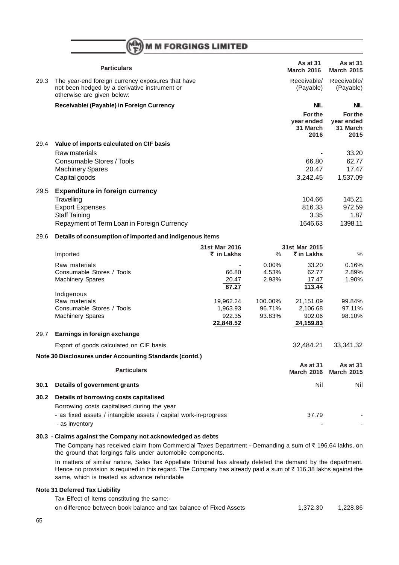|      | <b>Particulars</b>                                                                                                               |                       |               | As at 31<br><b>March 2016</b>             | <b>As at 31</b><br><b>March 2015</b>      |
|------|----------------------------------------------------------------------------------------------------------------------------------|-----------------------|---------------|-------------------------------------------|-------------------------------------------|
| 29.3 | The year-end foreign currency exposures that have<br>not been hedged by a derivative instrument or<br>otherwise are given below: |                       |               | Receivable/<br>(Payable)                  | Receivable/<br>(Payable)                  |
|      | Receivable/ (Payable) in Foreign Currency                                                                                        |                       |               | <b>NIL</b>                                | <b>NIL</b>                                |
|      |                                                                                                                                  |                       |               | For the<br>year ended<br>31 March<br>2016 | For the<br>year ended<br>31 March<br>2015 |
| 29.4 | Value of imports calculated on CIF basis                                                                                         |                       |               |                                           |                                           |
|      | Raw materials                                                                                                                    |                       |               |                                           | 33.20                                     |
|      | Consumable Stores / Tools                                                                                                        |                       |               | 66.80                                     | 62.77                                     |
|      | <b>Machinery Spares</b>                                                                                                          |                       |               | 20.47                                     | 17.47                                     |
|      | Capital goods                                                                                                                    |                       |               | 3,242.45                                  | 1,537.09                                  |
|      |                                                                                                                                  |                       |               |                                           |                                           |
| 29.5 | <b>Expenditure in foreign currency</b><br>Travelling                                                                             |                       |               | 104.66                                    | 145.21                                    |
|      | <b>Export Expenses</b>                                                                                                           |                       |               | 816.33                                    | 972.59                                    |
|      | <b>Staff Taining</b>                                                                                                             |                       |               | 3.35                                      | 1.87                                      |
|      | Repayment of Term Loan in Foreign Currency                                                                                       |                       |               | 1646.63                                   | 1398.11                                   |
| 29.6 | Details of consumption of imported and indigenous items                                                                          |                       |               |                                           |                                           |
|      |                                                                                                                                  | 31st Mar 2016         |               | 31st Mar 2015                             |                                           |
|      | Imported                                                                                                                         | ₹ in Lakhs            | $\frac{0}{0}$ | ₹ in Lakhs                                | $\%$                                      |
|      | Raw materials                                                                                                                    |                       | $0.00\%$      | 33.20                                     | 0.16%                                     |
|      | Consumable Stores / Tools                                                                                                        | 66.80                 | 4.53%         | 62.77                                     | 2.89%                                     |
|      | <b>Machinery Spares</b>                                                                                                          | 20.47                 | 2.93%         | 17.47                                     | 1.90%                                     |
|      |                                                                                                                                  | 87.27                 |               | 113.44                                    |                                           |
|      | Indigenous<br>Raw materials                                                                                                      |                       | 100.00%       |                                           | 99.84%                                    |
|      | Consumable Stores / Tools                                                                                                        | 19,962.24<br>1,963.93 | 96.71%        | 21,151.09<br>2,106.68                     | 97.11%                                    |
|      | <b>Machinery Spares</b>                                                                                                          | 922.35                | 93.83%        | 902.06                                    | 98.10%                                    |
|      |                                                                                                                                  | 22,848.52             |               | 24,159.83                                 |                                           |
| 29.7 | Earnings in foreign exchange                                                                                                     |                       |               |                                           |                                           |
|      | Export of goods calculated on CIF basis                                                                                          |                       |               | 32,484.21                                 | 33,341.32                                 |
|      | Note 30 Disclosures under Accounting Standards (contd.)                                                                          |                       |               |                                           |                                           |
|      |                                                                                                                                  |                       |               | <b>As at 31</b>                           | As at 31                                  |
|      | <b>Particulars</b>                                                                                                               |                       |               | <b>March 2016</b>                         | <b>March 2015</b>                         |
| 30.1 | <b>Details of government grants</b>                                                                                              |                       |               | Nil                                       | Nil                                       |
| 30.2 | Details of borrowing costs capitalised                                                                                           |                       |               |                                           |                                           |
|      | Borrowing costs capitalised during the year                                                                                      |                       |               |                                           |                                           |
|      | - as fixed assets / intangible assets / capital work-in-progress                                                                 |                       |               | 37.79                                     |                                           |
|      | - as inventory                                                                                                                   |                       |               |                                           |                                           |
|      |                                                                                                                                  |                       |               |                                           |                                           |

#### **30.3 - Claims against the Company not acknowledged as debts**

The Company has received claim from Commercial Taxes Department - Demanding a sum of  $\bar{\tau}$  196.64 lakhs, on the ground that forgings falls under automobile components.

In matters of similar nature, Sales Tax Appellate Tribunal has already deleted the demand by the department. Hence no provision is required in this regard. The Company has already paid a sum of  $\bar{z}$  116.38 lakhs against the same, which is treated as advance refundable

#### **Note 31 Deferred Tax Liability**

Tax Effect of Items constituting the same:-

on difference between book balance and tax balance of Fixed Assets 1,372.30 1,228.86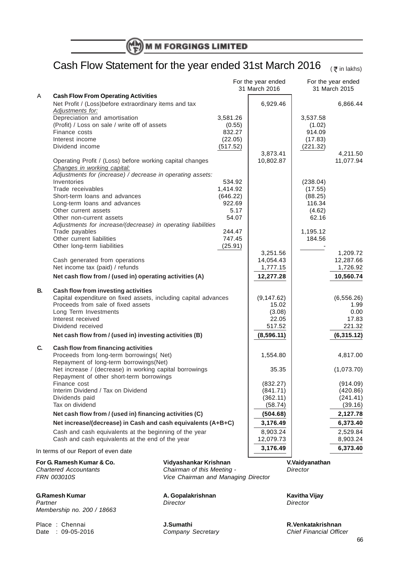# Cash Flow Statement for the year ended 31st March 2016

 $($   $\overline{\xi}$  in lakhs)

|    |                                                                            |                                                              | For the year ended<br>31 March 2016 |                    | For the year ended   |
|----|----------------------------------------------------------------------------|--------------------------------------------------------------|-------------------------------------|--------------------|----------------------|
| A  | <b>Cash Flow From Operating Activities</b>                                 |                                                              |                                     |                    | 31 March 2015        |
|    | Net Profit / (Loss) before extraordinary items and tax<br>Adjustments for: |                                                              | 6,929.46                            |                    | 6,866.44             |
|    | Depreciation and amortisation                                              | 3,581.26                                                     |                                     | 3,537.58           |                      |
|    | (Profit) / Loss on sale / write off of assets                              | (0.55)                                                       |                                     | (1.02)             |                      |
|    | Finance costs                                                              | 832.27                                                       |                                     | 914.09             |                      |
|    | Interest income                                                            | (22.05)                                                      |                                     | (17.83)            |                      |
|    | Dividend income                                                            | (517.52)                                                     |                                     | (221.32)           |                      |
|    |                                                                            |                                                              | 3,873.41                            |                    | 4,211.50             |
|    | Operating Profit / (Loss) before working capital changes                   |                                                              | 10,802.87                           |                    | 11,077.94            |
|    | Changes in working capital:                                                |                                                              |                                     |                    |                      |
|    | Adjustments for (increase) / decrease in operating assets:                 |                                                              |                                     |                    |                      |
|    | Inventories<br>Trade receivables                                           | 534.92<br>1,414.92                                           |                                     | (238.04)           |                      |
|    | Short-term loans and advances                                              | (646.22)                                                     |                                     | (17.55)<br>(88.25) |                      |
|    | Long-term loans and advances                                               | 922.69                                                       |                                     | 116.34             |                      |
|    | Other current assets                                                       | 5.17                                                         |                                     | (4.62)             |                      |
|    | Other non-current assets                                                   | 54.07                                                        |                                     | 62.16              |                      |
|    | Adjustments for increase/(decrease) in operating liabilities               |                                                              |                                     |                    |                      |
|    | Trade payables                                                             | 244.47                                                       |                                     | 1,195.12           |                      |
|    | Other current liabilities                                                  | 747.45                                                       |                                     | 184.56             |                      |
|    | Other long-term liabilities                                                | (25.91)                                                      |                                     |                    |                      |
|    |                                                                            |                                                              | 3,251.56                            |                    | 1,209.72             |
|    | Cash generated from operations                                             |                                                              | 14,054.43                           |                    | 12,287.66            |
|    | Net income tax (paid) / refunds                                            |                                                              | 1,777.15                            |                    | 1,726.92             |
|    | Net cash flow from / (used in) operating activities (A)                    |                                                              | 12,277.28                           |                    | 10,560.74            |
| В. | Cash flow from investing activities                                        |                                                              |                                     |                    |                      |
|    | Capital expenditure on fixed assets, including capital advances            |                                                              | (9, 147.62)                         |                    | (6, 556.26)          |
|    | Proceeds from sale of fixed assets                                         |                                                              | 15.02                               |                    | 1.99                 |
|    | Long Term Investments                                                      |                                                              | (3.08)                              |                    | 0.00                 |
|    | Interest received                                                          |                                                              | 22.05                               |                    | 17.83                |
|    | Dividend received                                                          |                                                              | 517.52                              |                    | 221.32               |
|    | Net cash flow from / (used in) investing activities (B)                    |                                                              | (8,596.11)                          |                    | (6,315.12)           |
| C. | Cash flow from financing activities                                        |                                                              |                                     |                    |                      |
|    | Proceeds from long-term borrowings( Net)                                   |                                                              | 1,554.80                            |                    | 4,817.00             |
|    | Repayment of long-term borrowings(Net)                                     |                                                              |                                     |                    |                      |
|    | Net increase / (decrease) in working capital borrowings                    |                                                              | 35.35                               |                    | (1,073.70)           |
|    | Repayment of other short-term borrowings                                   |                                                              |                                     |                    |                      |
|    | Finance cost<br>Interim Dividend / Tax on Dividend                         |                                                              | (832.27)<br>(841.71)                |                    | (914.09)<br>(420.86) |
|    | Dividends paid                                                             |                                                              | (362.11)                            |                    | (241.41)             |
|    | Tax on dividend                                                            |                                                              | (58.74)                             |                    | (39.16)              |
|    | Net cash flow from / (used in) financing activities (C)                    |                                                              | (504.68)                            |                    | 2,127.78             |
|    |                                                                            |                                                              | 3,176.49                            |                    | 6,373.40             |
|    |                                                                            | Net increase/(decrease) in Cash and cash equivalents (A+B+C) |                                     |                    |                      |
|    | Cash and cash equivalents at the beginning of the year                     |                                                              | 8,903.24                            |                    | 2,529.84             |
|    | Cash and cash equivalents at the end of the year                           |                                                              | 12,079.73                           |                    | 8,903.24             |
|    | In terms of our Report of even date                                        |                                                              | 3,176.49                            |                    | 6,373.40             |
|    | For G. Ramesh Kumar & Co.                                                  | Vidyashankar Krishnan                                        |                                     | V.Vaidyanathan     |                      |
|    | <b>Chartered Accountants</b>                                               | Chairman of this Meeting -                                   |                                     | Director           |                      |
|    | FRN 003010S                                                                | Vice Chairman and Managing Director                          |                                     |                    |                      |
|    |                                                                            |                                                              |                                     |                    |                      |

**G.Ramesh Kumar A. Gopalakrishnan Kavitha Vijay** Partner Director Director Director Director Director Director Director Director Membership no. 200 / 18663

Date :  $09-05-2016$ 

Place : Chennai **J.Sumathi J.Sumathi Place : Chennai** *R.Venkatakrishnan* **Date : 09-05-2016 Company Secretary Channel Chief Financial Officer**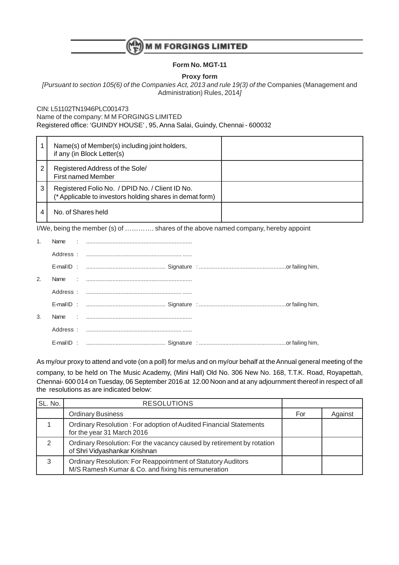

## **Form No. MGT-11**

**Proxy form**

[Pursuant to section 105(6) of the Companies Act, 2013 and rule 19(3) of the Companies (Management and Administration) Rules, 2014]

CIN: L51102TN1946PLC001473

Name of the company: M M FORGINGS LIMITED

Registered office: 'GUINDY HOUSE' , 95, Anna Salai, Guindy, Chennai - 600032

|   | Name(s) of Member(s) including joint holders,<br>if any (in Block Letter(s)                                 |  |
|---|-------------------------------------------------------------------------------------------------------------|--|
| 2 | Registered Address of the Sole/<br><b>First named Member</b>                                                |  |
| 3 | Registered Folio No. / DPID No. / Client ID No.<br>(* Applicable to investors holding shares in demat form) |  |
|   | No. of Shares held                                                                                          |  |

I/We, being the member (s) of …………. shares of the above named company, hereby appoint

| 1. |  |
|----|--|
|    |  |
|    |  |
| 2. |  |
|    |  |
|    |  |
| 3. |  |
|    |  |
|    |  |

As my/our proxy to attend and vote (on a poll) for me/us and on my/our behalf at the Annual general meeting of the company, to be held on The Music Academy, (Mini Hall) Old No. 306 New No. 168, T.T.K. Road, Royapettah, Chennai- 600 014 on Tuesday, 06 September 2016 at 12.00 Noon and at any adjournment thereof in respect of all the resolutions as are indicated below:

| SL. No. | <b>RESOLUTIONS</b>                                                                                                 |     |         |
|---------|--------------------------------------------------------------------------------------------------------------------|-----|---------|
|         | <b>Ordinary Business</b>                                                                                           | For | Against |
|         | Ordinary Resolution: For adoption of Audited Financial Statements<br>for the year 31 March 2016                    |     |         |
| ◠       | Ordinary Resolution: For the vacancy caused by retirement by rotation<br>of Shri Vidyashankar Krishnan             |     |         |
| 3       | Ordinary Resolution: For Reappointment of Statutory Auditors<br>M/S Ramesh Kumar & Co. and fixing his remuneration |     |         |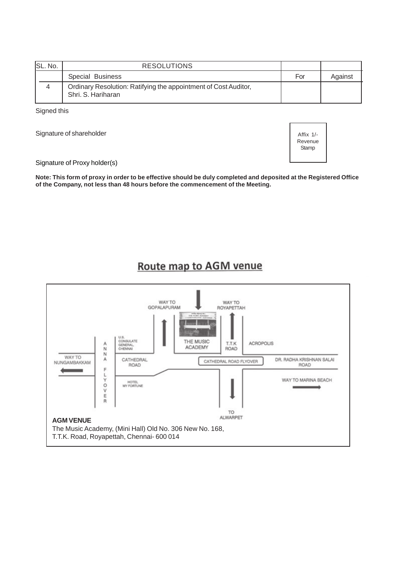| SL. No. | <b>RESOLUTIONS</b>                                                                    |     |         |
|---------|---------------------------------------------------------------------------------------|-----|---------|
|         | Special Business                                                                      | For | Against |
|         | Ordinary Resolution: Ratifying the appointment of Cost Auditor,<br>Shri. S. Hariharan |     |         |

Signed this

Signature of shareholder



Signature of Proxy holder(s)

**Note: This form of proxy in order to be effective should be duly completed and deposited at the Registered Office of the Company, not less than 48 hours before the commencement of the Meeting.**

# Route map to AGM venue

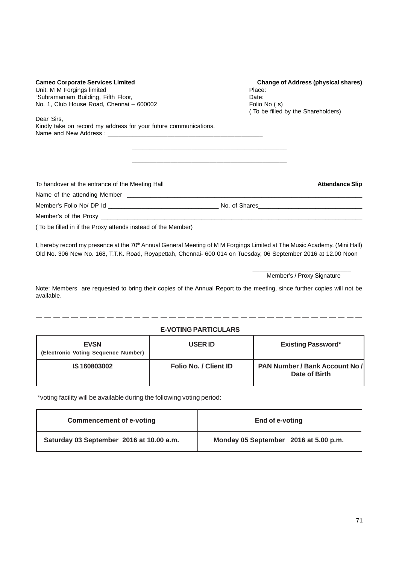| <b>Cameo Corporate Services Limited</b><br>Unit: M M Forgings limited<br>"Subramaniam Building, Fifth Floor,<br>No. 1, Club House Road, Chennai - 600002 | <b>Change of Address (physical shares)</b><br>Place:<br>Date:<br>Folio No (s)<br>(To be filled by the Shareholders) |  |
|----------------------------------------------------------------------------------------------------------------------------------------------------------|---------------------------------------------------------------------------------------------------------------------|--|
| Dear Sirs,<br>Kindly take on record my address for your future communications.                                                                           |                                                                                                                     |  |
| To handover at the entrance of the Meeting Hall                                                                                                          | <b>Attendance Slip</b>                                                                                              |  |
|                                                                                                                                                          |                                                                                                                     |  |
| (To be filled in if the Proxy attends instead of the Member)                                                                                             |                                                                                                                     |  |

I, hereby record my presence at the 70<sup>th</sup> Annual General Meeting of M M Forgings Limited at The Music Academy, (Mini Hall) Old No. 306 New No. 168, T.T.K. Road, Royapettah, Chennai- 600 014 on Tuesday, 06 September 2016 at 12.00 Noon

> \_\_\_\_\_\_\_\_\_\_\_\_\_\_\_\_\_\_\_\_\_\_\_\_\_\_\_\_ Member's / Proxy Signature

Note: Members are requested to bring their copies of the Annual Report to the meeting, since further copies will not be available.

## **E-VOTING PARTICULARS**

| <b>EVSN</b><br>(Electronic Voting Sequence Number) | <b>USER ID</b>               | <b>Existing Password*</b>                       |
|----------------------------------------------------|------------------------------|-------------------------------------------------|
| IS 160803002                                       | <b>Folio No. / Client ID</b> | PAN Number / Bank Account No /<br>Date of Birth |

\*voting facility will be available during the following voting period:

| <b>Commencement of e-voting</b>          | End of e-voting                       |
|------------------------------------------|---------------------------------------|
| Saturday 03 September 2016 at 10.00 a.m. | Monday 05 September 2016 at 5.00 p.m. |